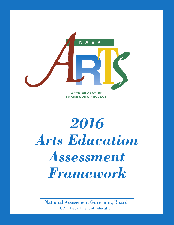

# *2016 Arts Education Assessment Framework*

National Assessment Governing Board U.S. Department of Education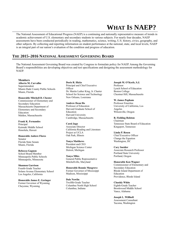# **WHAT IS NAEP?**

The National Assessment of Educational Progress (NAEP) is a continuing and nationally representative measure of trends in academic achievement of U.S. elementary and secondary students in various subjects. For nearly four decades, NAEP assessments have been conducted periodically in reading, mathematics, science, writing, U.S. history, civics, geography, and other subjects. By collecting and reporting information on student performance at the national, state, and local levels, NAEP is an integral part of our nation's evaluation of the condition and progress of education.

#### **THE 2015–2016 NATIONAL ASSESSMENT GOVERNING BOARD**

The National Assessment Governing Board was created by Congress to formulate policy for NAEP. Among the Governing Board's responsibilities are developing objectives and test specifications and designing the assessment methodology for NAEP.

#### **Members**

Superintendent Principal and Chief Executive Professor<br>
Miami-Dade County Public Schools Officer Lynch School of Education Miami-Dade County Public Schools Officer Lynch School of Lynch School of Education College Dr. Martin Luther King, Jr. Charter Boston College

#### **Honorable Mitchell D. Chester**

Commissioner of Elementary and **Andrew Dean Ho W. James Popham**<br>
Secondary Education<br>
Secondary Education<br> **Andrew Dean Ho Professor Emeritus** Secondary Education **Andrew Dean Ho** Professor Emeritus<br>
Massachusetts Denartment of Professor of Education **Professor Emeritus**<br>
Professor of Education **Professor Containers** Massachusetts Department of Professor of Education University of University of California, Los extending the C<br>Elementary and Secondary Harvard Graduate School of Angeles Elementary and Secondary Harvard Graduate School of Angeles School of Angeles School of Angeles School of Angeles School of Angeles School of Angeles School of Angeles School of Angeles School of Angeles School of Angeles Education Education Education Wilsonville, Oregon<br>Malden Massachusetts Harvard University Malden, Massachusetts

**Frank K. Fernandes**<br> **Carol Jago**<br> **Carol Jago**<br> **Carol Jago**<br> **Carol Jago**<br> **Carol Jago** Kaimuki Middle School

**Honorable Anitere Flores** Oak Park, Illinois Senator Change the Equation<br>
Florida State Senate **Senator**<br> **Senator**<br> **Senator**<br> **Senator**<br> **Senator**<br> **Senator**<br> **Senator**<br> **Senator**<br> **Senator**<br> **Senator**<br> **Senator**<br> **Senator**<br> **Senator**<br> **Senator**<br> **Senator**<br> **Senato** Florida State Senate **Tonya Matthews**<br>Miami Florida **Matthews** President and CEO Miami, Florida

School Board Member<br>
Minneapolis Public Schools<br> **Tonya Miles** Portland State University<br>
Portland, Oregon<br>
Portland, Oregon

Fourth-Grade Teacher **Honorable Ronnie Musgrove** Secondary Education<br>
Solano Avenue Elementary School Former Governor of Mississippi Rhode Island Department of Solano Avenue Elementary School Former Governor of Mississippi Rhode Isla<br>
Los Angeles California Madison, Mississippi Bducation Los Angeles, California

**Honorable James E. Geringer Dale Nowlin**<br> **Example 2 Date Nowling**<br> **Date Nowling**<br> **Date Nowling** Former Governor of Wyoming Twelfth-Grade Teacher **Chasidy White**<br>
Columbus North High School **Chasidy White**<br>
Columbus North High School **Chasidy White**<br>
Columbus North High School **Eighth-Grade Teacher** Cheyenne, Wyoming Columbus North High School Eighth-Grade Teachers North High School Eighth-Grade Teachers North High School Eighth-Grade Teachers North High School Eighth-Grade Teachers North High School Eighth-Grade Teac

**Alberto M. Carvalho Doris R. Hicks Joseph M. O'Keefe, S.J.** Miami, Florida **Dr. Martin Luther King, Jr. Charter** Boston College Boston College School for Science and Technology Chestnut Hill, Massachusetts School for Science and Technology<br>New Orleans, Louisiana

Cambridge, Massachusetts **B. Fielding Rolston**

Honolulu, Hawaii California Reading and Literature Project at UCLA<br>
Oak Park, Illinois<br>
Oak Park, Illinois<br>
Oak Park, Illinois<br> **Chief Executive Officer** 

Michigan Science Center **Cary Sneider**

Minneapolis Public Schools **Tonya Miles**<br>Minneapolis Minnesota **Public Representative** General Public Representative Minneapolis, Minnesota<br>Mitchellville, Maryland<br>Mitchellville, Maryland

Principal **Carol Jago Carol Tennessee State Board of Education**<br> **Carol Jago Carol Associate Director Carol Associate Director Carol Associate Director Carol Associate Director Carol Associate Director Carol** 

**Rebecca Gagnon Detroit, Michigan Associate Research Professor Detroit**, Michigan **Associate Research Professor** 

**Honorable Ken Wagner Shannon Garrison**<br> **Shannon Garrison**<br> **EQUE COMPTE COMPTE COMPTE CONTAINST COMPTE CONTRACTE CONTRACT CONTRACT CONTRACT CONTRACT CONTRACT CONTRACT CONTRACT CONTRACT CONTRACT CONTRACT CONTRACT CONTRACT CONTRACT CONTRACT CO** Providence, Rhode Island

> Brookwood Middle School Vance, Alabama

**Joseph L. Willhoft** Assessment Consultant Tacoma, Washington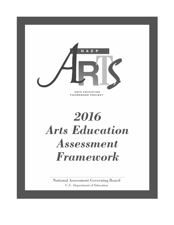

2016 **Arts Education** Assessment Framework

**National Assessment Governing Board U.S.** Department of Education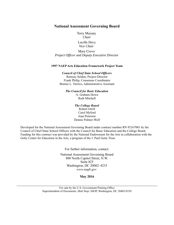#### **National Assessment Governing Board**

Terry Mazany *Chair*

Lucille Davy *Vice Chair* 

Mary Crovo *Project Officer and Deputy Executive Director*

#### **1997 NAEP Arts Education Framework Project Team**

#### *Council of Chief State School Officers*

Ramsay Selden, Project Director Frank Philip, Consensus Coordinator Bonnie L. Verrico, Administrative Assistant

> *The Council for Basic Education* A. Graham Down Ruth Mitchell

> > *The College Board* Robert Orrill Carol Myford Joan Peterson Dennie Palmer-Wolf

Developed for the National Assessment Governing Board under contract number RN 92167001 by the Council of Chief State School Officers with the Council for Basic Education and the College Board. Funding for this contract was provided by the National Endowment for the Arts in collaboration with the Getty Center for Education in the Arts, a program of the J. Paul Getty Trust.

For further information, contact:

National Assessment Governing Board 800 North Capitol Street, N.W. Suite 825 Washington, DC 20002–4233 *www.nagb.gov*

**May 2016**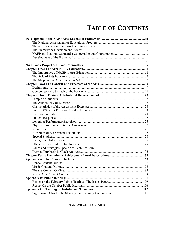# **TABLE OF CONTENTS**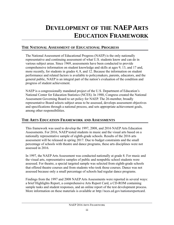# <span id="page-5-0"></span>**DEVELOPMENT OF THE NAEP ARTS EDUCATION FRAMEWORK**

# <span id="page-5-2"></span>**THE NATIONAL ASSESSMENT OF EDUCATIONAL PROGRESS**

The National Assessment of Educational Progress (NAEP) is the only nationally representative and continuing assessment of what U.S. students know and can do in various subject areas. Since 1969, assessments have been conducted to provide comprehensive information on student knowledge and skills at ages 9, 13, and 17 and, more recently, for students in grades 4, 8, and 12. Because the information on student performance and related factors is available to policymakers, parents, educators, and the general public, NAEP is an integral part of the nation's evaluation of the condition and progress of student achievement.

NAEP is a congressionally mandated project of the U.S. Department of Education's National Center for Education Statistics (NCES). In 1988, Congress created the National Assessment Governing Board to set policy for NAEP. The 26-member, broadly representative Board selects subject areas to be assessed, develops assessment objectives and specifications through a national process, and sets appropriate achievement goals, among other responsibilities.

# <span id="page-5-1"></span>**THE ARTS EDUCATION FRAMEWORK AND ASSESSMENTS**

This framework was used to develop the 1997, 2008, and 2016 NAEP Arts Education Assessments. For 2016, NAEP tested students in music and the visual arts based on a nationally representative sample of eighth-grade schools. Results of the 2016 arts assessment will be released in spring 2017. Due to budget constraints and the small percentage of schools with theatre and dance programs, these arts disciplines were not assessed in 2016.

In 1997, the NAEP Arts Assessment was conducted nationally at grade 8. For music and the visual arts, representative samples of public and nonpublic school students were assessed. For theatre, a special targeted sample was selected from eighth-grade schools that offered theatre courses and from students who took those courses. Dance was not assessed because only a small percentage of schools had regular dance programs.

Findings from the 1997 and 2008 NAEP Arts Assessments were reported in several ways: a brief Highlights Report, a comprehensive Arts Report Card, a CD-ROM containing sample tasks and student responses, and an online report of the test development process. More information on these materials is available at [http://nces.ed.gov/nationsreportcard.](http://nces.ed.gov/nationsreportcard)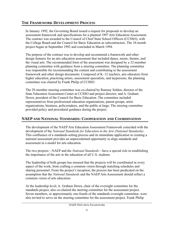# <span id="page-6-1"></span>**THE FRAMEWORK DEVELOPMENT PROCESS**

In January 1992, the Governing Board issued a request for proposals to develop an assessment framework and specifications for a planned 1997 Arts Education Assessment. The contract was awarded to the Council of Chief State School Officers (CCSSO), with the College Board and the Council for Basic Education as subcontractors. The 18-month project began in September 1992 and concluded in March 1994.

The purpose of the contract was to develop and recommend a framework and other design features for an arts education assessment that included dance, music, theatre, and the visual arts. The recommended form of the assessment was designed by a 32-member planning committee with guidance from a steering committee. The planning committee was responsible for recommending the content and contributing to the assessment framework and other design documents. Composed of K–12 teachers, arts educators from higher education, practicing artists, assessment specialists, and laypersons, the planning committee was chaired by Frank Philip of CCSSO.

The 29-member steering committee was co-chaired by Ramsay Selden, director of the State Education Assessment Center at CCSSO and project director; and A. Graham Down, president of the Council for Basic Education. The committee included representatives from professional education organizations, parent groups, artist organizations, business, policymakers, and the public at large. The steering committee provided policy and procedural guidance during the project.

# <span id="page-6-0"></span>**NAEP AND NATIONAL STANDARDS: COOPERATION AND COORDINATION**

The development of the NAEP Arts Education Assessment Framework coincided with the development of the *National Standards for Education in the Arts (National Standards)*. This confluence of a standards-setting process and its immediate application in creating a national assessment provides an unprecedented opportunity to align standards and assessment in a model for arts education.

The two projects—NAEP and the *National Standards*—have a special role in establishing the importance of the arts in the education of all U.S. students.

The leadership of both groups has ensured that the projects will be coordinated in every aspect of the work, from crafting a common vision through matching schedules and sharing personnel. From the project's inception, the process has been predicated on the assumption that the *National Standards* and the NAEP Arts Assessment should reflect a common vision of arts education.

At the leadership level, A. Graham Down, chair of the oversight committee for the standards project, also co-chaired the steering committee for the assessment project. Seven members, or approximately one-fourth of the standards oversight committee, were also invited to serve on the steering committee for the assessment project. Frank Philip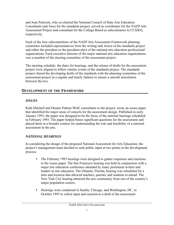and Joan Peterson, who co-chaired the National Council of State Arts Education Consultants task force for the standards project, served as coordinator for the NAEP Arts Assessment Project and consultant for the College Board (a subcontractor to CCSSO), respectively.

Each of the four subcommittees of the NAEP Arts Assessment Framework planning committee included representatives from the writing task forces of the standards project and either the president or the president-elect of the national arts education professional organizations. Each executive director of the major national arts education organizations was a member of the steering committee of the assessment project.

The meeting schedule, the dates for hearings, and the release of drafts for the assessment project were aligned to follow similar events of the standards project. The standards project shared the developing drafts of the standards with the planning committee of the assessment project in a regular and timely fashion to ensure a smooth articulation between the two.

# <span id="page-7-0"></span>**DEVELOPMENT OF THE FRAMEWORK**

# *ISSUES*

Ruth Mitchell and Dennie Palmer-Wolf, consultants to the project, wrote an issues paper that identified the major areas of concern for the assessment design. Published in early January 1993, the paper was designed to be the focus of the national hearings scheduled in February 1993. The paper helped frame significant questions for the assessment and placed them in a broader context for understanding the role and feasibility of a national assessment in the arts.

# *NATIONAL HEARINGS*

In considering the design of the proposed National Assessment for Arts Education, the project's management team decided to seek public input at two points in the development process:

- The February 1993 hearings were designed to gather responses and reactions to the issues paper. The San Francisco hearing was held in conjunction with a major arts education conference attended by many prominent writers and leaders in arts education. The Orlando, Florida, hearing was scheduled for a time and location that allowed teachers, parents, and students to attend. The New York City hearing attracted the arts community from one of the country's major population centers.
- Hearings were conducted in Seattle, Chicago, and Washington, DC, in October 1993 to solicit input and reaction to a draft of the assessment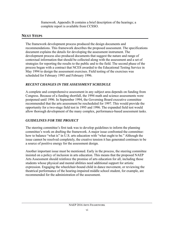framework. Appendix B contains a brief description of the hearings; a complete report is available from CCSSO.

# <span id="page-8-0"></span>**NEXT STEPS**

The framework development process produced the design documents and recommendations. This framework describes the proposed assessment. The specifications document explains the details for developing the assessment instrument. The development process also produced documents that suggest the nature and range of contextual information that should be collected along with the assessment and a set of strategies for reporting the results to the public and to the field. The second phase of the process began with a contract that NCES awarded to the Educational Testing Service in May 1994 to design the assessment exercises. Field testing of the exercises was scheduled for February 1995 and February 1996.

# *RECENT CHANGES IN THE ASSESSMENT SCHEDULE*

A complete and comprehensive assessment in any subject area depends on funding from Congress. Because of a funding shortfall, the 1994 math and science assessments were postponed until 1996. In September 1994, the Governing Board executive committee recommended that the arts assessment be rescheduled for 1997. This would provide the opportunity for a two-stage field test in 1995 and 1996. The expanded field test would allow thorough development of the many complex, performance-based assessment tasks.

# *GUIDELINES FOR THE PROJECT*

The steering committee's first task was to develop guidelines to inform the planning committee's work on drafting the framework. A major issue confronted the committee: how to balance "what is" in U.S. arts education with "what ought to be." Although the issue cannot be resolved completely, the creative tension it has generated continues to be a source of positive energy for the assessment design.

Another important issue must be mentioned. Early in the process, the steering committee insisted on a policy of inclusion in arts education. This means that the proposed NAEP Arts Assessment should reinforce the promise of arts education for all, including those students whose physical and mental abilities need additional support for artistic expression. Engaging the wheelchair-bound child in dance movement, or reviewing the theatrical performance of the hearing-impaired middle school student, for example, are recommended for the administration of the assessment.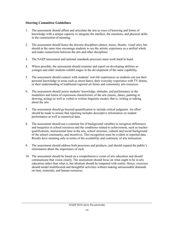#### **Steering Committee Guidelines**

- 1. The assessment should affirm and articulate the arts as ways of knowing and forms of knowledge with a unique capacity to integrate the intellect, the emotions, and physical skills in the construction of meaning.
- 2. The assessment should honor the discrete disciplines (dance, music, theatre, visual arts), but should at the same time encourage students to see the artistic experience as a unified whole and make connections between the arts and other disciplines.
- 3. The NAEP assessment and national standards processes must work hand in hand.
- 4. Where possible, the assessment should examine and report on developing abilities so younger and older students exhibit stages in the development of the same capability.
- 5. The assessment should connect with students' real-life experiences so students can use their personal knowledge in areas such as street dance, their everyday experience with TV drama, or their understanding of traditional regional art forms and community arts resources.
- 6. The assessment should assess students' knowledge, attitudes, and performance in the modalities and forms of expression characteristic of the arts (music, dance, painting or drawing, acting) as well as verbal or written linguistic modes; that is, writing or talking about the arts.
- 7. The assessment should go beyond quantification to include critical judgment. An effort should be made to ensure that reporting includes descriptive information on student performance as well as numerical data.
- 8. The assessment should use a common list of background variables to recognize differences and inequities in school resources and the conditions related to achievement, such as teacher qualifications, instructional time in the arts, school structure, cultural and social background of the school community, and incentives. This recognition must be evident in reported data. Results have meaning only in terms of the availability and continuity of arts instruction.
- 9. The assessment should address both processes and products, and should expand the public's information about the importance of each.
- 10. The assessment should be based on a comprehensive vision of arts education and should communicate that vision clearly. The assessment should focus on what ought to be in arts education rather than what is, but idealism should be tempered with reality. Hence, exercises should model multifaceted and thoughtful activities without making unreasonable demands on time, materials, and human resources.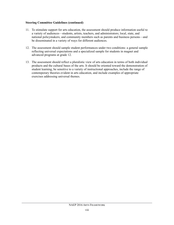#### **Steering Committee Guidelines (continued)**

- 11. To stimulate support for arts education, the assessment should produce information useful to a variety of audiences—students, artists, teachers, and administrators; local, state, and national policymakers; and community members such as parents and business persons—and be disseminated in a variety of ways for different audiences.
- 12. The assessment should sample student performances under two conditions: a general sample reflecting universal expectations and a specialized sample for students in magnet and advanced programs at grade 12.
- 13. The assessment should reflect a pluralistic view of arts education in terms of both individual products and the cultural bases of the arts. It should be oriented toward the demonstration of student learning, be sensitive to a variety of instructional approaches, include the range of contemporary theories evident in arts education, and include examples of appropriate exercises addressing universal themes.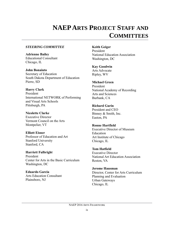# <span id="page-11-0"></span>**NAEP ARTS PROJECT STAFF AND COMMITTEES**

#### *STEERING COMMITTEE*

**Adrienne Bailey** Educational Consultant Chicago, IL

**John Bonaiuto** Secretary of Education South Dakota Department of Education Pierre, SD

**Harry Clark** President International NETWORK of Performing and Visual Arts Schools Pittsburgh, PA

# **Nicolette Clarke** Executive Director

Vermont Council on the Arts Montpelier, VT

**Elliott Eisner** Professor of Education and Art Stanford University Stanford, CA

**Harriett Fulbright** President Center for Arts in the Basic Curriculum Washington, DC

**Eduardo Garcia** Arts Education Consultant Plainsboro, NJ

**Keith Geiger** President National Education Association Washington, DC

### **Kay Goodwin**

Arts Advocate Ripley, WV

# **Michael Green**

President National Academy of Recording Arts and Sciences Burbank, CA

### **Richard Gurin**

President and CEO Binney & Smith, Inc. Easton, PA

### **Ronne Hartfield**

Executive Director of Museum Education Art Institute of Chicago Chicago, IL

**Tom Hatfield** Executive Director National Art Education Association Reston, VA

**Jerome Hausman** Director, Center for Arts Curriculum Planning and Evaluation Urban Gateways Chicago, IL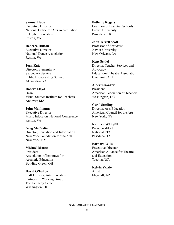#### **Samuel Hope**

Executive Director National Office for Arts Accreditation in Higher Education Reston, VA

**Rebecca Hutton** Executive Director National Dance Association Reston, VA

**Joan Katz** Director, Elementary/ Secondary Service Public Broadcasting Service Alexandria, VA

**Robert Lloyd**

Dean Visual Studies Institute for Teachers Andover, MA

**John Mahlmann** Executive Director Music Educators National Conference Reston, VA

**Greg McCaslin** Director, Education and Information New York Foundation for the Arts New York, NY

**Michael Moore** President Association of Institutes for Aesthetic Education Bowling Green, OH

**David O'Fallon** Staff Director, Arts Education Partnership Working Group The Kennedy Center Washington, DC

**Bethany Rogers** Coalition of Essential Schools Brown University Providence, RI

**John Terrell Scott** Professor of Art/Artist Xavier University New Orleans, LA

**Kent Seidel** Director, Teacher Services and Advocacy Educational Theatre Association Cincinnati, OH

**Albert Shanker** President American Federation of Teachers Washington, DC

**Carol Sterling** Director, Arts Education American Council for the Arts New York, NY

**Kathryn Whitefill** President-Elect National PTA

**Barbara Wills** Executive Director American Alliance for Theatre and Education Tacoma, WA

**Kelvin Yazzie** Artist Flagstaff, AZ

Pasadena, TX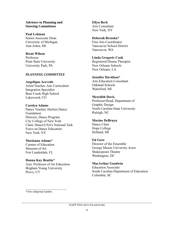#### **Advisors to Planning and Steering Committees**

**Paul Lehman** Senior Associate Dean University of Michigan Ann Arbor, MI

#### **Brent Wilson**

Professor Penn State University University Park, PA

#### *PLANNING COMMITTEE*

**Angelique Acevedo** Artist/Teacher, Arts Curriculum Integration Specialist Bear Creek High School Lakewood, CO

#### **Carolyn Adams** Dance Teacher, Harlem Dance Foundation Director, Dance Program City College of New York Chair, Dance/USA's National Task Force on Dance Education New York, NY

### **Marianna Adams\***

Curator of Education Museum of Art Fort Lauderdale, FL

### **Donna Kay Beattie\***

Asst. Professor of Art Education Brigham Young University Provo, UT

\_\_\_\_\_\_\_\_\_\_\_\_\_\_\_\_\_\_\_\_\_\_\_\_

**Ellyn Berk** Arts Consultant New York, NY

#### **Deborah Brzoska\*** Fine Arts Coordinator Vancouver School District Vancouver, WA

**Linda Gregoric Cook** Registered Drama Therapist New Orleans Schools New Orleans, LA

#### **Jennifer Davidson\***

Arts Education Consultant Oakland Schools Waterford, MI

#### **Meredith Davis**

Professor/Head, Department of Graphic Design North Carolina State University Raleigh, NC

### **Maxine DeBruyn**

Dance Chair Hope College Holland, MI

### **Ed Gero**

Director of the Ensemble George Mason University Actor Shakespeare Theatre Washington, DC

### **MacArthur Goodwin**

Education Associate South Carolina Department of Education Columbia, SC

\*Arts subgroup leaders.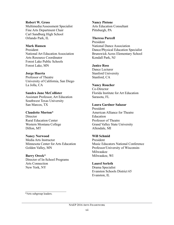#### **Robert W. Gross**

Multimedia/Assessment Specialist Fine Arts Department Chair Carl Sandburg High School Orlando Park, IL

#### **Mark Hansen**

President National Art Education Association Arts Resource Coordinator Forest Lake Public Schools Forest Lake, MN

#### **Jorge Huerta**

Professor of Theatre University of California, San Diego La Jolla, CA

#### **Sandra June McCollister** Assistant Professor, Art Education Southwest Texas University San Marcos, TX

#### **Claudette Morton\* Director**

Rural Education Center Western Montana College Dillon, MT

#### **Nancy Norwood**

Media Arts Instructor Minnesota Center for Arts Education Golden Valley, MN

#### **Barry Oreck\***

Director of In-School Programs Arts Connection New York, NY

#### **Nancy Pistone**

Arts Education Consultant Pittsburgh, PA

#### **Theresa Purcell**

President National Dance Association Dance/Physical Education Specialist Brunswick Acres Elementary School Kendall Park, NJ

#### **Janice Ross**

Dance Lecturer Stanford University Stanford, CA

#### **Nancy Roucher**

Co-Director Florida Institute for Art Education Sarasota, FL

#### **Laura Gardner Salazar**

President American Alliance for Theatre Education Professor of Theatre Grand Valley State University Allendale, MI

#### **Will Schmid**

President Music Educators National Conference Professor/University of Wisconsin-Milwaukee Milwaukee, WI

#### **Laurel Serleth**

Drama Specialist Evanston Schools District 65 Evanston, IL

\_\_\_\_\_\_\_\_\_\_\_\_\_\_\_\_\_\_\_\_\_\_\_\_ \*Arts subgroup leaders.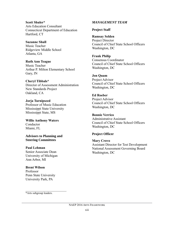#### **Scott Shuler\*** Arts Education Consultant Connecticut Department of Education Hartford, CT

**Suzanne Shull** Music Teacher Ridgeview Middle School Atlanta, GA

**Ruth Ann Teague** Music Teacher Arthur P. Milton Elementary School Gary, IN

**Cheryl Tibbals\*** Director of Assessment Administration New Standards Project Oakland, CA

**Jorja Turnipseed** Professor of Music Education Mississippi State University Mississippi State, MS

**Willie Anthony Waters** Conductor Miami, FL

**Advisors to Planning and Steering Committees**

**Paul Lehman** Senior Associate Dean University of Michigan Ann Arbor, MI

**Brent Wilson** Professor Penn State University University Park, PA

#### *MANAGEMENT TEAM*

### **Project Staff**

**Ramsay Selden** Project Director Council of Chief State School Officers Washington, DC

**Frank Philip** Consensus Coordinator Council of Chief State School Officers Washington, DC

**Jon Quam** Project Advisor Council of Chief State School Officers Washington, DC

**Ed Roeber** Project Advisor Council of Chief State School Officers Washington, DC

**Bonnie Verrico** Administrative Assistant Council of Chief State School Officers Washington, DC

### **Project Officer**

**Mary Crovo** Assistant Director for Test Development National Assessment Governing Board Washington, DC

\*Arts subgroup leaders.

 $\mathcal{L}_\text{max}$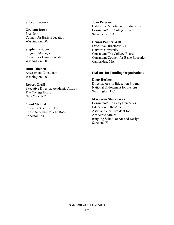#### **Subcontractors**

#### **Graham Down**

President Council for Basic Education Washington, DC

#### **Stephanie Soper**

Program Manager Council for Basic Education Washington, DC

#### **Ruth Mitchell**

Assessment Consultant Washington, DC

#### **Robert Orrill**

Executive Director, Academic Affairs The College Board New York, NY

#### **Carol Myford**

Research Scientist/ETS Consultant/The College Board Princeton, NJ

#### **Joan Peterson**

California Department of Education Consultant/The College Board Sacramento, CA

#### **Dennis Palmer Wolf**

Executive Director/PACE Harvard University Consultant/The College Board Consultant/Council for Basic Education Cambridge, MA

#### **Liaisons for Funding Organizations**

# **Doug Herbert** Director, Arts in Education Program

National Endowment for the Arts Washington, DC

#### **Mary Ann Stankiewicz**

Consultant/The Getty Center for Education in the Arts Assistant Vice President for Academic Affairs Ringling School of Art and Design Sarasota, FL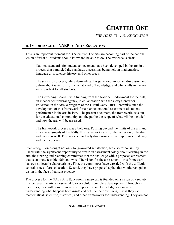# **CHAPTER ONE**

<span id="page-17-1"></span>*THE ARTS IN U.S. EDUCATION*

# <span id="page-17-0"></span>**THE IMPORTANCE OF NAEP TO ARTS EDUCATION**

This is an important moment for U.S. culture. The arts are becoming part of the national vision of what all students should know and be able to do. The evidence is clear:

National standards for student achievement have been developed in the arts in a process that paralleled the standards discussions being held in mathematics, language arts, science, history, and other areas.

The standards process, while demanding, has generated important discussion and debate about which art forms, what kind of knowledge, and what skills in the arts are important for all students.

The Governing Board—with funding from the National Endowment for the Arts, an independent federal agency, in collaboration with the Getty Center for Education in the Arts, a program of the J. Paul Getty Trust—commissioned the development of this framework for a planned national assessment of student performance in the arts in 1997. The present document, the framework, sets out for the educational community and the public the scope of what will be included and how the arts will be assessed.

The framework process was a bold one. Pushing beyond the limits of the arts and music assessments of the l970s, this framework calls for the inclusion of theatre and dance as well. This work led to lively discussions of the importance of design and the media arts.

Such recognition brought not only long-awaited satisfaction, but also responsibility. Faced with the significant opportunity to create an assessment solely about learning in the arts, the steering and planning committees met the challenge with a proposed assessment that is, at once, feasible, fair, and wise. The vision for the assessment—this framework has two noticeable characteristics. First, the committees have wrestled with the difficult central issues of arts education. Second, they have proposed a plan that would recognize vision in the face of current practice.

The process for the NAEP Arts Education Framework is founded on a vision of a society that believes the arts are essential to every child's complete development. Throughout their lives, they will draw from artistic experience and knowledge as a means of understanding what happens both inside and outside their own skin, just as they use mathematical, scientific, historical, and other frameworks for understanding. They are not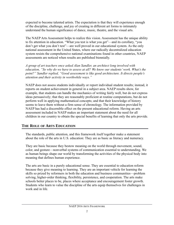expected to become talented artists. The expectation is that they will experience enough of the discipline, challenge, and joy of creating in different art forms to intimately understand the human significance of dance, music, theatre, and the visual arts.

The NAEP Arts Assessment helps to realize this vision. Assessment has the unique ability to fix attention in education. "What you test is what you get"—and its corollary, "you don't get what you don't test"—are well proved in our educational system. As the only national assessment in the United States, where our radically decentralized education system resists the comprehensive national examinations found in other countries, NAEP assessments are noticed when results are published biennially.

*A group of art teachers once asked Alan Sandler, an architect long involved with education, "So why do we have to assess at all? We know our students' work. What's the point?" Sandler replied, "Good assessment is like good architecture. It directs people's attention and their activity in worthwhile ways."* 

NAEP does not assess students individually or report individual student results; instead, it reports on student achievement in general in a subject area. NAEP results show, for example, that students can handle the mechanics of writing fairly well, but do not express ideas persuasively; that they are reasonably proficient at routine computations, but do not perform well in applying mathematical concepts; and that their knowledge of history seems to leave them without a firm sense of chronology. The information provided by NAEP has had a discernible effect on the present educational reform. Having an arts assessment included in NAEP makes an important statement about the need for all children in our country to obtain the special benefits of learning that only the arts provide.

# <span id="page-18-0"></span>**THE ROLE OF ARTS EDUCATION**

The standards, public attention, and this framework itself together make a statement about the role of the arts in U.S. education: They are as basic as literacy and numeracy.

They are basic because they bestow meaning on the world through movement, sound, color, and gesture—nonverbal systems of communication essential to understanding. We as human beings shape our world by transforming the activities of the physical body into meaning that defines human experience.

The arts are basic in a purely educational sense. They are essential to education reform because they give meaning to learning. They are an important vehicle for learning the skills so prized by reformers in both the education and business communities—problem solving, higher-order thinking, flexibility, persistence, and cooperation. The arts make schools better places to be, places where acceptance and encouragement foster growth. Students who learn to value the discipline of the arts equip themselves for challenges in work and in life.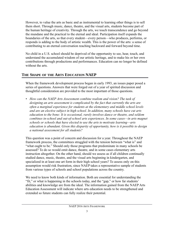However, to value the arts as basic and as instrumental to learning other things is to sell them short. Through music, dance, theatre, and the visual arts, students become part of the human heritage of creativity. Through the arts, we touch transcendence and go beyond the mundane and the practical to the eternal and ideal. Participation itself expands the boundaries of the arts, so that every student—every person—who produces, performs, or responds is adding to the body of artistic wealth. This is the power of the arts: a sense of contributing to an eternal conversation reaching backward and forward beyond time.

No child in a U.S. school should be deprived of the opportunity to see, hear, touch, and understand the accumulated wisdom of our artistic heritage, and to make his or her own contributions through productions and performances. Education can no longer be defined without the arts.

# <span id="page-19-0"></span>**THE SHAPE OF THE ARTS EDUCATION NAEP**

When the framework development process began in early 1993, an issues paper posed a series of questions. Answers that were forged out of a year of spirited discussion and thoughtful consideration are provided to the most important of those questions.

*• How can the NAEP Arts Assessment combine realism and vision? The task of designing an arts assessment is complicated by the fact that currently the arts are often a marginal experience for students at the elementary and middle school levels and are an elective subject in high school. In addition, many schools have cut arts education to the bone: It is occasional, rarely involves dance or theatre, and seldom combines in-school and out-of-school arts experiences. In some cases—in arts magnet schools or schools that have elected to use the arts to motivate learning—arts education is abundant. Given this disparity of opportunity, how is it possible to design a national assessment for all students?*

This question was a point of concern and discussion for a year. Throughout the NAEP framework process, the committees struggled with the tension between "what is" and "what ought to be." Should only those programs that predominate in many schools be assessed? To do so would omit dance, theatre, and in some cases elementary arts instruction altogether. On the other hand, should we assess as if all children continually studied dance, music, theatre, and the visual arts beginning in kindergarten, and specialized in at least one art form in their high school years? To assess only on this assumption would risk frustration, since NAEP takes a representative sample of students from various types of schools and school populations across the country.

We need to know both kinds of information. Both are essential for understanding the "fit," or what is happening in the schools today, and the "gap," or how far students' abilities and knowledge are from the ideal. The information gained from the NAEP Arts Education Assessment will indicate where arts education needs to be strengthened and extended so future students can fully realize their potential.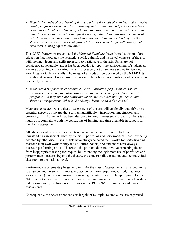*• What is the model of arts learning that will inform the kinds of exercises and examples developed for the assessment? Traditionally, only production and performance have been assessed, but many teachers, scholars, and artists would argue that there is an important place for aesthetics and for the social, cultural, and historical contexts of art. However, given this more diversified notion of artistic understanding, are these skills considered separable or integrated? Any assessment design will portray and broadcast an image of arts education.*

The NAEP framework process and the *National Standards* have framed a vision of arts education that integrates the aesthetic, social, cultural, and historical contexts of the arts with the knowledge and skills necessary to participate in the arts. Skills are not considered as separable, and it has been decided to report the achievement of students as a whole according to the various artistic processes, not on separate scales for isolated knowledge or technical skills. The image of arts education portrayed by the NAEP Arts Education Assessment is as close to a vision of the arts as basic, unified, and pervasive as practically possible.

*• What methods of assessment should be used? Portfolios, performances, written responses, interviews, and observations can and have been a part of assessment programs. But they are more costly and labor intensive than multiple-choice and short-answer questions. What kind of design decisions does this lead to?* 

Many arts educators worry that an assessment of the arts will artificially quantify those essential aspects of the arts that seem unquantifiable—inspiration, imagination, and creativity. This framework has been designed to honor the essential aspects of the arts as much as is compatible with the constraints of funding and time available in schools for the NAEP assessment.

All advocates of arts education can take considerable comfort in the fact that longstanding assessments used by the arts—portfolios and performances—are now being adopted by other disciplines. Artists have always selected their works for portfolios and assessed their own work as they did so. Juries, panels, and audiences have always assessed performing artists. Therefore, the problem does not involve protecting the arts from inappropriate testing techniques, but extending the legitimate use of portfolios and performance measures beyond the theatre, the concert hall, the studio, and the individual classroom to the national level.

Performance assessments (the generic term for the class of assessments that is beginning to augment and, in some instances, replace conventional paper-and-pencil, machinescorable tests) have a long history in assessing the arts. It is entirely appropriate for the NAEP Arts Assessment to continue to move national assessments forward, much as they did by using many performance exercises in the 1970s NAEP visual arts and music assessments.

Consequently, the Assessment consists largely of multiple, related exercises organized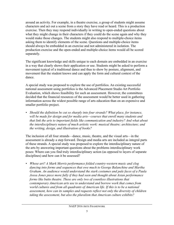around an activity. For example, in a theatre exercise, a group of students might assume characters and act out a scene from a story they have read or heard. This is a production exercise. Then they may respond individually in writing to open-ended questions about what they might change in their characters if they could do the scene again and why they would make those changes. The students might also respond to multiple-choice items asking them to identify elements of the scene. Questions and multiple-choice items should always be embedded in an exercise and not administered in isolation. The production exercise and the open-ended and multiple-choice items would all be scored separately.

The significant knowledge and skills unique to each domain are embedded in an exercise in a way that clearly shows their application or use. Students might be asked to perform a movement typical of a traditional dance and thus to show by posture, alignment, and movement that the student knows and can apply the form and cultural context of the dance.

A special study was proposed to explore the use of portfolios. An existing successful national assessment using portfolios is the Advanced Placement Studio Art Portfolio Evaluation, which shows feasibility for such an assessment. However, the committees decided that the financial resources of the assessment would be better used in gathering information across the widest possible range of arts education than on an expensive and smaller portfolio project.

*• Should the definition be cut so sharply into four strands? What place, for instance, will be made for design and for media arts—courses that enroll many students and that link the arts to important fields like communication and industry? And what about the interdisciplinary nature of much artistic work: musical theatre; architecture; and the writing, design, and illustration of books?* 

The inclusion of all four strands—dance, music, theatre, and the visual arts—in the assessment is already a step forward. Design and media arts are included as integral parts of these strands. A special study was proposed to explore the interdisciplinary nature of the arts by answering important questions about the problems interdisciplinary work poses: Where can you find truly interdisciplinary action (as opposed to layers of separate disciplines) and how can it be assessed?

*• Whose art? A Mark Morris performance folded country-western music and clog dancing into forms and sequences that owe much to George Balanchine and Martha Graham. An audience would understand the stark costumes and pale faces of a Paula Jossa Jones piece more fully if they had seen and thought about Asian performance forms like butto theatre. These are only two of countless illustrations that contemporary American arts use to understand and borrow work that comes from world cultures and from all quadrants of American life. If this is to be a national assessment, how can its samples and requests reflect not only the diversity of children taking the assessment, but also the pluralism that American culture exhibits?*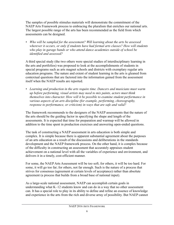The samples of possible stimulus materials will demonstrate the commitment of the NAEP Arts Framework process to embracing the pluralism that enriches our national arts. The largest possible range of the arts has been recommended as the field from which assessments can be designed.

*• Who will be sampled for the assessment? Will learning about the arts be assessed wherever it occurs, or only if students have had formal arts classes? How will students who play in garage bands or who attend dance academies outside of school be identified and assessed?*

A third special study (the two others were special studies of interdisciplinary learning in the arts and portfolios) was proposed to look at the accomplishments of students in special programs such as arts magnet schools and districts with exemplary regular arts education programs. The nature and extent of student learning in the arts is gleaned from contextual questions that are factored into the information gained from the assessment itself when the NAEP results are reported.

*• Learning and production in the arts require time. Dancers and musicians must warm up before performing, visual artists may need to mix paints, actors must think themselves into character. How will it be possible to examine student performance in various aspects of an arts discipline (for example, performing, choreography, response to performance, or criticism) in ways that are safe and valid?* 

The framework recommends to the designers of the NAEP assessments that the nature of the arts should be the guiding factor in specifying the shape and length of the assessments. It is expected that time for preparation and warmup will be allowed in addition to the time spent in production exercises and answering open-ended questions.

The task of constructing a NAEP assessment in arts education is both simple and complex. It is simple because there is apparent substantial agreement about the purposes of an arts education as a result of the discussions and deliberations in the standards development and the NAEP framework process. On the other hand, it is complex because of the difficulty in constructing an assessment that accurately appraises student achievement on a national level with all the variables of experience and environment, and delivers it in a timely, cost-efficient manner.

For some, the NAEP Arts Assessment will be too soft; for others, it will be too hard. For some, it will go too far; for others, not far enough. Such is the nature of a process that strives for consensus (agreement at certain levels of acceptance) rather than absolute agreement (a process that builds from a broad base of national input).

As a large-scale national assessment, NAEP can accomplish certain goals in understanding what K–12 students know and can do in a way that no other assessment can. It has a special role to play in its ability to define and refine an essence of knowledge and experience in the arts from the rich and diverse array of possibility. But NAEP cannot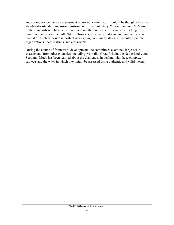and should not be the sole assessment of arts education. Nor should it be thought of as the standard-by-standard measuring instrument for the voluntary *National Standards.* Many of the standards will have to be examined in other assessment formats over a longer duration than is possible with NAEP. However, it is one significant and unique measure that takes its place beside important work going on in many states, universities, private organizations, local districts, and classrooms.

During the course of framework development, the committees examined large-scale assessments from other countries, including Australia, Great Britain, the Netherlands, and Scotland. Much has been learned about the challenges in dealing with these complex subjects and the ways in which they might be assessed using authentic and valid means.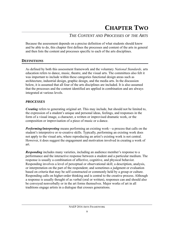# <span id="page-24-0"></span>*THE CONTENT AND PROCESSES OF THE ARTS*

Because the assessment depends on a precise definition of what students should know and be able to do, this chapter first defines the processes and content of the arts in general and then lists the content and processes specific to each of the arts disciplines.

# <span id="page-24-1"></span>**DEFINITIONS**

As defined by both this assessment framework and the voluntary *National Standards,* arts education refers to dance, music, theatre, and the visual arts. The committees also felt it was important to include within these categories functional design areas such as architecture, industrial design, graphic design, and the media arts. In the discussion below, it is assumed that all four of the arts disciplines are included. It is also assumed that the processes and the content identified are applied in combination and are always integrated at various levels.

### *PROCESSES*

*Creating* refers to generating original art. This may include, but should not be limited to, the expression of a student's unique and personal ideas, feelings, and responses in the form of a visual image, a character, a written or improvised dramatic work, or the composition or improvisation of a piece of music or a dance.

*Performing/interpreting* means performing an existing work—a process that calls on the student's interpretive or re-creative skills. Typically, performing an existing work does not apply to the visual arts, where reproducing an artist's existing work is not central. However, it does suggest the engagement and motivation involved in creating a work of art.

*Responding* includes many varieties, including an audience member's response to a performance and the interactive response between a student and a particular medium. The response is usually a combination of affective, cognitive, and physical behavior. Responding involves a level of perceptual or observational skill; a description, analysis, or interpretation on the part of the respondent; and sometimes a judgment or evaluation based on criteria that may be self-constructed or commonly held by a group or culture. Responding calls on higher-order thinking and is central to the creative process. Although a response is usually thought of as verbal (oral or written), responses can and should also be conveyed nonverbally or in the art forms themselves. Major works of art in all traditions engage artists in a dialogue that crosses generations.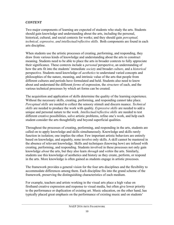#### *CONTENT*

Two major components of learning are expected of students who study the arts. Students should gain knowledge and understanding about the arts, including the personal, historical, cultural, and social contexts for works; and they should gain *perceptual, technical, expressive, and intellectual/reflective skills.* Both components are found in each arts discipline.

When students use the artistic processes of creating, performing, and responding, they draw from various kinds of knowledge and understanding about the arts to construct meaning. Students need to be able to place the arts in broader contexts to fully appreciate their significance. These contexts include a *personal* perspective, an understanding of how the arts fit into the students' immediate *society* and broader *culture*, and a *historical* perspective. Students need knowledge of *aesthetics* to understand varied concepts and philosophies of the nature, meaning, and intrinsic value of the arts that people from different cultures and periods have formulated and held. Students also need to know about and understand the different *forms* of expression, the *structure* of each, and the various technical processes by which art forms can be created.

The acquisition and application of skills determine the quality of the learning experience. Without the necessary skills, creating, performing, and responding cannot take place. *Perceptual skills* are needed to collect the sensory stimuli and discern nuance. *Technical skills* are needed to produce the work with quality. *Expressive skills* are needed to add a unique and personal nature to the work. *Intellectual/reflective skills* are needed to test different creative possibilities, solve artistic problems, refine one's work, and help each student consider the arts thoughtfully and beyond superficial qualities.

Throughout the processes of creating, performing, and responding in the arts, students are called on to apply knowledge and skills simultaneously. Knowledge and skills rarely function in isolation; one implies the other. Few important artistic behaviors are entirely based on knowledge, and arguably, none involve only skills. A skill cannot be mastered in the absence of relevant knowledge. Skills and techniques (knowing how) are infused with creating, performing, and responding. Students involved in these processes not only gain knowledge *about* the arts, but they also learn *through* and *within* the arts. Similarly, students use this knowledge of aesthetics and history as they create, perform, or respond in the arts. More knowledge is often gained as students engage in artistic processes.

The framework provides a general vision for the four arts disciplines and the flexibility to accommodate differences among them. Each discipline fits into the grand scheme of the framework, preserving the distinguishing characteristics of each medium.

For example, teachers and artists working in the visual arts place a high value on firsthand creative expression and response to visual media, but often give lower priority to the performance or duplication of existing art. Music education, on the other hand, has typically placed great emphasis on the performance of existing music and on students'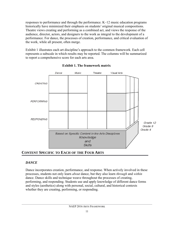responses to performance and through the performance. K–12 music education programs historically have minimized their emphasis on students' original musical compositions. Theatre views creating and performing as a combined act, and views the response of the audience, director, actors, and designers to the work as integral to the development of a performance. For dance, the processes of creation, performance, and critical evaluation of the work, while all present, often merge.

Exhibit 1 illustrates each art discipline's approach to the common framework. Each cell represents a subscale in which results may be reported. The columns will be summarized to report a comprehensive score for each arts area.



**Exhibit 1. The framework matrix** 

# <span id="page-26-0"></span>**CONTENT SPECIFIC TO EACH OF THE FOUR ARTS**

# *DANCE*

Dance incorporates creation, performance, and response. When actively involved in these processes, students not only learn *about* dance, but they also learn *through* and *within* dance. Dance skills and technique weave throughout the processes of creating, performing, and responding. Students use and apply knowledge of different dance forms and styles (aesthetics) along with personal, social, cultural, and historical contexts whether they are creating, performing, or responding.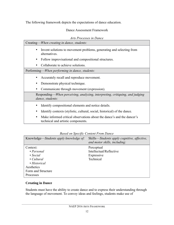The following framework depicts the expectations of dance education.

### Dance Assessment Framework

*Arts Processes in Dance*

| Creating— <i>When creating in dance</i> , <i>students</i> :                                                  |  |  |
|--------------------------------------------------------------------------------------------------------------|--|--|
| Invent solutions to movement problems, generating and selecting from<br>$\bullet$<br>alternatives.           |  |  |
| Follow improvisational and compositional structures.                                                         |  |  |
| Collaborate to achieve solutions.                                                                            |  |  |
| Performing— <i>When performing in dance</i> , <i>students</i> :                                              |  |  |
| Accurately recall and reproduce movement.<br>$\bullet$                                                       |  |  |
| Demonstrate physical technique.<br>٠                                                                         |  |  |
| Communicate through movement (expression).                                                                   |  |  |
| Responding—When perceiving, analyzing, interpreting, critiquing, and judging<br>dance, students:             |  |  |
| Identify compositional elements and notice details.                                                          |  |  |
| Identify contexts (stylistic, cultural, social, historical) of the dance.<br>٠                               |  |  |
| Make informed critical observations about the dance's and the dancer's<br>technical and artistic components. |  |  |

# *Based on Specific Content From Dance*

| Knowledge—Students apply knowledge of:                                                                                                | Skills—Students apply cognitive, affective,<br>and motor skills, including: |
|---------------------------------------------------------------------------------------------------------------------------------------|-----------------------------------------------------------------------------|
| Context:<br>$\cdot$ Personal<br>$\bullet$ Social<br>$\cdot$ Cultural<br>• Historical<br>Aesthetics<br>Form and Structure<br>Processes | Perceptual<br>Intellectual/Reflective<br>Expressive<br>Technical            |

### **Creating in Dance**

Students must have the ability to create dance and to express their understanding through the language of movement. To convey ideas and feelings, students make use of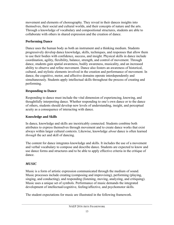movement and elements of choreography. They reveal in their dances insights into themselves, their social and cultural worlds, and their concepts of nature and the arts. Through a knowledge of vocabulary and compositional structures, students are able to collaborate with others in shared expression and the creation of dance.

# **Performing Dance**

Dance uses the human body as both an instrument and a thinking medium. Students progressively develop dance knowledge, skills, techniques, and responses that allow them to use their bodies with confidence, success, and insight. Physical skills in dance include coordination, agility, flexibility, balance, strength, and control of movement. Through dance, students gain spatial awareness, bodily awareness, musicality, and an increased ability to observe and refine movement. Dance also fosters an awareness of historical, cultural, and stylistic elements involved in the creation and performance of movement. In dance, the cognitive, motor, and affective domains operate interdependently and simultaneously. Students apply intellectual skills throughout the process of creating and performing.

# **Responding to Dance**

Responding to dance must include the vital dimension of experiencing, knowing, and thoughtfully interpreting dance. Whether responding to one's own dance or to the dance of others, students should develop new levels of understanding, insight, and perceptual acuity as a consequence of interacting with dance.

# **Knowledge and Skills**

In dance, knowledge and skills are inextricably connected. Students combine both attributes to express themselves through movement and to create dance works that exist always within larger cultural contexts. Likewise, knowledge *about* dance is often learned *through* the act and skill of dancing.

The content for dance integrates knowledge and skills. It includes the use of a movement and verbal vocabulary to compose and describe dance. Students are expected to know and use dance forms and structures and to be able to apply effective criteria in the critique of dance.

# *MUSIC*

Music is a form of artistic expression communicated through the medium of sound. Music processes include creating (composing and improvising), performing (playing, singing, and conducting), and responding (listening, moving, analyzing, and critiquing). Music uses a unique set of symbols. Performance of music demands the integrated development of intellectual/cognitive, feeling/affective, and psychomotor skills.

The student expectations for music are illustrated in the following framework.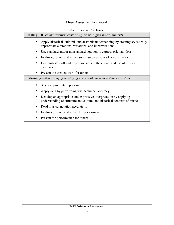### Music Assessment Framework

|                                                                              | Creating—When improvising, composing, or arranging music, students:                                                                           |
|------------------------------------------------------------------------------|-----------------------------------------------------------------------------------------------------------------------------------------------|
|                                                                              | Apply historical, cultural, and aesthetic understanding by creating stylistically<br>appropriate alterations, variations, and improvisations. |
| $\bullet$                                                                    | Use standard and/or nonstandard notation to express original ideas.                                                                           |
| ٠                                                                            | Evaluate, refine, and revise successive versions of original work.                                                                            |
|                                                                              | Demonstrate skill and expressiveness in the choice and use of musical<br>elements.                                                            |
|                                                                              | Present the created work for others.                                                                                                          |
| Performing—When singing or playing music with musical instruments, students: |                                                                                                                                               |
|                                                                              | Select appropriate repertoire.                                                                                                                |
|                                                                              | Apply skill by performing with technical accuracy.                                                                                            |
| ٠                                                                            | Develop an appropriate and expressive interpretation by applying<br>understanding of structure and cultural and historical contexts of music. |
|                                                                              | Read musical notation accurately.                                                                                                             |
|                                                                              | Evaluate, refine, and revise the performance.                                                                                                 |
|                                                                              | Present the performance for others.                                                                                                           |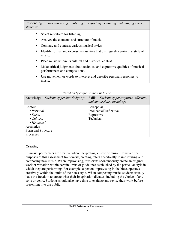Responding—*When perceiving, analyzing, interpreting, critiquing, and judging music, students:*

- Select repertoire for listening.
- Analyze the elements and structure of music.
- Compare and contrast various musical styles.
- Identify formal and expressive qualities that distinguish a particular style of music.
- Place music within its cultural and historical context.
- Make critical judgments about technical and expressive qualities of musical performances and compositions.
- Use movement or words to interpret and describe personal responses to music.

|                                        | Duseu on specific Coment in Music                                           |
|----------------------------------------|-----------------------------------------------------------------------------|
| Knowledge—Students apply knowledge of: | Skills—Students apply cognitive, affective,<br>and motor skills, including: |
| Context:                               | Perceptual                                                                  |
| $\cdot$ Personal                       | Intellectual/Reflective                                                     |
| $\bullet$ Social                       | Expressive                                                                  |
| $\cdot$ Cultural                       | Technical                                                                   |
| • Historical                           |                                                                             |
| Aesthetics                             |                                                                             |
| Form and Structure                     |                                                                             |
| Processes                              |                                                                             |

*Based on Specific Content in Music*

### **Creating**

In music, performers are creative when interpreting a piece of music. However, for purposes of this assessment framework, creating refers specifically to improvising and composing new music. When improvising, musicians spontaneously create an original work or variation within certain limits or guidelines established by the particular style in which they are performing. For example, a person improvising in the blues operates creatively within the limits of the blues style. When composing music, students usually have the freedom to create what their imagination dictates, including the choice of any style or genre. Students should also have time to evaluate and revise their work before presenting it to the public.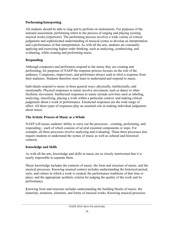# **Performing/Interpreting**

All students should be able to sing and to perform on instruments. For purposes of the national assessment, performing refers to the process of singing and playing existing musical works (repertoire). The performing process involves a wide variety of critical judgments and sophisticated understanding of musical syntax to develop an interpretation and a performance of that interpretation. As with all the arts, students are constantly applying and exercising higher order thinking, such as analyzing, synthesizing, and evaluating, while creating and performing music.

# **Responding**

Although composers and performers respond to the music they are creating and performing, for purposes of NAEP the response process focuses on the role of the audience. Composers, improvisers, and performers always seek to elicit a response from their audience. Students therefore must learn to understand and respond to music.

Individuals respond to music in three general ways: physically, intellectually, and emotionally. Physical responses to music involve movement, such as dance or other rhythmic movement. Intellectual responses to music include activities such as labeling, analyzing, classifying, placing a work within a particular context, and making critical judgments about a work or performance. Emotional responses are the wide range of affect. All three types of responses play an essential role in making individual judgments about music.

# **The Artistic Process of Music as a Whole**

NAEP will assess students' ability to carry out the processes—creating, performing, and responding—each of which consists of several essential components or steps. For example, all three processes involve analyzing and evaluating. These three processes also require students to understand the syntax of music as well as cultural and historical contexts.

# **Knowledge and Skills**

As with all the arts, knowledge and skills in music are so closely intertwined that it is nearly impossible to separate them.

Music knowledge includes the contexts of music, the form and structure of music, and the musical processes. Knowing musical context includes understanding the historical period, style, and culture in which a work is created; the performance traditions of that time or place; and the appropriate aesthetic criteria for judging the quality of the work and its performance.

Knowing form and structure includes understanding the building blocks of music: the materials, notations, elements, and forms of musical works. Knowing musical processes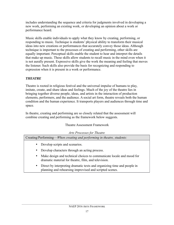includes understanding the sequence and criteria for judgments involved in developing a new work, performing an existing work, or developing an opinion about a work or performance heard.

Music skills enable individuals to apply what they know by creating, performing, or responding to music. Technique is students' physical ability to transform their musical ideas into new creations or performances that accurately convey those ideas. Although technique is important to the processes of creating and performing, other skills are equally important. Perceptual skills enable the student to hear and interpret the details that make up music. These skills allow students to recall music in the mind even when it is not aurally present. Expressive skills give the work the meaning and feeling that moves the listener. Such skills also provide the basis for recognizing and responding to expression when it is present in a work or performance.

# *THEATRE*

Theatre is rooted in religious festival and the universal impulse of humans to play, imitate, create, and share ideas and feelings. Much of the joy of the theatre lies in bringing together diverse people, ideas, and artists in the interaction of production elements, performers, and the audience. A social art form, theatre reveals both the human condition and the human experience. It transports players and audiences through time and space.

In theatre, creating and performing are so closely related that the assessment will combine creating and performing as the framework below suggests.

# Theatre Assessment Framework

| <b>Arts Processes for Theatre</b>                                                                                                         |  |  |
|-------------------------------------------------------------------------------------------------------------------------------------------|--|--|
| Creating/Performing— <i>When creating and performing in theatre, students:</i>                                                            |  |  |
| Develop scripts and scenarios.<br>$\bullet$                                                                                               |  |  |
| Develop characters through an acting process.<br>$\bullet$                                                                                |  |  |
| Make design and technical choices to communicate locale and mood for<br>$\bullet$<br>dramatic material for theatre, film, and television. |  |  |
| Direct by interpreting dramatic texts and organizing time and people in<br>$\bullet$                                                      |  |  |

 Direct by interpreting dramatic texts and organizing time and people in planning and rehearsing improvised and scripted scenes.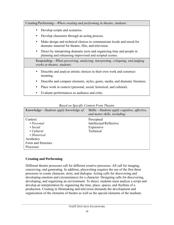| Creating/Performing— <i>When creating and performing in theatre, students:</i>                                                                  |
|-------------------------------------------------------------------------------------------------------------------------------------------------|
| Develop scripts and scenarios.                                                                                                                  |
| Develop characters through an acting process.                                                                                                   |
| Make design and technical choices to communicate locale and mood for<br>dramatic material for theatre, film, and television.                    |
| Direct by interpreting dramatic texts and organizing time and people in<br>$\bullet$<br>planning and rehearsing improvised and scripted scenes. |
| Responding—When perceiving, analyzing, interpreting, critiquing, and judging<br>works in theatre, students:                                     |
| Describe and analyze artistic choices in their own work and construct<br>meaning.                                                               |
| Describe and compare elements, styles, genre, media, and dramatic literature.                                                                   |
| Place work in context (personal, social, historical, and cultural).                                                                             |
| Evaluate performances as audience and critic.                                                                                                   |

### *Based on Specific Content From Theatre*

| Knowledge—Students apply knowledge of:                                                                                     | Skills—Students apply cognitive, affective,<br>and motor skills, including: |
|----------------------------------------------------------------------------------------------------------------------------|-----------------------------------------------------------------------------|
| Context:<br>$\cdot$ Personal<br>$\bullet$ Social<br>$\bullet$ Cultural<br>• Historical<br>Aesthetics<br>Form and Structure | Perceptual<br>Intellectual/Reflective<br>Expressive<br>Technical            |
| <b>Processes</b>                                                                                                           |                                                                             |

# **Creating and Performing**

Different theatre processes call for different creative processes. All call for imaging, conceiving, and generating. In addition, playwriting requires the use of the first three processes to create character, story, and dialogue. Acting calls for discovering and developing emotion and circumstances for a character. Designing calls for discovering, developing, and organizing an environment. To direct, students must analyze a script and develop an interpretation by organizing the time, place, spaces, and rhythms of a production. Creating in filmmaking and television demands the development and organization of the elements of theatre as well as the special elements of the medium.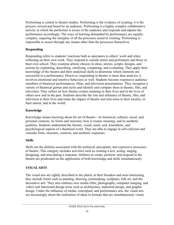Performing is central to theatre studies. Performing is the evidence of creating; it is the process viewed and heard by an audience. Performing is a highly complex collaborative activity in which the performer is aware of the audience and responds and adjusts the performance accordingly. The ways of learning demanded by performance are equally complex, requiring the interplay of all the processes noted in creating. Performing is impossible to assess through any means other than the processes themselves.

# **Responding**

Responding refers to students' reactions both as spectators to others' work and when reflecting on their own work. They respond to outside artists and performers and those in their own school. They examine artistic choices in ideas, stories, scripts, designs, and actions by explaining, describing, clarifying, comparing, and evaluating. They apply their knowledge of the theatre and their analytical skills to determine which elements are successful in a performance. However, responding in theatre is more than analysis; it involves emotional and intuitive behaviors as well. Students become responsive audience members of theatrical performances, films, and television presentations. They recognize a variety of theatrical genres and styles and identify and compare them in theatre, film, and television. They reflect on how theatre creates meaning in their lives and in the lives of others now and in the past. Students describe the role and influence of theatre, film, and television in their lives and relate the impact of theatre and television in their locality, in their nation, and in the world.

# **Knowledge**

Knowledge means knowing about the art of theatre—its historical, cultural, social, and personal contexts; its forms and structure; how it creates meaning; and its aesthetic qualities. Students understand the literary, visual, aural, oral, kinesthetic, and psychological aspects of a theatrical event. They are able to engage in self-criticism and consider form, structure, contexts, and aesthetic responses.

# **Skills**

Skills are the abilities associated with the technical, perceptual, and expressive processes of theatre. This category includes activities such as creating a text, acting, staging, designing, and articulating a response. Abilities to create, perform, and respond in the theatre are predicated on the application of both knowledge and skills simultaneously.

# *VISUAL ARTS*

The visual arts are rightly described in the plural; at their broadest and most interesting, they include forms such as painting, drawing, printmaking, sculpture, folk art, and the decorative arts. They also embrace new media (film, photography, computer imaging, and video) and functional design areas such as architecture, industrial design, and graphic design. Under the influence of media, conceptual, and performance arts, the visual arts are increasingly about the realization of ideas in formats that are simultaneously visual,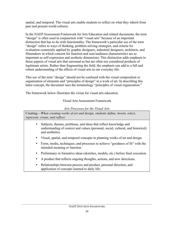spatial, and temporal. The visual arts enable students to reflect on what they inherit from past and present world cultures.

In the NAEP Assessment Framework for Arts Education and related documents, the term "design" is often used in conjunction with "visual arts" because of an important distinction that has to do with functionality. The framework's particular use of the term "design" refers to ways of thinking, problem-solving strategies, and criteria for evaluation commonly applied by graphic designers, industrial designers, architects, and filmmakers in which concern for function and user/audience characteristics are as important as self-expression and aesthetic dimensions. This distinction adds emphasis to those aspects of visual arts that surround us but are often not considered products of legitimate artists. Rather than fragmenting the field, the emphasis can add to a full and robust understanding of the effects of visual arts in our everyday life.

This use of the term "design" should not be confused with the visual composition or organization of elements and "principles of design" in a work of art. In describing this latter concept, the document uses the terminology "principles of visual organization."

The framework below illustrates the vision for visual arts education.

# Visual Arts Assessment Framework

# *Arts Processes for the Visual Arts*

Creating—*When creating works of art and design, students define, invent, select, represent, create, and reflect:*

- Subjects, themes, problems, and ideas that reflect knowledge and understanding of context and values (personal, social, cultural, and historical) and aesthetics.
- Visual, spatial, and temporal concepts in planning works of art and design.
- Form, media, techniques, and processes to achieve "goodness of fit" with the intended meaning or function.
- Preliminary or formative ideas (sketches, models, etc.) before final execution.
- A product that reflects ongoing thoughts, actions, and new directions.
- Relationships between process and product, personal direction, and application of concepts learned to daily life.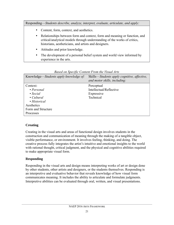Responding—*Students describe, analyze, interpret, evaluate, articulate, and apply:*

- Content, form, context, and aesthetics.
- Relationships between form and context, form and meaning or function, and critical/analytical models through understanding of the works of critics, historians, aestheticians, and artists and designers.
- Attitudes and prior knowledge.
- The development of a personal belief system and world view informed by experience in the arts.

|                                        | Based on Specific Content From the Visual Arts                              |
|----------------------------------------|-----------------------------------------------------------------------------|
| Knowledge—Students apply knowledge of: | Skills—Students apply cognitive, affective,<br>and motor skills, including: |
| Context:                               | Perceptual                                                                  |
| $\cdot$ Personal                       | Intellectual/Reflective                                                     |
| $\bullet$ Social                       | Expressive                                                                  |
| $\bullet$ Cultural                     | Technical                                                                   |
| • Historical                           |                                                                             |
| Aesthetics                             |                                                                             |
| Form and Structure                     |                                                                             |
| Processes                              |                                                                             |

#### *Based on Specific Content From the Visual Arts*

## **Creating**

Creating in the visual arts and areas of functional design involves students in the construction and communication of meaning through the making of a tangible object, visible performance, or environment. It involves feeling, thinking, and doing. The creative process fully integrates the artist's intuitive and emotional insights to the world with rational thought, critical judgment, and the physical and cognitive abilities required to make appropriate visual form.

## **Responding**

Responding in the visual arts and design means interpreting works of art or design done by other students, other artists and designers, or the students themselves. Responding is an interpretive and evaluative behavior that reveals knowledge of how visual form communicates meaning. It includes the ability to articulate and formulate judgments. Interpretive abilities can be evaluated through oral, written, and visual presentations.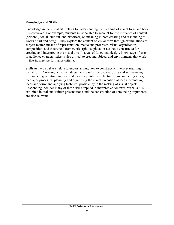#### **Knowledge and Skills**

Knowledge in the visual arts relates to understanding the meaning of visual form and how it is conveyed. For example, students must be able to account for the influence of context (personal, social, cultural, and historical) on meaning in both creating and responding to works of art and design. They explore the content of visual form through examinations of subject matter, means of representation, media and processes, visual organization, composition, and theoretical frameworks (philosophical or aesthetic constructs) for creating and interpreting the visual arts. In areas of functional design, knowledge of user or audience characteristics is also critical to creating objects and environments that work —that is, meet performance criteria.

Skills in the visual arts relate to understanding how to construct or interpret meaning in visual form. Creating skills include gathering information; analyzing and synthesizing experience; generating many visual ideas or solutions; selecting from competing ideas, media, or processes; planning and organizing the visual execution of ideas; evaluating ideas and form; and applying technical proficiency in the making of visual objects. Responding includes many of these skills applied in interpretive contexts. Verbal skills, exhibited in oral and written presentations and the construction of convincing arguments, are also relevant.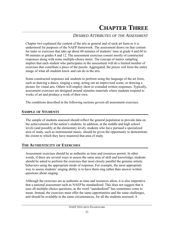# **CHAPTER THREE**

# *DESIRED ATTRIBUTES OF THE ASSESSMENT*

Chapter two explained the content of the arts in general and of each art form as it is understood for purposes of the NAEP framework. The assessment draws on that content for tasks or exercises that take up about 60 minutes of students' time at grade 4 and 60 to 90 minutes at grades 8 and 12. The assessment exercises consist mostly of constructed responses along with some multiple-choice items. The concept of matrix sampling implies that each student who participates in the assessment will do a limited number of exercises that contribute a piece of the puzzle. Aggregated, the pieces will form the entire image of what all students know and can do in the arts.

Some constructed responses ask students to perform using the language of the art form, such as dancing a dance, singing a song, acting out an improvised scene, or drawing a picture for visual arts. Others will employ short or extended written responses. Typically, assessment exercises are designed around stimulus materials where students respond to works of art and produce a work of their own.

The conditions described in the following sections govern all assessment exercises.

#### **SAMPLE OF STUDENTS**

The sample of students assessed should reflect the general population to provide data on the achievements of the nation's students. In addition, at the middle and high school levels (and possibly at the elementary level), students who have pursued a specialized area of study, such as instrumental music, should be given the opportunity to demonstrate the extent to which they have mastered that area of study.

## **THE AUTHENTICITY OF EXERCISES**

Assessment exercises should be as authentic as time and resources permit. In other words, if there are several ways to assess the same area of skill and knowledge, students should be asked to perform the exercises that most closely parallel the genuine artistic behaviors using the appropriate mode of response. For example, the most appropriate way to assess students' singing ability is to have them sing rather than answer written questions about singing.

Although the exercises are as authentic as time and resources allow, it is also imperative that a national assessment such as NAEP be standardized. This does not suggest that it uses all multiple-choice questions, as the word "standardized" has sometimes come to mean. Instead, the exercises must offer the same opportunities and the same challenges, and should be available in the same circumstances, for all the students assessed. A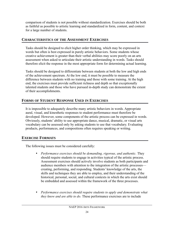comparison of students is not possible without standardization. Exercises should be both as faithful as possible to artistic learning and standardized in form, content, and context for a large number of students.

## **CHARACTERISTICS OF THE ASSESSMENT EXERCISES**

Tasks should be designed to elicit higher order thinking, which may be expressed in words but often is best expressed in purely artistic behaviors. Some students whose creative achievement is greater than their verbal abilities may score poorly on an arts assessment when asked to articulate their artistic understanding in words. Tasks should therefore elicit the response in the most appropriate form for determining actual learning.

Tasks should be designed to differentiate between students at both the low and high ends of the achievement spectrum. At the low end, it must be possible to measure the difference between students with no training and those with some training. At the high end, the exercises must provide sufficient richness and depth so that exceptionally talented students and those who have pursued in-depth study can demonstrate the extent of their accomplishments.

## **FORMS OF STUDENT RESPONSE USED IN EXERCISES**

It is impossible to adequately describe many artistic behaviors in words. Appropriate aural, visual, and kinesthetic responses to student performance must therefore be developed. However, some components of the artistic process can be expressed in words. Obviously, students' ability to use appropriate dance, musical, dramatic, or visual arts vocabulary can be assessed only by asking students to use that vocabulary. Evaluating products, performances, and compositions often requires speaking or writing.

## **EXERCISE FORMATS**

The following issues must be considered carefully:

- *Performance exercises should be demanding, rigorous, and authentic.* They should require students to engage in activities typical of the artistic process. Assessment exercises should actively involve students as both participants and audience members with attention to the integration of the artistic processes creating, performing, and responding. Students' knowledge of the arts, the skills and techniques they are able to employ, and their understanding of the historical, personal, social, and cultural contexts in which the arts exist should be embedded and assessed within the framework of the three processes.
- *Performance exercises should require students to apply and demonstrate what they know and are able to do.* These performance exercises are to include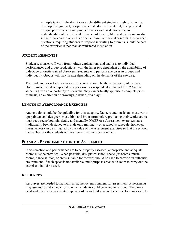multiple tasks. In theatre, for example, different students might plan, write, develop dialogue, act, design sets, create dramatic material, interpret, and critique performances and productions, as well as demonstrate an understanding of the role and influence of theatre, film, and electronic media in their lives and in other historical, cultural, and social contexts. Open-ended questions, requiring students to respond in writing to prompts, should be part of the exercises rather than administered in isolation.

#### **STUDENT RESPONSES**

Student responses will vary from written explanations and analyses to individual performances and group productions, with the latter two dependent on the availability of videotape or onsite trained observers. Students will perform exercises in groups and individually. Groups will vary in size depending on the demands of the exercise.

The guideline for selecting a mode of response should be the authenticity of the task. Does it match what is expected of a performer or respondent in that art form? Are the students given an opportunity to show that they can critically appraise a complete piece of music, an exhibition of drawings, a dance, or a play?

## **LENGTH OF PERFORMANCE EXERCISES**

Authenticity should be the guideline for this category. Dancers and musicians must warm up; painters and designers must think and brainstorm before producing their work; actors must set a scene both physically and mentally. NAEP Arts Assessment exercises have traditionally been designed to intrude only minimally on a school's schedule; however, intrusiveness can be mitigated by the value of the assessment exercises so that the school, the teachers, or the students will not resent the time spent on them.

## **PHYSICAL ENVIRONMENT FOR THE ASSESSMENT**

If arts creation and performance are to be properly assessed, appropriate and adequate rooms must be provided. When possible, designated school space (art rooms, music rooms, dance studios, or areas suitable for theatre) should be used to provide an authentic environment. If such space is not available, multipurpose areas with room to carry out the exercises should be used.

## **RESOURCES**

Resources are needed to maintain an authentic environment for assessment. Assessments may use audio and video clips to which students could be asked to respond. They may need audio and video capacity (tape recorders and video recorders) if performances are to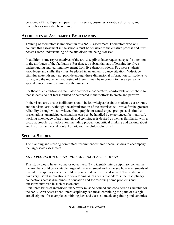be scored offsite. Paper and pencil, art materials, costumes, storyboard formats, and microphones may also be required.

## **ATTRIBUTES OF ASSESSMENT FACILITATORS**

Training of facilitators is important in this NAEP assessment. Facilitators who will conduct this assessment in the schools must be sensitive to the creative process and must possess some understanding of the arts discipline being assessed.

In addition, some representatives of the arts disciplines have requested specific attention to the attributes of the facilitators. For dance, a substantial part of learning involves understanding and learning movement from live demonstrations. To assess students' knowledge and skills, they must be placed in an authentic dance situation. Videotape stimulus materials may not provide enough three-dimensional information for students to fully grasp the movement requested of them. It may be important to have a person with special dance training administer the assessment.

For theatre, an arts-trained facilitator provides a cooperative, comfortable atmosphere so that students do not feel inhibited or hampered in their efforts to create and perform.

In the visual arts, onsite facilitators should be knowledgeable about students, classrooms, and the visual arts. Although the administration of the exercises will strive for the greatest reliability through video, written, photographic, or actual object prompts and stimulus presentations, unanticipated situations can best be handled by experienced facilitators. A working knowledge of art materials and techniques is desired as well as familiarity with a broad approach to art education, including production, critical thinking and writing about art, historical and social context of art, and the philosophy of art.

## **SPECIAL STUDIES**

The planning and steering committees recommended three special studies to accompany the large-scale assessment.

## *AN EXPLORATION OF INTERDISCIPLINARY ASSESSMENT*

This study would have two major objectives: (1) to identify interdisciplinary content in the arts that could be a suitable target of the assessment and (2) to see how assessments of this interdisciplinary content could be planned, developed, and scored. The study could have very useful implications for developing assessments that address interdisciplinary connections across disciplines in education and for resolving some problems and questions involved in such assessments.

First, three kinds of interdisciplinary work must be defined and considered as suitable for the NAEP Arts Assessment. Interdisciplinary can mean combining the parts of a single arts discipline; for example, combining jazz and classical music or painting and ceramics.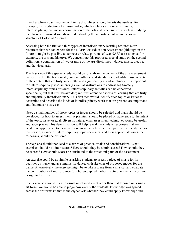Interdisciplinary can involve combining disciplines among the arts themselves; for example, the production of a music video, which includes all four arts. Finally, interdisciplinary can mean a combination of the arts and other subjects, such as studying the physics of musical sounds or understanding the importance of art in the social structure of Colonial America.

Assessing both the first and third types of interdisciplinary learning requires more resources than we can expect for the NAEP Arts Education Assessment (although in the future, it might be possible to connect or relate portions of two NAEP assessments; for example, the arts and history). We concentrate this proposed special study on the second definition, a combination of two or more of the arts disciplines—dance, music, theatre, and the visual arts.

The first step of this special study would be to analyze the content of the arts assessment (as specified in the framework, content outlines, and standards) to identify those aspects of the content that are truly, inherently, and significantly interdisciplinary. It is important for interdisciplinary assessments (as well as instruction) to address legitimately interdisciplinary topics or issues. Interdisciplinary activities can be conceived specifically, but that must be avoided; we must attend to aspects of learning that are truly and impartially interdisciplinary. This first step would identify such topics or issues to determine and describe the kinds of interdisciplinary work that are present, are important, and that must be assessed.

Next, a small number of those topics or issues should be selected and plans should be developed for how to assess them. A premium should be placed on adherence to the intent of the topic, issue, or goal. Given its nature, what assessment techniques would be useful and appropriate? This determination will help reveal the kinds of responses that are needed or appropriate to measure these areas, which is the main purpose of the study. For this reason, a range of interdisciplinary topics or issues, and their appropriate assessment responses, should be explored.

These plans should then lead to a series of practical trials and considerations. What exercises should be administered? How should they be administered? How should they be scored? How should scores be attributed to the structural parts of the assessment?

An exercise could be as simple as asking students to assess a piece of music for its qualities as music and as stimulus for dance, with sketches of proposed moves for the dance. Alternatively, the exercise might be to take a scene from a musical and evaluate the contributions of music, dance (or choreographed motion), acting, scene, and costume design to the effect.

Such exercises would elicit information of a different order than that focused on a single art form. We would be able to judge how evenly the students' knowledge was spread across the art forms (if that is the objective); whether they could apply knowledge and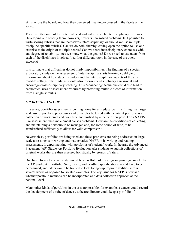skills across the board; and how they perceived meaning expressed in the facets of the scene.

There is little doubt of the potential need and value of such interdisciplinary exercises. Developing and scoring them, however, presents unresolved problems. Is it possible to write scoring rubrics that are themselves interdisciplinary, or should we use multiple, discipline-specific rubrics? Can we do both, thereby leaving open the option to use one exercise as the origin of multiple scores? Can we score interdisciplinary exercises with any degree of reliability, once we know what the goal is? Do we need to use raters from each of the disciplines involved (i.e., four different raters in the case of the opera excerpt)?

It is fortunate that difficulties do not imply impossibilities. The findings of a special exploratory study on the assessment of interdisciplinary arts learning could yield information about how students understand the interdisciplinary aspects of the arts in real-life settings. The findings should also inform interdisciplinary assessment and encourage cross-disciplinary teaching. This "connecting" technique could also lead to economical uses of assessment resources by providing multiple pieces of information from a single stimulus.

## *A PORTFOLIO STUDY*

In a sense, portfolio assessment is coming home for arts educators. It is fitting that largescale use of portfolio procedures and principles be tested with the arts. A portfolio is a collection of work produced over time and unified by a theme or purpose. For a NAEPlike assessment, the time element causes problems. How are the conditions of collecting and maintaining a portfolio to be managed and, for some period of time, to be standardized sufficiently to allow for valid comparison?

Nevertheless, portfolios are being used and these problems are being addressed in largescale assessments in writing and mathematics. NAEP, in its writing and reading assessments, is experimenting with portfolios of students' work. In the arts, the Advanced Placement (AP) Studio Art Portfolio Evaluation asks students to submit collections of original works that are then assessed holistically by groups of raters.

One basic form of special study would be a portfolio of drawings or paintings, much like the AP Studio Art Portfolio. Size, theme, and deadline specifications would have to be determined, and raters would be trained to look for age-appropriate abilities across several works as opposed to isolated examples. The key issue for NAEP is how and whether portfolio methods can be incorporated as a data collection approach at the national level.

Many other kinds of portfolios in the arts are possible; for example, a dancer could record the development of a suite of dances, a theatre director could keep a portfolio of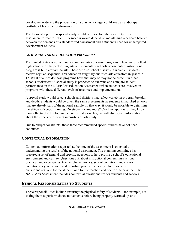developments during the production of a play, or a singer could keep an audiotape portfolio of his or her performance.

The focus of a portfolio special study would be to explore the feasibility of the assessment format for NAEP. Its success would depend on maintaining a delicate balance between the demands of a standardized assessment and a student's need for unhampered development of ideas.

## *COMPARING ARTS EDUCATION PROGRAMS*

The United States is not without exemplary arts education programs. There are excellent high schools for the performing arts and elementary schools whose entire instructional program is built around the arts. There are also school districts in which all students receive regular, sequential arts education taught by qualified arts educators in grades K– 12. What qualities do these programs have that may or may not be present in other schools or districts? A special study is proposed to examine and compare student performance on the NAEP Arts Education Assessment when students are involved in programs with these different levels of resources and implementation.

A special study would select schools and districts that reflect variety in program breadth and depth. Students would be given the same assessments as students in matched schools that are already part of the national sample. In that way, it would be possible to determine the effects of special training. Do students know more? Can they apply what they know more effectively? By looking at contextual variables, we will also obtain information about the effects of different intensities of arts study.

Due to budget constraints, these three recommended special studies have not been conducted.

## **CONTEXTUAL INFORMATION**

Contextual information requested at the time of the assessment is essential to understanding the results of the national assessment. The planning committee has prepared a set of general and specific questions to help profile a school's educational environment and culture. Questions ask about instructional content, instructional practices and experiences, teacher characteristics, school conditions and context, conditions beyond school, and reporting groups. Typically, NAEP uses three questionnaires: one for the student, one for the teacher, and one for the principal. The NAEP Arts Assessment includes contextual questionnaires for students and schools.

## **ETHICAL RESPONSIBILITIES TO STUDENTS**

These responsibilities include ensuring the physical safety of students—for example, not asking them to perform dance movements before being properly warmed up or to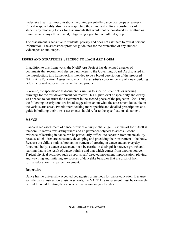undertake theatrical improvisations involving potentially dangerous props or scenery. Ethical responsibility also means respecting the ethnic and cultural sensibilities of students by choosing topics for assessments that would not be construed as insulting or biased against any ethnic, racial, religious, geographic, or cultural group.

The assessment is sensitive to students' privacy and does not ask them to reveal personal information. The assessment provides guidelines for the protection of any student videotapes or audiotapes.

## **ISSUES AND STRATEGIES SPECIFIC TO EACH ART FORM**

In addition to this framework, the NAEP Arts Project has developed a series of documents that recommend design parameters to the Governing Board. As discussed in the introduction, this framework is intended to be a broad description of the proposed NAEP Arts Education Assessment, much like an artist's color rendering of a new building helps the casual observer visualize the end product.

Likewise, the specifications document is similar to specific blueprints or working drawings for the test development contractor. This higher level of specificity and clarity was needed to construct the assessment in the second phase of the project in 1994. Thus, the following descriptions are broad suggestions about what the assessment looks like in the various arts areas. Practitioners seeking more specific and detailed prescriptions as a guide in building their own assessments should refer to the specifications document.

## *DANCE*

Standardized assessment of dance provides a unique challenge. First, the art form itself is temporal; it leaves few lasting traces and no permanent objects to assess. Second, evidence of learning in dance can be particularly difficult to separate from innate ability because all children are constantly developing and practicing their instrument—the body. Because the child's body is both an instrument of creating in dance and an everyday functional body, a dance assessment must be careful to distinguish between growth and learning that is the result of dance training and that which comes from another source. Typical physical activities such as sports, self-directed movement improvisation, playing, and watching and imitating are sources of dancelike behavior that are distinct from formal education in creative movement.

## **Repertoire**

Dance has no universally accepted pedagogies or methods for dance education. Because so little dance instruction exists in schools, the NAEP Arts Assessment must be extremely careful to avoid limiting the exercises to a narrow range of styles.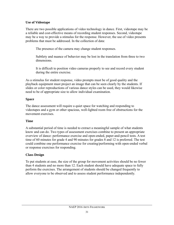#### **Use of Videotape**

There are two possible applications of video technology in dance. First, videotape may be a reliable and cost-effective means of recording student responses. Second, videotape may be a way to provide a stimulus for the response. However, the use of video presents problems that must be addressed. In the collection of data:

The presence of the camera may change student responses.

Subtlety and nuance of behavior may be lost in the translation from three to two dimensions.

It is difficult to position video cameras properly to see and record every student during the entire exercise.

As a stimulus for student response, video prompts must be of good quality and the playback equipment must project an image that can be seen clearly by the students. If slides or color reproductions of various dance styles can be used, they would likewise need to be of appropriate size to allow individual examination.

## **Space**

The dance assessment will require a quiet space for watching and responding to videotapes and a gym or other spacious, well-lighted room free of obstructions for the movement exercises.

## **Time**

A substantial period of time is needed to extract a meaningful sample of what students know and can do. Two types of assessment exercises combine to present an appropriate overview of dance: performance exercise and open-ended, paper-and-pencil tests. A test time of 60 minutes for grade 4 and 90 minutes for grades 8 and 12 is preferred. The test could combine one performance exercise for creating/performing with open-ended verbal or response exercises for responding.

## **Class Design**

To put students at ease, the size of the group for movement activities should be no fewer than 4 students and no more than 12. Each student should have adequate space to fully perform the exercises. The arrangement of students should be changed frequently to allow everyone to be observed and to assess student performance independently.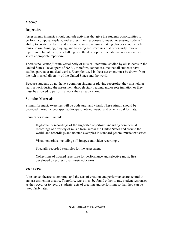#### *MUSIC*

#### **Repertoire**

Assessments in music should include activities that give the students opportunities to perform, compose, explain, and express their responses to music. Assessing students' ability to create, perform, and respond to music requires making choices about which music to use. Singing, playing, and listening are processes that necessarily involve repertoire. One of the great challenges to the developers of a national assessment is to select appropriate repertoire.

There is no "canon," or universal body of musical literature, studied by all students in the United States. Developers of NAEP, therefore, cannot assume that all students have studied particular musical works. Examples used in the assessment must be drawn from the rich musical diversity of the United States and the world.

Because students do not have a common singing or playing repertoire, they must either learn a work during the assessment through sight-reading and/or rote imitation or they must be allowed to perform a work they already know.

#### **Stimulus Materials**

Stimuli for music exercises will be both aural and visual. These stimuli should be provided through videotapes, audiotapes, notated music, and other visual formats.

Sources for stimuli include:

High-quality recordings of the suggested repertoire, including commercial recordings of a variety of music from across the United States and around the world, and recordings and notated examples in standard general music text series.

Visual materials, including still images and video recordings.

Specially recorded examples for the assessment.

Collections of notated repertoire for performance and selective music lists developed by professional music educators.

#### *THEATRE*

Like dance, theatre is temporal, and the acts of creation and performance are central to any assessment in theatre. Therefore, ways must be found either to rate student responses as they occur or to record students' acts of creating and performing so that they can be rated fairly later.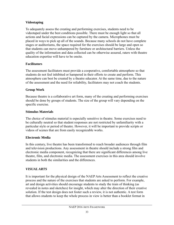## **Videotaping**

To adequately assess the creating and performing exercises, students need to be videotaped under the best conditions possible. There must be enough light so that all actions and facial expressions can be captured by the camera. Microphones must be placed in ways to pick up all of the sounds. Because many schools do not have complete stages or auditoriums, the space required for the exercises should be large and open so that students can move unhampered by furniture or architectural barriers. Unless the quality of the information and data collected can be otherwise assured, raters with theatre education expertise will have to be onsite.

#### **Facilitators**

The assessment facilitators must provide a cooperative, comfortable atmosphere so that students do not feel inhibited or hampered in their efforts to create and perform. This atmosphere can best be created by a theatre educator. At the same time, due to the nature of the assessment and the need for reliability, facilitators may not coach the students.

#### **Group Work**

Because theatre is a collaborative art form, many of the creating and performing exercises should be done by groups of students. The size of the group will vary depending on the specific exercise.

#### **Stimulus Materials**

The choice of stimulus material is especially sensitive in theatre. Some exercises need to be culturally neutral so that student responses are not restricted by unfamiliarity with a particular style or period of theatre. However, it will be important to provide scripts or videos of scenes that are from easily recognizable works.

#### **Electronic Media**

In this century, live theatre has been transformed to reach broader audiences through film and television productions. Any assessment in theatre should include a strong film and electronic media component, recognizing that there are significant differences among live theatre, film, and electronic media. The assessment exercises in this area should involve students in both the similarities and the differences.

#### *VISUAL ARTS*

It is important for the physical design of the NAEP Arts Assessment to reflect the creative process and the nature of the exercises that students are asked to perform. For example, art and design activities should encourage students to study the train of thinking (as revealed in notes and sketches) for insight, which may alter the direction of their creative solution. If the test design does not foster such a review, it is not authentic. A test form that allows students to keep the whole process in view is better than a booklet format in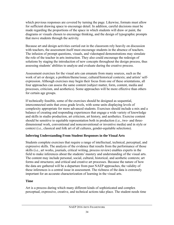which previous responses are covered by turning the page. Likewise, formats must allow for sufficient drawing space to encourage detail. In addition, careful decisions must be made regarding the proportions of the space in which students will draw or paint, the diagrams or visuals chosen to encourage thinking, and the design of typographic prompts that move students through the activity.

Because art and design activities carried out in the classroom rely heavily on discussion with teachers, the assessment itself must encourage students in the absence of teachers. The infusion of prompt questions, visuals, and videotaped demonstrations may simulate the role of the teacher in arts instruction. They also could encourage the redesign of solutions by staging the introduction of new concepts throughout the design process, thus assessing students' abilities to analyze and evaluate during the creative process.

Assessment exercises for the visual arts can emanate from many sources, such as the work of art or design; a problem/theme/issue; cultural/historical contexts; and artists' selfexpression. Although exercises may begin their focus from one of these orientations, all four approaches can assess the same content (subject matter, form, content, media and processes, criticism, and aesthetics). Some approaches will be more effective than others for certain age groups.

If technically feasible, some of the exercises should be designed as sequential, interconnected units that cross grade levels, with some units displaying levels of complexity appropriate for more advanced students. Exercises should include a mix and a balance of creating and responding experiences that engage a wide variety of knowledge and skills in studio production, art criticism, art history, and aesthetics. Exercise content should be sensitive to equitable representation both in production (i.e., two- and threedimensional work, conventional and nonconventional or inventive media) and in style or context (i.e., classical and folk art of all cultures, gender-equitable selections).

## **Inferring Understanding From Student Responses in the Visual Arts**

Students complete exercises that require a range of intellectual, technical, perceptual, and expressive skills. The analysis of the evidence that results from the performance of those skills (i.e., art works, journals, critical writing, process review) enables experts in the field to make inferences about the students' mastery and understanding of the visual arts. The content may include personal, social, cultural, historical, and aesthetic contexts; art forms and structures; and critical and creative art processes. Because the nature of how the data are gathered will be a departure from past NAEP approaches, the validity of these inferences is a central issue in assessment. The richness of the data is extremely important for an accurate characterization of learning in the visual arts.

#### **Time**

Art is a process during which many different kinds of sophisticated and complex perceptual, expressive, creative, and technical actions take place. The student needs time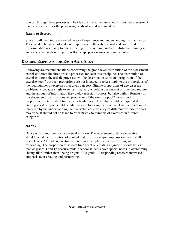to work through these processes. The idea of small-, medium-, and large-sized assessment blocks works well for the processing needs of visual arts and design.

## **Raters or Scorers**

Scorers will need more advanced levels of experience and understanding than facilitators. They need to be aware of and have experience in the subtle visual and contextual discrimination necessary to rate a creating or responding product. Substantial training in and experience with scoring of portfolio-type process materials are essential.

## **DESIRED EMPHASIS FOR EACH ARTS AREA**

Following are recommendations concerning the grade-level distribution of the assessment exercises across the three artistic processes for each arts discipline. The distribution of exercises across the artistic processes will be described in terms of "proportion of the exercise pool," but such proportions are not intended to refer simply to the proportions of the total number of exercises in a given category. Simple proportions of exercises are problematic because single exercises may vary widely in the amount of time they require and the amount of information they yield (especially across, but also within, formats). In this document, specifications of "proportion of the exercise pool" correspond to proportion of total student time at a particular grade level that would be required if the entire grade-level pool could be administered to a single individual. This specification is tempered by the understanding that the statistical efficiency of different exercise formats may vary. It should not be taken to refer strictly to numbers of exercises in different categories.

## *DANCE*

Dance is first and foremost a physical art form. The assessment of dance education should include a distribution of content that reflects a major emphasis on dance at all grade levels. At grade 4, creating receives more emphasis than performing and responding. The proportion of student time spent on creating at grade 8 should be less than at grades 4 and 12 because middle school students have special needs in overcoming "being alike" rather than "being original." At grade 12, responding receives increased emphasis over creating and performing.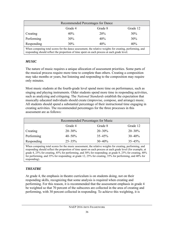| Recommended Percentages for Dance                                                                                                                                                                       |     |     |     |
|---------------------------------------------------------------------------------------------------------------------------------------------------------------------------------------------------------|-----|-----|-----|
| Grade 4<br>Grade 8<br>Grade 12                                                                                                                                                                          |     |     |     |
| Creating                                                                                                                                                                                                | 40% | 20% | 30% |
| Performing                                                                                                                                                                                              | 30% | 40% | 30% |
| Responding                                                                                                                                                                                              | 30% | 40% | 40% |
| When computing total scores for the dance assessment, the relative weights for creating, performing, and<br>responding should reflect the proportion of time spent on each process at each grade level. |     |     |     |

#### *MUSIC*

The nature of music requires a unique allocation of assessment priorities. Some parts of the musical process require more time to complete than others. Creating a composition may take months or years, but listening and responding to the composition may require only minutes.

Most music students at the fourth-grade level spend more time on performance, such as singing and playing instruments. Older students spend more time in responding activities, such as analyzing and critiquing. The *National Standards* establish the expectation that musically educated individuals should create (improvise, compose, and arrange) music. All students should spend a substantial percentage of their instructional time engaging in creating activities. The recommended percentages for the three processes in this assessment are as follows:

| Recommended Percentages for Music |             |             |             |
|-----------------------------------|-------------|-------------|-------------|
| Grade 8<br>Grade 12<br>Grade 4    |             |             |             |
| Creating                          | $20 - 30\%$ | $20 - 30\%$ | $20 - 30\%$ |
| Performing                        | $40 - 50\%$ | $35 - 45\%$ | $30 - 40\%$ |
| Responding                        | $25 - 35\%$ | $30 - 40\%$ | $35 - 45\%$ |

When computing total scores for the music assessment, the relative weights for creating, performing, and responding should reflect the proportion of time spent on each process at each grade level (for example, at grade 4, 25% for creating, 45% for performing, and 30% for responding; at grade 8, 25% for creating, 40% for performing, and 35% for responding; at grade 12, 25% for creating, 35% for performing, and 40% for responding).

## *THEATRE*

At grade 4, the emphasis in theatre curriculum is on students doing, not on their responding skills, recognizing that some analysis is required when creating and performing. For this reason, it is recommended that the assessment emphasis in grade 4 be weighted so that 70 percent of the subscores are collected in the area of creating and performing, with 30 percent collected in responding. To achieve this weighting, it is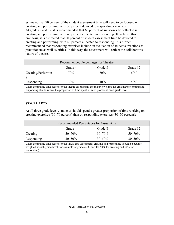estimated that 70 percent of the student assessment time will need to be focused on creating and performing, with 30 percent devoted to responding exercises. At grades 8 and 12, it is recommended that 60 percent of subscores be collected in creating and performing, with 40 percent collected in responding. To achieve this emphasis, it is estimated that 60 percent of student assessment time be devoted to creating and performing, with 40 percent allocated to responding. It is further recommended that responding exercises include an evaluation of students' reactions as practitioners as well as critics. In this way, the assessment will reflect the collaborative nature of theatre.

| Recommended Percentages for Theatre                                                                                                                                                                     |         |         |          |
|---------------------------------------------------------------------------------------------------------------------------------------------------------------------------------------------------------|---------|---------|----------|
|                                                                                                                                                                                                         | Grade 4 | Grade 8 | Grade 12 |
| Creating/Performin<br>g                                                                                                                                                                                 | 70%     | 60%     | 60%      |
| Responding                                                                                                                                                                                              | $30\%$  | 40%     | 40%      |
| When computing total scores for the theatre assessment, the relative weights for creating/performing and<br>responding should reflect the proportion of time spent on each process at each grade level. |         |         |          |

#### *VISUAL ARTS*

At all three grade levels, students should spend a greater proportion of time working on creating exercises (50–70 percent) than on responding exercises (30–50 percent):

| Recommended Percentages for Visual Arts                                                                                                                                                                                  |             |             |             |
|--------------------------------------------------------------------------------------------------------------------------------------------------------------------------------------------------------------------------|-------------|-------------|-------------|
| Grade 4<br>Grade 8<br>Grade 12                                                                                                                                                                                           |             |             |             |
| Creating                                                                                                                                                                                                                 | $50 - 70%$  | $50 - 70%$  | $50 - 70\%$ |
| Responding                                                                                                                                                                                                               | $30 - 50\%$ | $30 - 50\%$ | $30 - 50\%$ |
| When computing total scores for the visual arts assessment, creating and responding should be equally<br>weighted at each grade level (for example, at grades 4, 8, and 12, 50% for creating and 50% for<br>responding). |             |             |             |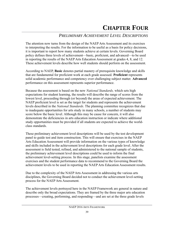# **CHAPTER FOUR**

# *PRELIMINARY ACHIEVEMENT LEVEL DESCRIPTIONS*

The attention now turns from the design of the NAEP Arts Assessment and its exercises to interpreting the results. For the information to be useful as a basis for policy decisions, it is important to report how many students achieve at certain levels. Governing Board policy defines three levels of achievement—basic, proficient, and advanced—to be used in reporting the results of the NAEP Arts Education Assessment at grades 4, 8, and 12. These achievement levels describe how well students should perform on the assessment.

According to NAEP, **Basic** denotes partial mastery of prerequisite knowledge and skills that are fundamental for proficient work at each grade assessed. **Proficient** represents solid academic performance and competency over challenging subject matter. **Advanced**  performance on this assessment represents superior performance.

Because the assessment is based on the new *National Standards,* which sets high expectations for student learning, the results will describe the range of scores from the lowest level, proceeding through (or beyond) the areas of expected achievement. The NAEP proficient level is set as the target for students and represents the achievement levels described in the *National Standards.* The planning committee recognizes that due to inadequate opportunities for arts study in many schools, a number of students may score below the basic level. Although this may be cause for concern, it will also demonstrate the deficiencies in arts education instruction or indicate where additional study opportunities must be provided if all students are expected to achieve the worldclass standards.

These preliminary achievement level descriptions will be used by the test development panel to guide test and item construction. This will ensure that exercises in the NAEP Arts Education Assessment will provide information on the various types of knowledge and skills included in the achievement level descriptions for each grade level. After the assessment is field tested, refined, and administered to the national sample of students, the preliminary achievement level descriptions could be used to inform the final achievement level-setting process. In this stage, panelists examine the assessment exercises and the student performance data to recommend to the Governing Board the achievement levels to be used in reporting the NAEP Arts Education Assessment results.

Due to the complexity of the NAEP Arts Assessment in addressing the various arts disciplines, the Governing Board decided not to conduct the achievement level-setting process for the NAEP Arts Assessment.

The achievement levels portrayed here in the NAEP Framework are general in nature and describe only the broad expectations. They are framed by the three major arts education processes—creating, performing, and responding—and are set at the three grade levels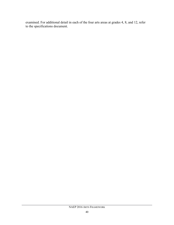examined. For additional detail in each of the four arts areas at grades 4, 8, and 12, refer to the specifications document.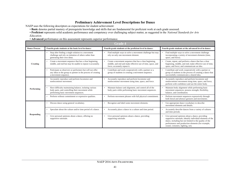NAEP uses the following descriptors as expectations for student achievement:

• **Basic** denotes partial mastery of prerequisite knowledge and skills that are fundamental for proficient work at each grade assessed.

• **Proficient** represents solid academic performance and competency over challenging subject matter, as suggested in the *National Standards for Arts Education.*

• **Advanced** performance on this assessment represents superior performance.

| Grade 4              |                                                                                                                                                    |                                                                                                                                                      |                                                                                                                                                                                                                                                                 |
|----------------------|----------------------------------------------------------------------------------------------------------------------------------------------------|------------------------------------------------------------------------------------------------------------------------------------------------------|-----------------------------------------------------------------------------------------------------------------------------------------------------------------------------------------------------------------------------------------------------------------|
| <b>Dance Process</b> | Fourth-grade students at the basic level in dance:                                                                                                 | Fourth-grade students at the proficient level in dance:                                                                                              | Fourth-grade students at the advanced level in dance:                                                                                                                                                                                                           |
| Creating             | Stop after finding a single solution to a movement<br>challenge and rely on imitation of others rather than<br>generating their own ideas.         | Find multiple ways to solve a movement challenge but may<br>rely on only one movement element.                                                       | Find multiple ways to solve a movement challenge<br>incorporating a variety of movement elements (time,<br>space, and force).                                                                                                                                   |
|                      | Create a movement sequence that has a clear beginning,<br>middle, and end but may be unable to repeat it accurately.                               | Create a movement sequence that has a clear beginning,<br>middle, and end and make effective use of time, space, and<br>force; accurately repeat it. | Create, repeat, and perform a dance that has a clear<br>beginning, middle, and end; make effective use of time,<br>space, and force; and communicate an idea.                                                                                                   |
|                      | Participate as observers or performers but will not offer<br>any ideas to the group or partner in the process of creating<br>a movement sequence.  | Contribute and work cooperatively with a partner or a<br>group of students in creating a movement sequence.                                          | Contribute and work cooperatively with a partner or<br>group of students in the process of creating a dance that<br>successfully communicates a shared idea.                                                                                                    |
| Performing           | Accurately reproduce and perform locomotor and<br>nonlocomotor movement.                                                                           | Accurately reproduce and perform locomotor and<br>nonlocomotor movement using time, space, and force.                                                | Accurately reproduce and perform locomotor and<br>nonlocomotor movement using time, space, and force;<br>perform with confidence and use the entire body.                                                                                                       |
|                      | Have difficulty maintaining balance, isolating various<br>body parts, and controlling their movement while<br>performing basic movement sequences. | Maintain balance and alignment, and control all of the<br>body parts while performing basic movement sequences.                                      | Maintain body alignment while performing basic<br>movement sequences; possess strength, flexibility,<br>balance, and coordination.                                                                                                                              |
|                      | Perform without commitment or expressive qualities.                                                                                                | Perform movement phrases with full physical commitment.                                                                                              | Perform movement sequences expressively through<br>both literal and abstract gestures and movements.                                                                                                                                                            |
|                      | Discuss dance using general vocabulary.                                                                                                            | Recognize and label some movement elements.                                                                                                          | Use appropriate dance vocabulary to describe<br>movement elements and details.                                                                                                                                                                                  |
| <b>Responding</b>    | Speculate about the culture and/or time period of a dance.                                                                                         | Accurately place a dance in a culture and time period.                                                                                               | Accurately describe dances from a variety of cultures<br>and time periods.                                                                                                                                                                                      |
|                      | Give personal opinions about a dance, offering no<br>supportive rationale.                                                                         | Give personal opinions about a dance, providing<br>supporting rationale.                                                                             | Give personal opinions about a dance, providing<br>supportive rationale; identify individual elements of the<br>dance, including but not limited to the quality of the<br>performance and production elements (for example,<br>sound, costumes, lighting, set). |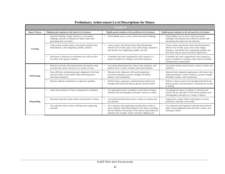| <b>Grade 8</b>       |                                                                                                                                            |                                                                                                                                                                                                                                                  |                                                                                                                                                                                                                      |
|----------------------|--------------------------------------------------------------------------------------------------------------------------------------------|--------------------------------------------------------------------------------------------------------------------------------------------------------------------------------------------------------------------------------------------------|----------------------------------------------------------------------------------------------------------------------------------------------------------------------------------------------------------------------|
| <b>Dance Process</b> | Eighth-grade students at the basic level in dance:                                                                                         | Eighth-grade students at the proficient level in dance:                                                                                                                                                                                          | Eighth-grade students at the advanced level in dance:                                                                                                                                                                |
| <b>Creating</b>      | Stop after finding a single solution to a movement<br>challenge and rely on imitation of others rather than<br>generating their own ideas. | Find multiple ways to solve a brief movement challenge.                                                                                                                                                                                          | Find multiple ways to solve a brief movement<br>challenge, choosing the most effective solution and<br>articulating the reasons for the selection.                                                                   |
|                      | Create and accurately repeat a movement sequence that<br>$\bullet$<br>demonstrates a clear beginning, middle, and end.                     | Create, repeat, and perform dance that demonstrates<br>effective use of time, space, force, body shapes, dynamics,<br>and rhythm; has a beginning, middle, and end.                                                                              | Create, repeat, and perform dance that demonstrates<br>effective use of time, space, force, body shapes,<br>dynamics, and rhythm; has a beginning, middle, and<br>end; deals with an issue of personal significance. |
|                      | Participate as observers or performers but will not offer<br>$\bullet$<br>any ideas to the group or partner.                               | Contribute and work cooperatively with a partner or a<br>group of students in creating a movement sequence.                                                                                                                                      | Contribute and work cooperatively with a partner or<br>group of students in creating a dance that successfully<br>communicates a shared idea.                                                                        |
|                      | Perform locomotor and nonlocomotor movements using<br>accurate time, space, and force in a variety of ways.                                | Accurately demonstrate basic dance steps, positions, and<br>patterns from a variety of dance styles and traditions.                                                                                                                              | Accurately perform dances from a variety of styles and<br>traditions.                                                                                                                                                |
| Performing           | Have difficulty maintaining proper alignment of the body<br>and lack clarity in movement while performing basic<br>movement sequences.     | Maintain body alignment while performing basic<br>movement sequences; possess strength, flexibility,<br>balance, and coordination.                                                                                                               | Maintain body alignment appropriate to the dance form<br>while performing a variety of dances; possess strength,<br>flexibility, balance, and coordination.                                                          |
|                      | Perform without commitment or expressive qualities.<br>$\bullet$                                                                           | Perform dance sequences, communicating expressively<br>through both literal and abstract gesture and movement.                                                                                                                                   | Perform a dance expressively through both literal and<br>abstract gesture and movement to communicate an idea<br>or feeling.                                                                                         |
|                      | Label some elements of dance using general vocabulary.<br>$\bullet$                                                                        | Use appropriate dance vocabulary to describe movement<br>elements and choreographic principles viewed in a dance.                                                                                                                                | Use appropriate dance vocabulary to describe and<br>analyze the use and effect of movement elements and<br>choreographic principles in a variety of dances.                                                          |
| <b>Responding</b>    | Speculate about the culture and/or time period of a dance.                                                                                 | Accurately describe dances from a variety of cultures and<br>time periods.                                                                                                                                                                       | Explain how a dance reflects and impacts a society<br>politically, culturally, and socially.                                                                                                                         |
|                      | Give opinions about a dance, offering some supporting<br>$\bullet$<br>rationale.                                                           | Give opinions with supporting rationale about works of<br>dance; identify individual elements of the dance, including<br>but not limited to the quality of the dancers and production<br>elements (for example, sound, costumes, lighting, set). | Give opinions with supportive rationale about dances;<br>make critical judgments about the form, content, and<br>meaning of dance.                                                                                   |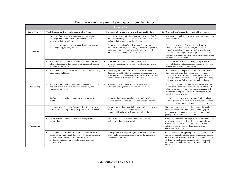| <b>Grade 12</b>      |                                                                                                                                                                                                                                                     |                                                                                                                                                                                                                                       |                                                                                                                                                                                                                                                                                                                    |
|----------------------|-----------------------------------------------------------------------------------------------------------------------------------------------------------------------------------------------------------------------------------------------------|---------------------------------------------------------------------------------------------------------------------------------------------------------------------------------------------------------------------------------------|--------------------------------------------------------------------------------------------------------------------------------------------------------------------------------------------------------------------------------------------------------------------------------------------------------------------|
| <b>Dance Process</b> | Twelfth-grade students at the basic level in dance:                                                                                                                                                                                                 | Twelfth-grade students at the proficient level in dance:                                                                                                                                                                              | Twelfth-grade students at the advanced level in dance:                                                                                                                                                                                                                                                             |
| <b>Creating</b>      | Stop after finding a single solution to a brief movement<br>challenge and rely on imitation of others rather than<br>generating their own ideas.                                                                                                    | Use improvisation to find multiple ways to solve a brief<br>movement challenge, choosing the most effective solution<br>and articulating reasons for the selection.                                                                   | Select and manipulate improvised movement material to<br>make a complete dance.                                                                                                                                                                                                                                    |
|                      | Create and accurately repeat a dance that demonstrates a<br>clear beginning, middle, and end.                                                                                                                                                       | Create, repeat, and perform dance that demonstrates<br>effective use of time, space, force, body shapes, dynamics,<br>and rhythm; has a beginning, middle, and end; and deals<br>with an issue of personal significance.              | Create, repeat, and perform dance that demonstrates<br>effective use of time, space, force, body shapes,<br>dynamics, and rhythm; has a beginning, middle, and<br>end; includes choreographic principles such as theme<br>and variation, canon, call, and response; and deals with a<br>contemporary social issue. |
|                      | Participate as observers or performers but will not offer<br>ideas to the group or to partners in the process of creating<br>a movement sequence.                                                                                                   | Contribute and work cooperatively with partners or a<br>group of students in the process of creating a movement<br>sequence.                                                                                                          | Contribute and work cooperatively with partners or a<br>group of students in the process of creating a dance that<br>successfully communicates a shared idea.                                                                                                                                                      |
|                      | Accurately recall and perform movement sequences using<br>$\bullet$<br>time, space, and force.                                                                                                                                                      | Accurately recall and perform dances from a variety of<br>dance styles and traditions; demonstrate time, space, and<br>force; perform accurate dance steps, positions, and patterns<br>from a variety of dance styles and traditions. | Accurately recall and perform from a variety of dance<br>styles and traditions; demonstrate time, space, and<br>energy; perform accurate dance steps, positions, and<br>patterns; perform with confidence using the entire body<br>and demonstrating full commitment and involvement.                              |
| Performing           | Have difficulty maintaining proper alignment of the body<br>and lack clarity in movement while performing basic<br>movement sequences.                                                                                                              | Maintain body alignment appropriate to the dance form<br>while performing complex movement sequences.                                                                                                                                 | Maintain body alignment appropriate to the dance form,<br>demonstrate clear articulation with all parts of the body<br>while performing complex movement sequences, will<br>self-correct during and after each performance of the<br>complex movement sequence.                                                    |
|                      | Perform a dance without commitment or expressive<br>qualities.                                                                                                                                                                                      | Perform a dance expressively through both literal and<br>$\bullet$<br>abstract gesture and movement to communicate an idea.                                                                                                           | Perform a dance expressively through both literal and<br>abstract gesture and movement to communicate an idea;<br>vary the choreography to communicate a different idea.                                                                                                                                           |
|                      | Use appropriate dance vocabulary to describe movement<br>elements and choreographic principles viewed in a dance.                                                                                                                                   | Use appropriate dance vocabulary to describe and analyze<br>the use and effect of movement elements and<br>choreographic principles viewed in a variety of dances.                                                                    | Use appropriate dance vocabulary to describe, analyze,<br>compare, and contrast how different choreographers<br>manipulate the movement elements and choreographic<br>principles to communicate meaning.                                                                                                           |
| <b>Responding</b>    | Identify the cultural context and historical period of<br>various dances.                                                                                                                                                                           | Explain how a dance reflects and impacts a society<br>politically, culturally, and socially.                                                                                                                                          | Compare and contrast the ways in which different dances<br>reflect and impact societies politically, culturally, and<br>socially; use historical and cultural information to<br>enhance their own work in dance performance,<br>choreography, and criticism.                                                       |
|                      | Give opinions with supporting rationale about works of<br>dance; identify individual elements of the dance, including<br>but not limited to the quality of performance and<br>production elements (for example, sound, costumes,<br>lighting, set). | Give opinions with supporting rationale about works of<br>dance; make critical judgments about the form, content,<br>and meaning of dance.                                                                                            | Give opinions with supporting rationale about works of<br>dance; use a set of aesthetic criteria to make and support<br>critical judgments about the form, content, and meaning<br>of dance; use cultural references to reflect sensitively<br>upon the intent and meaning of the choreography of<br>others.       |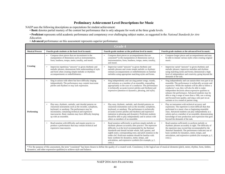NAEP uses the following descriptions as expectations for student achievement:

- **Basic** denotes partial mastery of the content but performance that is only adequate for work at the three grade levels.
- **Proficient** represents solid academic performance and competency over challenging subject matter, as suggested in the *National Standards for Arts Education.*
- **Advanced** performance on this assessment represents superior performance.

| <b>Grade 4</b>         |                                                                                                                                                                                                                                                                                                           |                                                                                                                                                                                                                                                                                                                                                                                                                                                                                                |                                                                                                                                                                                                                                                                                                                                                                                                                                                                                                         |  |
|------------------------|-----------------------------------------------------------------------------------------------------------------------------------------------------------------------------------------------------------------------------------------------------------------------------------------------------------|------------------------------------------------------------------------------------------------------------------------------------------------------------------------------------------------------------------------------------------------------------------------------------------------------------------------------------------------------------------------------------------------------------------------------------------------------------------------------------------------|---------------------------------------------------------------------------------------------------------------------------------------------------------------------------------------------------------------------------------------------------------------------------------------------------------------------------------------------------------------------------------------------------------------------------------------------------------------------------------------------------------|--|
| <b>Musical Process</b> | Fourth-grade students at the basic level in music:                                                                                                                                                                                                                                                        | Fourth-grade students at the proficient level in music:                                                                                                                                                                                                                                                                                                                                                                                                                                        | Fourth-grade students at the advanced level in music:                                                                                                                                                                                                                                                                                                                                                                                                                                                   |  |
|                        | Compose short pieces that are inconsistent in the<br>manipulation of dimensions such as instrumentation,<br>form, loudness, tempo, meter, tonality, and mood.                                                                                                                                             | Compose short pieces or accompaniments that are<br>consistent* in the manipulation of dimensions such as<br>instrumentation, form, loudness, tempo, meter, tonality,<br>and mood.                                                                                                                                                                                                                                                                                                              | Compose longer pieces and accompaniments and may<br>be able to imitate various styles when creating original<br>music.                                                                                                                                                                                                                                                                                                                                                                                  |  |
| <b>Creating</b>        | Improvise repetitious "answers" to given rhythmic and<br>melodic phrases, demonstrate little understanding of style<br>and form when creating simple melodic or rhythmic<br>accompaniments or embellishments.                                                                                             | Improvise varied "answers" to given rhythmic and<br>$\bullet$<br>melodic phrases and create simple melodic or rhythmic<br>ostinato accompaniments or embellishments on familiar<br>melodies using appropriate matching styles and forms.                                                                                                                                                                                                                                                       | Improvise varied "answers" to given rhythmic and<br>$\bullet$<br>melodic phrases; improvise melodies and rhythms<br>using matching styles and forms; demonstrate a high<br>level of independence and creativity, going beyond the<br>demands of the task.                                                                                                                                                                                                                                               |  |
|                        | Sing in unison with others but have difficulty singing<br>independently. The performance may contain inaccurate<br>pitches and rhythms or may lack expression.                                                                                                                                            | Sing independently and can sing partner songs, rounds,<br>and ostinatos as a member of an ensemble, responding<br>appropriately to the cues of a conductor. The performance<br>is technically accurate (correct pitches and rhythms) and<br>expressive (attention to dynamics, phrasing, and style).                                                                                                                                                                                           | Sing independently and can sustain their own part in an<br>ensemble. The performance is technically accurate and<br>expressive. While the students will be able to follow a<br>conductor's cue, they will also be able to make<br>independent decisions about expressive qualities to<br>enhance the performance. Advanced students may be<br>able to sing a range of more than a 10th, use a strong<br>and focused tone quality, and sing a solo part on an<br>ostinato or in a round or partner song. |  |
| Performing             | Play easy, rhythmic, melodic, and chordal patterns on<br>classroom instruments such as the recorder, xylophone,<br>keyboard, or autoharp. The performance may be<br>inconsistent, containing technical and expressive<br>inaccuracies. Basic students may have difficulty keeping<br>up with an ensemble. | Play easy, rhythmic, melodic, and chordal patterns on<br>classroom instruments such as the recorder, xylophone,<br>keyboard, or autoharp. The performance is technically<br>accurate (correct pitches and rhythms) and expressive<br>(attention to phrasing and dynamic). Proficient students<br>should be able to play independently and in unison with<br>others as members of an ensemble.                                                                                                  | Play an instrument with technical accuracy and<br>expression. The repertoire is more difficult than that<br>performed in a music class or beginning ensemble<br>class. Advanced students can play independently as a<br>soloist and as a member of an ensemble, demonstrating<br>knowledge of tone production and expression that goes<br>beyond the demands of the task.                                                                                                                               |  |
|                        | Read notation with difficulty and require practice to<br>produce a performance that may contain technical and<br>expressive inaccuracies.                                                                                                                                                                 | Read notation sufficiently to perform simple melodic or<br>rhythmic phrases accurately after practice. The repertoire<br>difficulty is at the level recommended by the National<br>Standards and should include whole, half, quarter, and<br>eighth notes; corresponding rests; and pitch notation in the<br>treble clef. Proficient students should be familiar with<br>basic symbols for dynamics, meter, tempo, and<br>articulation, and expressive symbols (for example, p, f,<br>cresc.). | Read notation sufficiently to perform melodic or<br>rhythmic phrases accurately at sight. The difficulty of<br>the repertoire may exceed that recommended by the<br>National Standards. The performance indicates use of<br>basic symbols for dynamics, meter, tempo, and<br>articulation, and expressive symbols (for example, p, f,<br>cresc.).                                                                                                                                                       |  |
|                        | * For the purpose of this assessment, the term "consistent" has been chosen to define the quality of a created work. Consistency is the logical use of musical elements (pitch, meter, rhythm, form, timbre,<br>dynamics, and other expressive qualities) to achieve style and balance.                   |                                                                                                                                                                                                                                                                                                                                                                                                                                                                                                |                                                                                                                                                                                                                                                                                                                                                                                                                                                                                                         |  |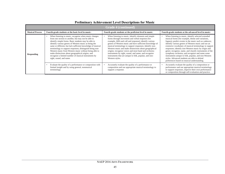| <b>Grade 4 (continued)</b> |                                                                                                                                                                                                                                                                                                                                                                                                                                                                                                                                                                         |                                                                                                                                                                                                                                                                                                                                                                                                                                                                                                                                                  |                                                                                                                                                                                                                                                                                                                                                                                                                                                                                                                                                                                                                 |
|----------------------------|-------------------------------------------------------------------------------------------------------------------------------------------------------------------------------------------------------------------------------------------------------------------------------------------------------------------------------------------------------------------------------------------------------------------------------------------------------------------------------------------------------------------------------------------------------------------------|--------------------------------------------------------------------------------------------------------------------------------------------------------------------------------------------------------------------------------------------------------------------------------------------------------------------------------------------------------------------------------------------------------------------------------------------------------------------------------------------------------------------------------------------------|-----------------------------------------------------------------------------------------------------------------------------------------------------------------------------------------------------------------------------------------------------------------------------------------------------------------------------------------------------------------------------------------------------------------------------------------------------------------------------------------------------------------------------------------------------------------------------------------------------------------|
| <b>Musical Process</b>     | Fourth-grade students at the basic level in music:                                                                                                                                                                                                                                                                                                                                                                                                                                                                                                                      | Fourth-grade students at the proficient level in music:                                                                                                                                                                                                                                                                                                                                                                                                                                                                                          | Fourth-grade students at the advanced level in music:                                                                                                                                                                                                                                                                                                                                                                                                                                                                                                                                                           |
| <b>Responding</b>          | When listening to music, recognize when music changes<br>$\bullet$<br>from one section to another, but may not be able to<br>identify simple forms. Basic students may be able to<br>identify various genres of Western music as being the<br>same or different, but lack sufficient knowledge of musical<br>terminology to support responses; distinguish being non-<br>Western music from Western music without being able to<br>make distinctions about geographical origins; and<br>recognize a limited number of musical instruments by<br>sight, sound, and name. | When listening to music, identify elements and simple<br>forms through movement and verbal response (for<br>example, ABA and call and response); identify various<br>genres of Western music and have sufficient knowledge of<br>musical terminology to support responses; identify non-<br>Western music and make distinctions about geographical<br>origins; recognize voices and most band and orchestra<br>instruments by sight, sound, and name; and recognize<br>instruments that are unique to folk, popular, and non-<br>Western styles. | When listening to music, identify selected extended<br>musical forms (for example, theme and variations,<br>fugues); predict events in the music such as cadences;<br>identify various genres of Western music and use an<br>extensive vocabulary of musical terminology to support<br>responses; identify non-Western music by origin and<br>genre; recognize, name, and classify instruments of the<br>symphony orchestra; and recognize and name some<br>instruments unique to folk, popular, and non-Western<br>styles. Advanced students are able to defend<br>preferences based on musical understanding. |
|                            | Evaluate the quality of a performance or composition with<br>limited insight and by using general, nonmusical<br>terminology.                                                                                                                                                                                                                                                                                                                                                                                                                                           | Accurately evaluate the quality of a performance or<br>composition and use appropriate musical terminology to<br>support a response.                                                                                                                                                                                                                                                                                                                                                                                                             | Accurately evaluate the quality of a composition or<br>performance and use appropriate musical terminology<br>to support responses, improve their own performance<br>or composition through self-evaluation and practice.                                                                                                                                                                                                                                                                                                                                                                                       |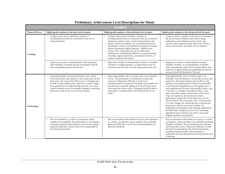| <b>Grade 8</b>         |                                                                                                                                                                                                                                                                                                                                                                                                                        |                                                                                                                                                                                                                                                                                                                                                                                                                                                                                                                                                                     |                                                                                                                                                                                                                                                                                                                                                                                                                                                                                                                                                                                                                                                                                                                                                                                                                                                                                                                                         |
|------------------------|------------------------------------------------------------------------------------------------------------------------------------------------------------------------------------------------------------------------------------------------------------------------------------------------------------------------------------------------------------------------------------------------------------------------|---------------------------------------------------------------------------------------------------------------------------------------------------------------------------------------------------------------------------------------------------------------------------------------------------------------------------------------------------------------------------------------------------------------------------------------------------------------------------------------------------------------------------------------------------------------------|-----------------------------------------------------------------------------------------------------------------------------------------------------------------------------------------------------------------------------------------------------------------------------------------------------------------------------------------------------------------------------------------------------------------------------------------------------------------------------------------------------------------------------------------------------------------------------------------------------------------------------------------------------------------------------------------------------------------------------------------------------------------------------------------------------------------------------------------------------------------------------------------------------------------------------------------|
| <b>Musical Process</b> | Eighth-grade students at the basic level in music:                                                                                                                                                                                                                                                                                                                                                                     | Eighth-grade students at the proficient level in music:                                                                                                                                                                                                                                                                                                                                                                                                                                                                                                             | Eighth-grade students at the advanced level in music:                                                                                                                                                                                                                                                                                                                                                                                                                                                                                                                                                                                                                                                                                                                                                                                                                                                                                   |
| <b>Creating</b>        | Compose short pieces (melodies, rhythms, or<br>accompaniments) that are inconsistent in the use of<br>musical elements.                                                                                                                                                                                                                                                                                                | Compose short pieces (melodies, rhythms, or<br>accompaniments) that are consistent in the use of musical<br>elements to achieve unity, variety, tension/release, and<br>balance. Proficient students can use traditional (acoustic<br>instruments, voice) or nontraditional (synthesized sounds,<br>Musical Instrument Digital Interface-MIDI) sound<br>sources. The composition may be recorded using<br>traditional or nontraditional methods or notation (analog<br>recording, digital sequencing, conventional notation, or<br>notation created for the piece). | Compose music in familiar styles that are consistent in<br>the use of musical elements and creative using<br>traditional or nontraditional sound sources and<br>notation, able to generate many ideas from which to<br>choose and evaluate and refine work in progress.                                                                                                                                                                                                                                                                                                                                                                                                                                                                                                                                                                                                                                                                 |
|                        | Improvise (vocally or instrumentally) with uncertainty<br>short melodies or rhythms that are inconsistent with the<br>style and guidelines given for the task.                                                                                                                                                                                                                                                         | Improvise (vocally or instrumentally) melodic or rhythmic<br>variations or simple harmonic accompaniments that are<br>consistent with the style of music being used for the task.                                                                                                                                                                                                                                                                                                                                                                                   | Improvise (vocally or instrumentally) extended<br>melodies, rhythms, or accompaniments in familiar<br>styles; demonstrate a high level of independence and<br>creativity in approaching and completing the task and<br>may go beyond the demands of the task.                                                                                                                                                                                                                                                                                                                                                                                                                                                                                                                                                                                                                                                                           |
| Performing             | Sing independently, but the performance may contain<br>inaccurate pitches and rhythms or lack expression. (At the<br>basic level, the young male whose voice is changing may<br>be able to sing cambiata parts written for a narrow range,<br>but a general lack of understanding about his own voice<br>causes technical errors (for example, attempts at matching<br>pitch may result in one- or two-octave leaps)). | Sing independently and can sustain a part in an ensemble<br>section. The performance is technically accurate and<br>expressive. Repertoire difficulty is at the level<br>recommended by the National Standards and includes two-<br>and three-part ensemble singing. (At the proficient level,<br>the young male whose voice is changing should be able to<br>sing songs or cambiata parts written specifically for his<br>range.)                                                                                                                                  | Sing independently and can sustain a part in an<br>ensemble. The performance is technically accurate and<br>expressive. Advanced students may be able to sing<br>repertoire more difficult than the level recommended<br>by the National Standards, use a tone quality that is<br>well supported and focused with possible vibrato, sing<br>a solo part in a chamber ensemble of three or four<br>parts, sing with a range of more than a 12th, and/or<br>create an expressive and stylistically correct<br>performance without the aid of instruction. (At the<br>advanced level, the young male who is in the process<br>of a voice change can control the flow of breath and<br>placement so that he can avoid accidents. He<br>understands his limitations and can make adjustments<br>by deliberately changing octaves or by requesting<br>appropriate keys so that he can create a successful<br>singing experience for himself.) |
|                        | Play an instrument as a soloist, accompanist, and/or<br>member of an ensemble. The performance is inconsistent,<br>containing technical and expressive inaccuracies, and the<br>repertoire difficulty is below the level recommended by<br>the National Standards.                                                                                                                                                     | Play an instrument with technical accuracy and expression<br>as a soloist, accompanist, and/or member of an ensemble.<br>Repertoire difficulty is at the level recommended by the<br>National Standards.                                                                                                                                                                                                                                                                                                                                                            | Play an instrument with technical accuracy as a soloist,<br>accompanist, and/or member of an ensemble (including<br>chamber ensemble). The performances are expressive<br>and stylistically correct. Repertoire difficulty exceeds<br>the level recommended by the National Standards,<br>requiring technical facility and knowledge of<br>production and style that go beyond the proficient level<br>of playing.                                                                                                                                                                                                                                                                                                                                                                                                                                                                                                                      |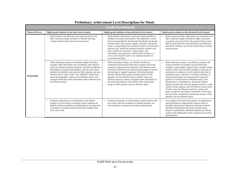| <b>Grade 8 (continued)</b> |                                                                                                                                                                                                                                                                                                                                                                                                                                                                                                                    |                                                                                                                                                                                                                                                                                                                                                                                                                                                                                                                                                                                      |                                                                                                                                                                                                                                                                                                                                                                                                                                                                                                                                                                                                                                                                                                                                                                                                                                          |
|----------------------------|--------------------------------------------------------------------------------------------------------------------------------------------------------------------------------------------------------------------------------------------------------------------------------------------------------------------------------------------------------------------------------------------------------------------------------------------------------------------------------------------------------------------|--------------------------------------------------------------------------------------------------------------------------------------------------------------------------------------------------------------------------------------------------------------------------------------------------------------------------------------------------------------------------------------------------------------------------------------------------------------------------------------------------------------------------------------------------------------------------------------|------------------------------------------------------------------------------------------------------------------------------------------------------------------------------------------------------------------------------------------------------------------------------------------------------------------------------------------------------------------------------------------------------------------------------------------------------------------------------------------------------------------------------------------------------------------------------------------------------------------------------------------------------------------------------------------------------------------------------------------------------------------------------------------------------------------------------------------|
| <b>Musical Process</b>     | Eighth-grade students at the basic level in music:                                                                                                                                                                                                                                                                                                                                                                                                                                                                 | Eighth-grade students at the proficient level in music:                                                                                                                                                                                                                                                                                                                                                                                                                                                                                                                              | Eighth-grade students at the advanced level in music:                                                                                                                                                                                                                                                                                                                                                                                                                                                                                                                                                                                                                                                                                                                                                                                    |
|                            | Read notation with difficulty and require practice to be<br>able to perform simple melodies or rhythms that may<br>contain technical and expressive inaccuracies.                                                                                                                                                                                                                                                                                                                                                  | Read notation sufficiently to perform simple melodies or<br>rhythms accurately after practice. The repertoire is at the<br>level recommended by the National Standards and should<br>include whole, half, quarter, eighth, sixteenth, and dotted<br>notes; corresponding rests; and pitch notation in both treble<br>and bass clef. Proficient students should be familiar with<br>basic symbols for dynamics, meter, tempo, and<br>articulation, and expressive symbols (for example, p, f,<br>cresc.) and should be able to use standard notation to<br>record musical ideas.      | Read notation quickly, sufficiently, and accurately to be<br>able to perform simple melodies at sight; read music<br>accurately and expressively after practice that is more<br>difficult than the level recommended by the National<br>Standards. Students can record musical ideas correctly<br>using notation.                                                                                                                                                                                                                                                                                                                                                                                                                                                                                                                        |
| <b>Responding</b>          | When listening to music, can identify simple forms (for<br>example, ABA and rondo) and can identify some Western<br>music by historical periods and genre, but have insufficient<br>knowledge of musical terminology to discuss style. Basic<br>students can identify some styles of folk, popular, and non-<br>Western music; make "same" and "different" distinctions<br>about the geographic origins of non-Western music; and<br>recognize and name some instruments used in Western and<br>non-Western music. | When listening to music, can identify and discuss<br>commonly used musical forms (for example, theme and<br>variations, fugues) and can identify some Western music<br>by historical periods with sufficient knowledge of musical<br>terminology to support responses. Proficient students<br>identify and describe stylistic elements heard in folk,<br>popular, and non-Western music; identify some non-<br>Western music by country; recognize most instruments of<br>the band and orchestra; and identify other instruments<br>unique to folk, popular, and non-Western styles. | When listening to music, can identify, compare, and<br>contrast elements of complex musical forms (for<br>example, sonata-allegro, fugue); able to predict certain<br>events in music such as phrase lengths or direction of<br>resolutions in cadences, as well as genre and style of<br>unfamiliar music; and have a working vocabulary of<br>musical terminology for discussing the expressive<br>qualities of various styles of Western music, from<br>Renaissance to contemporary. Advanced students<br>identify and describe musical elements heard in a wide<br>variety of folk, popular, and non-Western music styles;<br>classify some non-Western music by country and<br>genre; recognize and classify instruments of the band<br>and orchestra; and identify instruments unique to folk,<br>popular, and non-Western styles. |
|                            | Evaluate compositions or performances with limited<br>$\bullet$<br>insight or use of musical vocabulary. Basic students can<br>identify technical problems in performances, but responses<br>are limited to common musical terms (for example, fast,<br>slow, loud, soft).                                                                                                                                                                                                                                         | Evaluate the quality of compositions or performances and<br>use a basic musical vocabulary to defend response, use<br>self-evaluation to improve successive performances.                                                                                                                                                                                                                                                                                                                                                                                                            | Can compare and contrast the quality of compositions<br>and performances using specific musical terms to<br>describe technical and expressive elements of music<br>and their relationship to the style of music being<br>played. As performers, advanced students use critical<br>analysis and independent study to improve successive<br>performances.                                                                                                                                                                                                                                                                                                                                                                                                                                                                                  |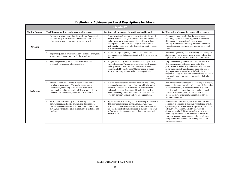| <b>Grade 12</b>        |                                                                                                                                                                                                                                                                            |                                                                                                                                                                                                                                                                                                                                                  |                                                                                                                                                                                                                                                                                                                                                                                                                                                                                  |  |
|------------------------|----------------------------------------------------------------------------------------------------------------------------------------------------------------------------------------------------------------------------------------------------------------------------|--------------------------------------------------------------------------------------------------------------------------------------------------------------------------------------------------------------------------------------------------------------------------------------------------------------------------------------------------|----------------------------------------------------------------------------------------------------------------------------------------------------------------------------------------------------------------------------------------------------------------------------------------------------------------------------------------------------------------------------------------------------------------------------------------------------------------------------------|--|
| <b>Musical Process</b> | Twelfth-grade students at the basic level in music:                                                                                                                                                                                                                        | Twelfth-grade students at the proficient level in music:                                                                                                                                                                                                                                                                                         | Twelfth-grade students at the advanced level in music:                                                                                                                                                                                                                                                                                                                                                                                                                           |  |
| <b>Creating</b>        | Compose original pieces, but the results are fragmented<br>and lack unity. Basic students can compose only for media<br>close to their own performing instrument or voice.                                                                                                 | Compose original pieces that are consistent in the use of<br>musical elements using traditional or nontraditional media<br>and/or notation, arrange simple pieces with or without<br>accompaniment based on knowledge of vocal and/or<br>instrumental ranges and style, demonstrate creative use of<br>expressive elements.                      | Compose complex works that show consistency,<br>creativity, expression, and a high level of technical<br>skill; generate many original ideas, selecting and<br>refining as they work; and may be able to orchestrate<br>pieces for several instruments or arrange for several<br>voices.                                                                                                                                                                                         |  |
|                        | Improvise (vocally or instrumentally) melodies or rhythms<br>within limited sets of pitches, rhythms, and styles.                                                                                                                                                          | Improvise original pieces, variations, and harmonic<br>accompaniments that are consistent with the style used for<br>the task.                                                                                                                                                                                                                   | Improvise stylistically and expressively in a variety of<br>styles; improvise in one or more favored styles with a<br>high level of creativity, expression, and confidence.                                                                                                                                                                                                                                                                                                      |  |
| Performing             | Sing independently, but the performance may be<br>technically or expressively inconsistent.                                                                                                                                                                                | Sing independently and can sustain their own part in an<br>ensemble section. The performance is technically accurate<br>and expressive. Repertoire difficulty is at the level<br>recommended by the National Standards and includes<br>four-part harmony with or without accompaniment.                                                          | Sing independently and can sustain a solo part in a<br>chamber ensemble of four or more parts. The<br>performance is technically and stylistically accurate<br>and expressive. Advanced singers should be able to<br>sing repertoire that exceeds the difficulty level<br>recommended by the National Standards and produce a<br>tone quality that is strong, vibrant, and stylistically<br>correct.                                                                             |  |
|                        | Play an instrument as a soloist, accompanist, and/or<br>member of an ensemble. The performance may be<br>inconsistent, containing technical and expressive<br>inaccuracies, and the repertoire difficulty may be below<br>the level recommended by the National Standards. | Play an instrument with technical accuracy as a soloist,<br>accompanist, and/or member of an ensemble (including<br>chamber ensemble). Performances are expressive and<br>stylistically correct. Repertoire difficulty is at the level<br>recommended by the National Standards and includes<br>four-part harmony with or without accompaniment. | Play an instrument with technical accuracy as a soloist,<br>accompanist, and/or member of an ensemble (including<br>chamber ensemble). Advanced students play with<br>technical facility, expression, range, and tone quality<br>needed to accurately perform musical works that<br>exceed the level of difficulty recommended by the<br>National Standards.                                                                                                                     |  |
|                        | Read notation sufficiently to perform easy selections<br>somewhat accurately after practice and describe how<br>musical elements are used in a given score of one or two<br>staves, use standard notation to read simple melodies and<br>rhythms.                          | Sight-read music accurately and expressively at the level of<br>difficulty recommended by the National Standards.<br>Proficient students read notation sufficiently to describe<br>how the elements of music are used in a given score of up<br>to four staves. Students use standard notation to record<br>musical ideas.                       | Read notation of technically difficult literature and<br>accurately incorporate expressive symbols and stylistic<br>qualities in performance and can sight-read music at a<br>difficulty level recommended by the National<br>Standards, read a full instrumental or vocal score and<br>accurately describe how the elements of music are<br>used, use standard notation to record musical ideas, and<br>interpret nonstandard notation used by some 20th-<br>century composers. |  |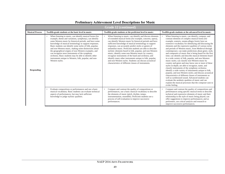| <b>Grade 12 (continued)</b> |                                                                                                                                                                                                                                                                                                                                                                                                                                                                                                                                                                                                                               |                                                                                                                                                                                                                                                                                                                                                                                                                                                                                                                                                                                                                                                                                                                                  |                                                                                                                                                                                                                                                                                                                                                                                                                                                                                                                                                                                                                                                                                                                                                                                                                                                                                                                                                                                                                                                                                                                                                                       |  |
|-----------------------------|-------------------------------------------------------------------------------------------------------------------------------------------------------------------------------------------------------------------------------------------------------------------------------------------------------------------------------------------------------------------------------------------------------------------------------------------------------------------------------------------------------------------------------------------------------------------------------------------------------------------------------|----------------------------------------------------------------------------------------------------------------------------------------------------------------------------------------------------------------------------------------------------------------------------------------------------------------------------------------------------------------------------------------------------------------------------------------------------------------------------------------------------------------------------------------------------------------------------------------------------------------------------------------------------------------------------------------------------------------------------------|-----------------------------------------------------------------------------------------------------------------------------------------------------------------------------------------------------------------------------------------------------------------------------------------------------------------------------------------------------------------------------------------------------------------------------------------------------------------------------------------------------------------------------------------------------------------------------------------------------------------------------------------------------------------------------------------------------------------------------------------------------------------------------------------------------------------------------------------------------------------------------------------------------------------------------------------------------------------------------------------------------------------------------------------------------------------------------------------------------------------------------------------------------------------------|--|
| <b>Musical Process</b>      | Twelfth-grade students at the basic level in music:                                                                                                                                                                                                                                                                                                                                                                                                                                                                                                                                                                           | Twelfth-grade students at the proficient level in music:                                                                                                                                                                                                                                                                                                                                                                                                                                                                                                                                                                                                                                                                         | Twelfth-grade students at the advanced level in music:                                                                                                                                                                                                                                                                                                                                                                                                                                                                                                                                                                                                                                                                                                                                                                                                                                                                                                                                                                                                                                                                                                                |  |
| <b>Responding</b>           | When listening to music, can identify musical forms (for<br>$\bullet$<br>example, theme and variations, symphony), can identify<br>some Western music by historical periods, and have some<br>knowledge of musical terminology to support responses.<br>Basic students can identify some styles of folk, popular,<br>and non-Western music, making some distinctions about<br>the geographical origins of non-Western examples, and<br>can recognize most instruments of the symphony<br>orchestra. Basic students may be able to identify other<br>instruments unique to Western, folk, popular, and non-<br>Western styles. | When listening to music, can identify and discuss elements<br>of extended musical forms (for example, concerto, opera),<br>can identify Western music by historical periods and have<br>sufficient knowledge of musical terminology to support<br>responses, can accurately predict styles or genres of<br>unfamiliar music. Proficient students are able to describe<br>stylistic elements heard in folk, popular, and non-Western<br>music; identify some non-Western music by country;<br>recognize instruments of the band and orchestra; and<br>identify many other instruments unique to folk, popular,<br>and non-Western styles. Students can discuss acoustical<br>characteristics of different classes of instruments. | When listening to music, can identify, compare, and<br>contrast elements of complex musical forms (for<br>example, oratorio, sonata-allegro form); have an<br>extensive vocabulary for identifying and discussing the<br>elements and the expressive qualities of various styles<br>and periods of Western music, from Medieval through<br>contemporary; can make predictions about genre, style,<br>and composers of music that is being heard for the first<br>time; can identify and describe musical elements heard<br>in a wide variety of folk, popular, and non-Western<br>music styles; can classify non-Western music by<br>country and genre and may know one or more of these<br>styles in-depth; are able to recognize, name, and<br>classify instruments of the symphony orchestra;<br>identify a wide variety of instruments unique to folk,<br>popular, and non-Western styles; and discuss acoustical<br>characteristics of different classes of instruments as<br>well as synthesized sound. Advanced students can<br>evaluate the aesthetic qualities of music and can<br>explain the musical processes that the composer uses to<br>evoke feeling. |  |
|                             | Evaluate compositions or performances and use a basic<br>musical vocabulary. Basic students can evaluate technical<br>aspects of performances, but may lack sufficient<br>knowledge to judge stylistic qualities.                                                                                                                                                                                                                                                                                                                                                                                                             | Compare and contrast the quality of compositions or<br>performances, use a basic musical vocabulary to describe<br>the elements of music (pitch, rhythm, tempo,<br>instrumentation, ensemble). Proficient students use a<br>process of self-evaluation to improve successive<br>performances.                                                                                                                                                                                                                                                                                                                                                                                                                                    | Compare and contrast the quality of compositions and<br>performances using specific musical terms to describe<br>technical and expressive elements of music and their<br>relationship to the style of music being played; can<br>offer suggestions to improve performances; and as<br>performers, use critical analysis and research to<br>improve successive performances.                                                                                                                                                                                                                                                                                                                                                                                                                                                                                                                                                                                                                                                                                                                                                                                           |  |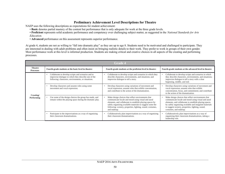NAEP uses the following descriptions as expectations for student achievement:

- **Basic** denotes partial mastery of the content but performance that is only adequate for work at the three grade levels.
- **Proficient** represents solid academic performance and competency over challenging subject matter, as suggested in the *National Standards for Arts Education.*
- **Advanced** performance on this assessment represents superior performance.

At grade 4, students are not as willing to "fall into dramatic play" as they are up to age 8. Students need to be motivated and challenged to participate. They are interested in dealing with adult problems and often insist on bringing realistic details to their work. They prefer to work in groups of their own gender. Most performance work at this level is informal production. Students are making critical and creative choices in all aspects of the creating and performing processes.

| <b>Grade 4</b>                     |                                                                                                                                                                                 |                                                                                                                                                                                                                                                                                                                |                                                                                                                                                                                                                                                                                                         |
|------------------------------------|---------------------------------------------------------------------------------------------------------------------------------------------------------------------------------|----------------------------------------------------------------------------------------------------------------------------------------------------------------------------------------------------------------------------------------------------------------------------------------------------------------|---------------------------------------------------------------------------------------------------------------------------------------------------------------------------------------------------------------------------------------------------------------------------------------------------------|
| <b>Theatre</b><br><b>Processes</b> | Fourth-grade students at the basic level in theatre:                                                                                                                            | Fourth-grade students at the proficient level in theatre:                                                                                                                                                                                                                                                      | Fourth-grade students at the advanced level in theatre:                                                                                                                                                                                                                                                 |
| Creating/<br>Performing            | Collaborate to develop scripts and scenarios and to<br>$\bullet$<br>improvise dialogue in which they describe one of the<br>following: characters, environments, or situations. | Collaborate to develop scripts and scenarios in which they<br>describe characters, environments, and situations; and<br>improvise dialogue to tell a story.                                                                                                                                                    | Collaborate to develop scripts and scenarios in which<br>they describe characters, environments, and situations;<br>improvise dialogue to tell a story with a clear<br>beginning, middle, and end.                                                                                                      |
|                                    | Develop characters and assume roles using some<br>movement and vocal expression.                                                                                                | Develop characters using variations of movement and<br>vocal expression, assume roles that exhibit concentration,<br>and contribute to the action of the dramatization.                                                                                                                                        | Develop characters using variations of movement and<br>vocal expression; assume roles that exhibit<br>concentration, focus, and commitment; and contribute<br>to the action of the dramatization.                                                                                                       |
|                                    | Use some of the design choices the group has made, and<br>remain within the playing space during the dramatic play.                                                             | Make design choices that reflect environments that<br>communicate locale and mood using visual and aural<br>elements, and collaborate to establish playing spaces by<br>safely organizing available materials to suggest some the<br>following: scenery, properties, lighting, sound, costumes,<br>and makeup. | Make design choices that reflect environments that<br>communicate locale and mood using visual and aural<br>elements, and collaborate to establish playing spaces<br>by safely organizing available and imagined materials<br>to suggest scenery, properties, lighting, sound,<br>costumes, and makeup. |
|                                    | Participate in the improvisations as a way of organizing<br>their classroom dramatizations.                                                                                     | Collaboratively plan improvisations as a way of organizing<br>their classroom dramatizations.                                                                                                                                                                                                                  | Collaboratively plan improvisations as a way of<br>organizing their classroom dramatizations, taking a<br>leadership role.                                                                                                                                                                              |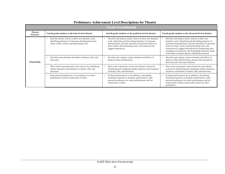| <b>Grade 4 (continued)</b>         |                                                                                                                                                                             |                                                                                                                                                                                                                                                                        |                                                                                                                                                                                                                                                                                                                                                                                                               |  |
|------------------------------------|-----------------------------------------------------------------------------------------------------------------------------------------------------------------------------|------------------------------------------------------------------------------------------------------------------------------------------------------------------------------------------------------------------------------------------------------------------------|---------------------------------------------------------------------------------------------------------------------------------------------------------------------------------------------------------------------------------------------------------------------------------------------------------------------------------------------------------------------------------------------------------------|--|
| <b>Theatre</b><br><b>Processes</b> | Fourth-grade students at the basic level in theatre:                                                                                                                        | Fourth-grade students at the proficient level in theatre:                                                                                                                                                                                                              | Fourth-grade students at the advanced level in theatre:                                                                                                                                                                                                                                                                                                                                                       |  |
| <b>Responding</b>                  | Describe artistic choices in their own dramatic work,<br>$\bullet$<br>identifying elements of classroom dramatizations they<br>chose in their creative and performing work. | Describe and analyze artistic choices in their own dramatic<br>work, identifying and describing elements of classroom<br>dramatizations; provide rationales for personal choices in<br>their creative and performing work; and constructively<br>suggest alternatives. | Describe and analyze artistic choices in their own<br>dramatic work, identifying and describing elements of<br>classroom dramatizations; provide rationales for personal<br>choices in their creative and performing work; and<br>constructively suggest alternatives for dramatizing roles,<br>arranging environments, and developing situations along<br>with means of improving the collaborative process. |  |
|                                    | Describe some elements and effects of theatre, film, and<br>٠<br>television.                                                                                                | Describe and compare various elements and effects of<br>theatre to film and television.                                                                                                                                                                                | Describe and compare various elements and effects of<br>theatre to film and television, and provide rationale for<br>those they felt were most effective.                                                                                                                                                                                                                                                     |  |
|                                    | Place work in personal and social contexts by identifying<br>$\bullet$<br>similar characters and situations in theatre, film, and<br>television.                            | Place work in personal, social, and cultural contexts by<br>identifying and comparing similar characters and situations<br>in theatre, film, and television.                                                                                                           | Place work in personal, social, historical, and cultural<br>contexts by identifying and comparing similar characters,<br>situations, and themes in theatre, film, and television.                                                                                                                                                                                                                             |  |
|                                    | State personal preferences, as an audience, for entire<br>$\bullet$<br>performances and for certain parts of them.                                                          | Evaluate performances as an audience, articulating<br>emotional responses to dramatic performances; state<br>personal preferences for entire performances and for<br>certain parts of them.                                                                            | Evaluate performances as an audience, articulating<br>emotional responses to dramatic performances; state<br>personal preferences for entire performances and for<br>certain parts of them; and provide reasons for their<br>preferences.                                                                                                                                                                     |  |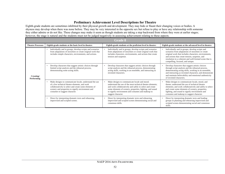Eighth-grade students are sometimes inhibited by their physical growth and development. They may hide or flaunt their changing voices or bodies. A shyness may develop when there was none before. They may be very interested in the opposite sex but refuse to play or have any relationship with someone they either admire or do not like. These changes may make it seem as though students are taking a step backward from where they were at earlier stages; however, the stage is natural and the students must not be judged negatively in assessing achievement relating to these aspects.

| <b>Grade 8</b>                 |                                                                                                                                                                                                                                                         |                                                                                                                                                                                                                                                                                                                |                                                                                                                                                                                                                                                                                                                |
|--------------------------------|---------------------------------------------------------------------------------------------------------------------------------------------------------------------------------------------------------------------------------------------------------|----------------------------------------------------------------------------------------------------------------------------------------------------------------------------------------------------------------------------------------------------------------------------------------------------------------|----------------------------------------------------------------------------------------------------------------------------------------------------------------------------------------------------------------------------------------------------------------------------------------------------------------|
| <b>Theatre Processes</b>       | Eighth-grade students at the basic level in theatre:                                                                                                                                                                                                    | Eighth-grade students at the proficient level in theatre:                                                                                                                                                                                                                                                      | Eighth-grade students at the advanced level in theatre:                                                                                                                                                                                                                                                        |
|                                | Individually and in groups, develop scripts and scenarios<br>from adaptations of storylines or create original work that<br>includes simple characters, environments, and actions.                                                                      | Individually and in groups, develop scripts and scenarios<br>from adaptations of storylines or create original work that<br>includes characters, environments, and actions that create<br>tension and suspense.                                                                                                | Individually and in groups, develop scripts and<br>scenarios from adaptations of storylines or create<br>original work that includes characters, environments,<br>and actions that create tension, suspense, and<br>resolution in a coherent and well-formed scene that is<br>compelling, focused, and unique. |
| Creating/<br><b>Performing</b> | Develop characters that suggest artistic choices through<br>limited script analysis and the rehearsal process,<br>demonstrating some acting skills.                                                                                                     | Develop characters that suggest artistic choices through<br>script analysis and the rehearsal process, demonstrating<br>acting skills, working in an ensemble, and interacting as<br>invented characters.                                                                                                      | Develop characters that suggest artistic choices<br>through script analysis and the rehearsal process,<br>demonstrating acting skills, working in an ensemble,<br>and interacting as invented characters; and demonstrate<br>and maintain believability and emotional authenticity<br>of invented characters.  |
|                                | Make designs to communicate locale, understand the use<br>of a few technical theatre elements, and work<br>collaboratively to select and create some elements of<br>scenery and properties to signify environment and<br>costumes to suggest character. | Make designs to communicate locale and mood;<br>understand the use of the most technical theatre elements;<br>and work collaboratively and safely to select and create<br>some elements of scenery, properties, lighting, and sound<br>to signify environment and costumes and makeup to<br>suggest character. | Make designs to communicate locale, mood, and<br>theme; understand the use of technical theatre<br>elements; and work collaboratively and safely to select<br>and create some elements of scenery, properties,<br>lighting, and sound to signify environment and<br>costumes and makeup to suggest character.  |
|                                | Direct by interpreting dramatic texts and rehearsing<br>improvised and scripted scenes.                                                                                                                                                                 | Direct by interpreting dramatic texts and rehearsing<br>$\bullet$<br>improvised and scripted scenes demonstrating social and<br>consensus skills.                                                                                                                                                              | Direct by interpreting dramatic texts and leading<br>groups in planning and rehearsing improvised and<br>scripted scenes demonstrating social and consensus<br>skills.                                                                                                                                         |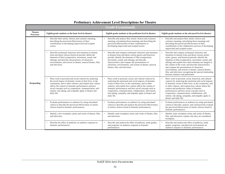| <b>Grade 8 (continued)</b>         |                                                                                                                                                                                                                                                                                                                                                                                   |                                                                                                                                                                                                                                                                                                                                                                                                                                       |                                                                                                                                                                                                                                                                                                                                                                                                                                                                                                                                                       |
|------------------------------------|-----------------------------------------------------------------------------------------------------------------------------------------------------------------------------------------------------------------------------------------------------------------------------------------------------------------------------------------------------------------------------------|---------------------------------------------------------------------------------------------------------------------------------------------------------------------------------------------------------------------------------------------------------------------------------------------------------------------------------------------------------------------------------------------------------------------------------------|-------------------------------------------------------------------------------------------------------------------------------------------------------------------------------------------------------------------------------------------------------------------------------------------------------------------------------------------------------------------------------------------------------------------------------------------------------------------------------------------------------------------------------------------------------|
| <b>Theatre</b><br><b>Processes</b> | Eighth-grade students at the basic level in theatre:                                                                                                                                                                                                                                                                                                                              | Eighth-grade students at the proficient level in theatre:                                                                                                                                                                                                                                                                                                                                                                             | Eighth-grade students at the advanced level in theatre:                                                                                                                                                                                                                                                                                                                                                                                                                                                                                               |
| <b>Responding</b>                  | Describe their artistic choices and construct meaning,<br>describing the perceived effectiveness of their<br>contributions to developing improvised and scripted<br>scenes.                                                                                                                                                                                                       | Describe and analyze their artistic choices and construct<br>meaning, articulating those meanings and describing the<br>perceived effectiveness of their contributions to<br>developing improvised and scripted scenes.                                                                                                                                                                                                               | Describe and analyze their artistic choices and<br>construct meaning, articulating those meanings and<br>describing the perceived effectiveness of their<br>contributions to the collaborative process of developing<br>improvised and scripted scenes.                                                                                                                                                                                                                                                                                               |
|                                    | Describe archetypal characters and situations in dramas<br>from and about various historical periods; define the<br>elements of film (composition, movement, sound, and<br>editing); and describe characteristics of characters,<br>environments, and actions in theatre, musical theatre, film,<br>and television.                                                               | Describe and compare archetypal characters and situations<br>in dramas from and about various genres and historical<br>periods; identify the elements of film (composition,<br>movement, sound, and editing); and describe<br>characteristics and compare the presentations of<br>characters, environments, and actions in theatre, musical<br>theatre, film, and television.                                                         | Describe and compare archetypal characters and<br>situations in dramas from and about various artistic<br>styles, genres, and historical periods; identify the<br>elements of film (composition, movement, sound, and<br>editing) and explain how these elements are integral to<br>the content of the work; and describe characteristics<br>and compare the presentations of characters,<br>environments, and actions in theatre, musical theatre,<br>film, and television, recognizing the special relationship<br>between audience and performers. |
|                                    | Place work in personal and social contexts by analyzing<br>the social impact of dramatic events in their lives, in the<br>community, and in other cultures; and explain how culture<br>affects the content of dramatic performances and how<br>social concepts such as cooperation, communication, self-<br>esteem, risk taking, and sympathy apply in theatre and<br>daily life. | Place work in personal, social, and cultural contexts by<br>analyzing the emotional and social impacts of dramatic<br>events in their lives, in the community, and in other<br>cultures; and explain how culture affects the content of<br>dramatic performances and how social concepts such as<br>cooperation, communication, collaboration, self-esteem,<br>risk taking, sympathy, and empathy apply in theatre and<br>daily life. | Place work in personal, social, historical, and cultural<br>contexts by analyzing the emotional and social impacts<br>of dramatic events in their lives, in the community, and<br>in other cultures; and explain how culture affects the<br>content and production values of dramatic<br>performances and how social concepts such as<br>cooperation, communication, collaboration, self-<br>esteem, risk taking, sympathy, and empathy apply in<br>theatre and daily life.                                                                           |
|                                    | Evaluate performances as audience by using articulated<br>criteria to describe the perceived effectiveness of artistic<br>choices found in dramatic performances.                                                                                                                                                                                                                 | Evaluate performances as audience by using articulated<br>criteria to describe and analyze the perceived effectiveness<br>of artistic choices found in dramatic performances.                                                                                                                                                                                                                                                         | Evaluate performances as audience by using articulated<br>criteria to describe, analyze, and constructively evaluate<br>the perceived effectiveness of artistic choices found in<br>dramatic performances.                                                                                                                                                                                                                                                                                                                                            |
|                                    | Identify a few exemplary artists and works of theatre, film,<br>and television.                                                                                                                                                                                                                                                                                                   | Identify some exemplary artists and works of theatre, film,<br>and television.                                                                                                                                                                                                                                                                                                                                                        | Identify some exemplary artists and works of theatre,<br>film, and television; explain why they are considered<br>exemplary.                                                                                                                                                                                                                                                                                                                                                                                                                          |
|                                    | Describe the effect of publicity on audience response to<br>dramatic performances.                                                                                                                                                                                                                                                                                                | Describe and analyze the effect of publicity, study guides,<br>and programs on audience response to dramatic<br>performances.                                                                                                                                                                                                                                                                                                         | Describe and analyze the effect of publicity, study<br>guides, programs, and physical environments on<br>audience response to dramatic performances.                                                                                                                                                                                                                                                                                                                                                                                                  |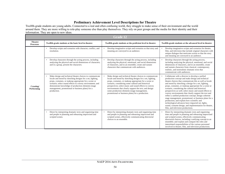Twelfth-grade students are young adults. Connected to a real and often confusing world, they struggle to make sense of their environment and the world around them. They are more willing to role-play someone else than play themselves. They rely on peer groups and the media for their identity and their information. They are open to new ideas.

| <b>Grade 12</b>                    |                                                                                                                                                                                                                                                                                                                                                                       |                                                                                                                                                                                                                                                                                                                                                                                                                                                             |                                                                                                                                                                                                                                                                                                                                                                                                                                                                                                                                                                                                                                                                                                                                                                                            |
|------------------------------------|-----------------------------------------------------------------------------------------------------------------------------------------------------------------------------------------------------------------------------------------------------------------------------------------------------------------------------------------------------------------------|-------------------------------------------------------------------------------------------------------------------------------------------------------------------------------------------------------------------------------------------------------------------------------------------------------------------------------------------------------------------------------------------------------------------------------------------------------------|--------------------------------------------------------------------------------------------------------------------------------------------------------------------------------------------------------------------------------------------------------------------------------------------------------------------------------------------------------------------------------------------------------------------------------------------------------------------------------------------------------------------------------------------------------------------------------------------------------------------------------------------------------------------------------------------------------------------------------------------------------------------------------------------|
| <b>Theatre</b><br><b>Processes</b> | Twelfth-grade students at the basic level in theatre:                                                                                                                                                                                                                                                                                                                 | Twelfth-grade students at the proficient level in theatre:                                                                                                                                                                                                                                                                                                                                                                                                  | Twelfth-grade students at the advanced level in theatre:                                                                                                                                                                                                                                                                                                                                                                                                                                                                                                                                                                                                                                                                                                                                   |
| Creating/<br>Performing            | Develop scripts and scenarios with character, conflict, and<br>resolution.                                                                                                                                                                                                                                                                                            | Develop imaginative scripts and scenarios so that story and<br>meaning are conveyed to an audience.                                                                                                                                                                                                                                                                                                                                                         | Develop imaginative scripts and scenarios for theatre,<br>film, and television that include original characters with<br>unique dialogue that motivates action so that the story<br>and meaning are conveyed to an audience.                                                                                                                                                                                                                                                                                                                                                                                                                                                                                                                                                                |
|                                    | Develop characters through the acting process, including<br>analyzing the physical and social dimensions of characters;<br>and in a group, present the characters.                                                                                                                                                                                                    | Develop characters through the acting process, including<br>analyzing the physical, emotional, and social dimensions<br>of characters, and in an ensemble, create and sustain<br>characters that communicate with audiences.                                                                                                                                                                                                                                | Develop characters through the acting process,<br>including analyzing the physical, emotional, and social<br>dimensions of characters, and in an ensemble, create<br>and sustain characters from classical, contemporary,<br>realistic, and nonrealistic dramatic texts that<br>communicate with audiences.                                                                                                                                                                                                                                                                                                                                                                                                                                                                                |
|                                    | Make design and technical theatre choices to communicate<br>locale and mood by sketching designs for a set, lighting,<br>props, costumes, or makeup appropriate for a scene or<br>scenario; select sound effects to convey environment; and<br>demonstrate knowledge of production elements (stage<br>management, promotional or business plans) for a<br>production. | Make design and technical theatre choices to communicate<br>locale and mood by sketching designs for a set, lighting,<br>props, costumes, or makeup appropriate for a scene or<br>scenario, considering some cultural and historical<br>perspectives; select music and sound effects to convey<br>environments that clearly support the text; and design<br>some production elements (stage management,<br>promotional or business plans) for a production. | Collaborate with a director to develop a unified<br>$\bullet$<br>production concept and make design and technical<br>theatre choices that communicate this as well as locale<br>and mood by sketching a design for a set, lighting,<br>props, costumes, or makeup appropriate for a scene or<br>scenario, considering the cultural and historical<br>perspectives as well; select music and sound effects to<br>convey environments that clearly support the text and<br>reflect a unified production concept; design coherent<br>stage management, promotional, or business plans for a<br>production; and explain how scientific and<br>technological advances have impacted set, lights,<br>sound, costume design, and implementation for theatre,<br>film, and television productions. |
|                                    | Direct by interpreting dramatic texts and organizing time<br>$\bullet$<br>and people in planning and rehearsing improvised and<br>scripted scenes.                                                                                                                                                                                                                    | Direct by interpreting dramatic texts and organizing time<br>$\bullet$<br>and people in planning and rehearsing improvised and<br>scripted scenes, effectively communicating directorial<br>choices to an ensemble.                                                                                                                                                                                                                                         | Direct by interpreting dramatic texts and organizing<br>$\bullet$<br>time and people in planning and rehearsing improvised<br>and scripted scenes, effectively communicating<br>directorial choices, including a unifying concept to an<br>ensemble; and explain and compare the roles and<br>interrelated responsibilities of the various personnel<br>involved in theatre, film, and television productions.                                                                                                                                                                                                                                                                                                                                                                             |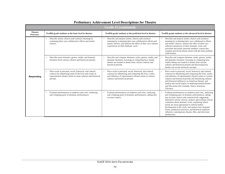| <b>Grade 12 (continued)</b>        |                                                                                                                                                                                                  |                                                                                                                                                                                                                           |                                                                                                                                                                                                                                                                                                                                                                                                                                                                                                                                 |
|------------------------------------|--------------------------------------------------------------------------------------------------------------------------------------------------------------------------------------------------|---------------------------------------------------------------------------------------------------------------------------------------------------------------------------------------------------------------------------|---------------------------------------------------------------------------------------------------------------------------------------------------------------------------------------------------------------------------------------------------------------------------------------------------------------------------------------------------------------------------------------------------------------------------------------------------------------------------------------------------------------------------------|
| <b>Theatre</b><br><b>Processes</b> | Twelfth-grade students at the basic level in theatre:                                                                                                                                            | Twelfth-grade students at the proficient level in theatre:                                                                                                                                                                | Twelfth-grade students at the advanced level in theatre:                                                                                                                                                                                                                                                                                                                                                                                                                                                                        |
| Responding                         | Describe artistic choices and construct meaning by<br>$\bullet$<br>evaluating their own collaborative efforts and artistic<br>choices.                                                           | Describe and analyze artistic choices and construct<br>meaning by evaluating their own collaborative efforts and<br>artistic choices, and analyze the effect of their own cultural<br>experiences on their dramatic work. | Describe and analyze artistic choices and construct<br>meaning by evaluating their own collaborative efforts<br>and artistic choices, analyze the effect of their own<br>cultural experiences on their dramatic work, and<br>articulate and justify personal aesthetic criteria that<br>compare perceived artistic intent with the final aesthetic<br>achievement.                                                                                                                                                              |
|                                    | Describe some elements, genres, media, and dramatic<br>literature from various cultures and historical periods.                                                                                  | Describe and compare elements, styles, genres, media, and<br>dramatic literature, focusing on comparing how similar<br>themes are treated in drama from various cultures and<br>historical periods.                       | Describe and compare elements, styles, genres, media,<br>and dramatic literature, focusing on comparing how<br>similar themes are treated in drama from various<br>cultures and historical periods and discussing how<br>theatre can reveal universal concepts.                                                                                                                                                                                                                                                                 |
|                                    | Place work in personal, social, historical, and cultural<br>contexts by identifying some of the lives and works of<br>representative theatre artists in some cultures and historical<br>periods. | Place work in personal, social, historical, and cultural<br>contexts by identifying and comparing the lives, works,<br>and influence of representative theatre artists in various<br>cultures and historical periods.     | Place work in personal, social, historical, and cultural<br>contexts by identifying and comparing the lives, works,<br>and influence of representative theatre artists in various<br>cultures and historical periods and identifying cultural<br>and historical influences on American theatre: and<br>analyze the social impact of underrepresented theatre<br>and film artists (for example, Native American,<br>Chicano).                                                                                                    |
|                                    | Evaluate performances as audience and critic, analyzing<br>and critiquing parts of dramatic performances.                                                                                        | Evaluate performances as audience and critic, analyzing<br>and critiquing parts of dramatic performances, taking into<br>account context.                                                                                 | Evaluate performances as audience and critic, analyzing<br>and critiquing parts of dramatic performances, taking<br>into account context and constructively suggesting<br>alternative artistic choices; analyze and evaluate critical<br>comments about dramatic work, explaining which<br>points are most appropriate to inform further<br>development of the work; and analyze how dramatic<br>forms, production practices, and theatrical traditions<br>influence contemporary theatre, film, and television<br>productions. |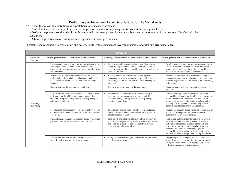#### **Preliminary Achievement Level Descriptions for the Visual Arts**

NAEP uses the following descriptions as expectations for student achievement:

• **Basic** denotes partial mastery of the content but performance that is only adequate for work at the three grade levels.

• **Proficient** represents solid academic performance and competency over challenging subject matter, as suggested in the *National Standards for Arts Education.*

• **Advanced** performance on this assessment represents superior performance.

In creating and responding to works of art and design, fourth-grade students are involved in exploratory, trial-and-error experiences.

| <b>Grade 4</b>                         |                                                                                                                                                                                                              |                                                                                                                                                                                                                  |                                                                                                                                                                                                                                                                                                                                                                                             |  |
|----------------------------------------|--------------------------------------------------------------------------------------------------------------------------------------------------------------------------------------------------------------|------------------------------------------------------------------------------------------------------------------------------------------------------------------------------------------------------------------|---------------------------------------------------------------------------------------------------------------------------------------------------------------------------------------------------------------------------------------------------------------------------------------------------------------------------------------------------------------------------------------------|--|
| <b>Visual Arts</b><br><b>Processes</b> | Fourth-grade students at the basic level in visual arts:                                                                                                                                                     | Fourth-grade students at the proficient level in visual arts:                                                                                                                                                    | Fourth-grade students at the advanced level in visual<br>arts:                                                                                                                                                                                                                                                                                                                              |  |
|                                        | Develop one or two ideas/approaches to a problem, with<br>$\bullet$<br>little originality in content or form, reflecting no<br>awareness of the relationship between the art/design work<br>and the context. | Develop several ideas/approaches to a problem, some of<br>which are original in their content and form, and reflect<br>some awareness of the relationship between the art/design<br>work and the context.        | Develop many ideas/approaches to a problem, most of<br>which are original in content and form, and reflect<br>awareness and understanding of the relationship<br>between the art/design work and the context.                                                                                                                                                                               |  |
|                                        | Visually and in written form demonstrate a limited<br>understanding of the relationship between principles of<br>visual organization and the construction of meaning or<br>function.                         | Visually and in written form demonstrate a general<br>understanding of the relationship between principles of<br>visual organization and the construction of meaning or<br>function.                             | Visually and in written form demonstrate a high level<br>of understanding of the relationship between principles<br>of visual organization and the construction of meaning<br>or function.                                                                                                                                                                                                  |  |
|                                        | Explore ideas, media, and tools in a limited way.                                                                                                                                                            | Explore a variety of ideas, media, and tools.                                                                                                                                                                    | Experiment creatively with a variety of ideas, media,<br>and tools.                                                                                                                                                                                                                                                                                                                         |  |
| Creating/<br>Performing                | Demonstrate a limited understanding of the relation-ship<br>of design-related problems and processes to real-life<br>situations, using a random process to develop a singular<br>solution to a problem.      | Demonstrate an understanding of the relationship of<br>design-related problems and processes to real-life<br>situations, using a linear process to develop a singular<br>solution to a problem.                  | Demonstrate a high level of understanding of the<br>relationship of design-related problems and processes<br>to real-life situations, understand the relationships<br>between the process and its solution, and use a clear<br>planning process (models, sketches, diagrams) to<br>generate multiple solutions to each problem.                                                             |  |
|                                        | Seek the most obvious answer to a question about process<br>$\bullet$<br>or content rather than integrate information from a variety<br>of sources.                                                          | Integrate information from a variety of sources, take an<br>idea and expand upon it, and find answers to questions<br>about process or content.                                                                  | Integrate information from a variety of sources, take an<br>idea and expand upon it, and invent answers to<br>questions about process or content.                                                                                                                                                                                                                                           |  |
|                                        | Find, select, and integrate information from a few sources,<br>precluding much extension or elaboration of ideas.                                                                                            | Find, select, and integrate information from a variety of<br>sources, enabling some extension and elaboration of ideas<br>and selection of methods and processes from several<br>approaches to solving problems. | Find, select, and integrate information from a wider<br>variety of sources, enabling greater extension and<br>elaboration of ideas and selection of methods and<br>processes from a variety of approaches to solving<br>problems; and facilitate understanding of the<br>relationship of these sources to the generation of ideas,<br>alternatives, and various problem-solving approaches. |  |
|                                        | Demonstrate a limited ability to recognize personal<br>strengths and weaknesses in their own work.                                                                                                           | Recognize personal strengths and weaknesses, and select<br>and discuss own work.                                                                                                                                 | Recognize personal strengths and weaknesses; can<br>select, discuss, and give specific examples from own<br>work; and identify works of varying quality while<br>reflecting on personal artistic processes.                                                                                                                                                                                 |  |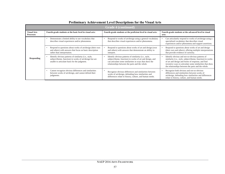| <b>Grade 4 (continued)</b>             |                                                                                                                                                                               |                                                                                                                                                                                                                               |                                                                                                                                                                                                                                                                                      |  |
|----------------------------------------|-------------------------------------------------------------------------------------------------------------------------------------------------------------------------------|-------------------------------------------------------------------------------------------------------------------------------------------------------------------------------------------------------------------------------|--------------------------------------------------------------------------------------------------------------------------------------------------------------------------------------------------------------------------------------------------------------------------------------|--|
| <b>Visual Arts</b><br><b>Processes</b> | Fourth-grade students at the basic level in visual arts:                                                                                                                      | Fourth-grade students at the proficient level in visual arts:                                                                                                                                                                 | Fourth-grade students at the advanced level in visual<br>arts:                                                                                                                                                                                                                       |  |
| <b>Responding</b>                      | Demonstrate a limited ability to use vocabulary that<br>٠<br>describes visual experiences and/or phenomena.                                                                   | Respond to works of art/design using a general vocabulary<br>that describes visual experiences and/or phenomena.                                                                                                              | Can articulately respond to works of art/design using a<br>specialized vocabulary that describes visual<br>experiences and/or phenomena and support assertions.                                                                                                                      |  |
|                                        | Respond to questions about works of art/design (their own<br>and others) with answers that focus on basic description<br>rather than interpretation.                          | Respond to questions about works of art and design (own<br>and others) with answers that demonstrate an ability to<br>interpret.                                                                                              | Respond to questions about works of art and design<br>(their own and others), offering multiple interpretations<br>that provide evidence of curiosity.                                                                                                                               |  |
|                                        | Identify obvious patterns of similarity (i.e., style,<br>$\bullet$<br>subject/theme, function) in works of art/design but are<br>unable to articulate basis for the judgment. | Identify obvious patterns of similarity (i.e., style,<br>subject/theme, function) in works of art and design, and<br>can articulate some similarities in ways that show the<br>relationships between the parts and the whole. | Identify obvious and not-so-obvious patterns of<br>similarity (i.e., style, subject/theme, function) in works<br>of art and design and forms of response, and find<br>inventive ways to articulate some similarities that show<br>the relationships between the parts and the whole. |  |
|                                        | Cannot recognize obvious differences and similarities<br>$\bullet$<br>between works of art/design, and cannot defend their<br>judgments.                                      | Recognize obvious differences and similarities between<br>works of art/design, defending how similarities and<br>differences relate to history, culture, and human needs.                                                     | Recognize both obvious and not-so-obvious<br>differences and similarities between works of<br>art/design, defending how similarities and differences<br>relate to history, culture, and human needs.                                                                                 |  |

# **Preliminary Achievement Level Descriptions for the Visual Arts**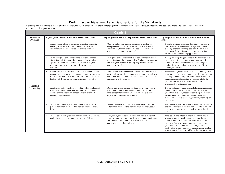In creating and responding to works of art and design, the eighth-grade student shows emerging abilities to make intellectual and visual selections and decisions based on personal values and intent to construct or interpret meaning.

| <b>Grade 8</b>                         |                                                                                                                                                                                                                                                                    |                                                                                                                                                                                                                    |                                                                                                                                                                                                                                                                                                                                                                                             |  |
|----------------------------------------|--------------------------------------------------------------------------------------------------------------------------------------------------------------------------------------------------------------------------------------------------------------------|--------------------------------------------------------------------------------------------------------------------------------------------------------------------------------------------------------------------|---------------------------------------------------------------------------------------------------------------------------------------------------------------------------------------------------------------------------------------------------------------------------------------------------------------------------------------------------------------------------------------------|--|
| <b>Visual Arts</b><br><b>Processes</b> | Eighth-grade students at the basic level in visual arts:                                                                                                                                                                                                           | Eighth-grade students at the proficient level in visual arts:                                                                                                                                                      | Eighth-grade students at the advanced level in visual<br>arts:                                                                                                                                                                                                                                                                                                                              |  |
| Creating/<br>Performing                | Operate within a limited definition of context in design-<br>related problems that focus on immediate, real-life<br>situations with prescribed problem-solving approaches.                                                                                         | Operate within an expanded definition of context in<br>design-related problems that include broader issues of<br>environment, human factors, and social behavior with<br>diverse problem-solving approaches.       | Operate within an expanded definition of context in<br>design-related problems that incorporates under-<br>standing of the relationship between the process of<br>design and the solutions that result from it, using<br>inventive problem-solving approaches.                                                                                                                              |  |
|                                        | Do not recognize competing priorities or performance<br>criteria in the definition of the problem; address only one<br>aspect of the problem at a time; and cannot recognize<br>principles guiding organization of form, content, or<br>function.                  | Recognize competing priorities or performance criteria in<br>the definition of the problem; identify alternative solutions;<br>and recognize principles guiding organization of form,<br>content, or function.     | Recognize competing priorities in the definition of the<br>problem; predict outcomes of solutions that reflect<br>alternative needs of users/audience; and recognize and<br>apply principles guiding the organization of form,<br>content, or function.                                                                                                                                     |  |
|                                        | Exhibit limited technical skill with tools and media with a<br>$\bullet$<br>tendency to prefer one media to another, more from a sense<br>of proficiency with the material or tool rather than because<br>it is the best choice for the communication of the idea. | Demonstrate increased control of media and tools with a<br>desire to learn specific techniques to gain greater ability to<br>communicate ideas, and make conscious choices that are<br>appropriate to the problem. | Demonstrate greater control of media and tools, often<br>choosing to specialize and practice to develop expertise,<br>enabling greater facility in the communication of ideas;<br>make conscious choices that are appropriate to the<br>problem; and experiment with less obvious<br>characteristics of the medium.                                                                         |  |
|                                        | Develop one or two methods for judging ideas in planning<br>$\bullet$<br>or simulation (thumbnail sketches, models, maquettes)<br>before reaching closure on concepts, visual organization,<br>meaning, or production.                                             | Devise and employ several methods for judging ideas in<br>planning or simulation (thumbnail sketches, models,<br>maquettes) before reaching closure on concepts, visual<br>organization, meaning, or production.   | Devise and employ many methods for judging ideas in<br>planning or simulation, using both actual images<br>(thumbnail sketches, models, maquettes) and mental<br>images while decoding meaning before reaching<br>closure on concepts, visual organization, meaning, or<br>production.                                                                                                      |  |
|                                        | Cannot weigh ideas against individually determined or<br>group-determined criteria in the creation of works of art/<br>design.                                                                                                                                     | Weigh ideas against individually determined or group-<br>$\bullet$<br>determined criteria in the creation of works of art/design.                                                                                  | Weigh ideas against individually determined or group-<br>determined criteria in the creation of works of art and<br>design, reinterpreting and extending group-shared<br>criteria.                                                                                                                                                                                                          |  |
|                                        | Find, select, and integrate information from a few sources,<br>precluding much extension or elaboration of ideas.                                                                                                                                                  | Find, select, and integrate information from a variety of<br>sources, enabling some extension and elaboration of ideas<br>and selection of methods and processes from several<br>approaches to solving problems.   | Find, select, and integrate information from a wider<br>variety of sources, enabling greater extension and<br>elaboration of ideas and selection of methods and<br>processes from a variety of approaches to solving<br>problems; and facilitate understanding of the<br>relationship of these sources to the generation of ideas,<br>alternatives, and various problem-solving approaches. |  |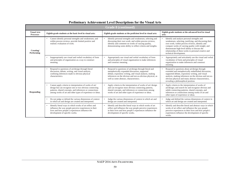| <b>Grade 8 (continued)</b>             |                                                                                                                                                                                                                                                           |                                                                                                                                                                                                                                                                            |                                                                                                                                                                                                                                                                                                                                                   |  |  |
|----------------------------------------|-----------------------------------------------------------------------------------------------------------------------------------------------------------------------------------------------------------------------------------------------------------|----------------------------------------------------------------------------------------------------------------------------------------------------------------------------------------------------------------------------------------------------------------------------|---------------------------------------------------------------------------------------------------------------------------------------------------------------------------------------------------------------------------------------------------------------------------------------------------------------------------------------------------|--|--|
| <b>Visual Arts</b><br><b>Processes</b> | Eighth-grade students at the basic level in visual arts:                                                                                                                                                                                                  | Eighth-grade students at the proficient level in visual arts:                                                                                                                                                                                                              | Eighth-grade students at the advanced level in visual<br>arts:                                                                                                                                                                                                                                                                                    |  |  |
| Creating/<br>Performing                | Cannot identify personal strengths and weaknesses; and<br>within process reviews, provide limited positive and<br>realistic evaluation of work.                                                                                                           | Identify personal strengths and weaknesses, selecting and<br>discussing their own work; and within process reviews,<br>identify and comment on works of varying quality,<br>demonstrating some ability to reflect criteria and insights.                                   | Identify and analyze personal strengths and<br>weaknesses, selecting, justifying, and discussing their<br>own work; within process reviews, identify and<br>compare works of varying quality with insight; and<br>demonstrate high-level ability to discuss the<br>relationship of these works to personal creative and<br>technical development. |  |  |
|                                        | Inappropriately use visual and verbal vocabulary of form<br>$\bullet$<br>and principles of organization as a way to construct<br>meaning.                                                                                                                 | Appropriately use visual and verbal vocabulary of form<br>and principles of visual organization to make inferences<br>and construct meaning.                                                                                                                               | Appropriately and articulately use the visual and verbal<br>vocabulary of form and principles of visual<br>organization to make inferences and construct<br>meaning.                                                                                                                                                                              |  |  |
| <b>Responding</b>                      | Respond to questions of art/design through literal<br>discussion, debate, writing, and visual analysis,<br>confining inferences made to obvious physical<br>characteristics.                                                                              | Respond to questions of art/design through literal and<br>metaphorically expanded discussion, supported<br>debate, expository writing, and visual analysis, making<br>inferences on the obvious and not-so-obvious physical, as<br>well as some abstract, characteristics. | Respond to questions about art/design through<br>extended and metaphorically embellished discussion,<br>supported debate, expository writing, and visual<br>analysis, making inferences on the obvious and not-so-<br>obvious physical and many abstract characteristics,<br>revealing a philosophical position.                                  |  |  |
|                                        | Cannot apply criteria to interpretation of works of art/<br>$\bullet$<br>design but can recognize one or two obvious connecting<br>patterns, shared concepts, and inferences or connections<br>among works of art and other types of experience or ideas. | Apply criteria to the interpretation of works of art/design<br>and can recognize most obvious connecting patterns,<br>shared concepts, and inferences or connections among<br>works of art and other types of experience or ideas.                                         | Apply criteria to the interpretation of works of<br>$\bullet$<br>art/design; and search for and recognize obvious and<br>subtle connecting patterns, shared concepts, and<br>inferences or connections among works of art and<br>other types of experience or ideas.                                                                              |  |  |
|                                        | Do not judge or defend the various dimensions of context<br>in which art and design are created and interpreted.                                                                                                                                          | Judge the various dimensions of context in which art and<br>design are created and interpreted.                                                                                                                                                                            | Judge and defend the various dimensions of context in<br>which art and design are created and interpreted.                                                                                                                                                                                                                                        |  |  |
|                                        | Identify literal ways in which works of art reflect and<br>$\bullet$<br>influence the way people perceive experiences in their<br>lives and how people's experiences influence the<br>development of specific works.                                      | Identify and describe literal ways in which works of art<br>reflect and influence the way people perceive experiences<br>in their lives and how people's experiences influence the<br>development of specific works.                                                       | Identify and describe literal and abstract ways in which<br>works of art reflect and influence the way people<br>perceive experiences in their lives and how people's<br>experiences influence the development of specific<br>works.                                                                                                              |  |  |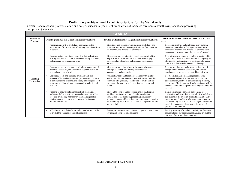In creating and responding to works of art and design, students in grade 12 show evidence of increased awareness about thinking about and processing concepts and judgments.

| <b>Grade 12</b>                        |                                                                                                                                                                                                                                                           |                                                                                                                                                                                                                                                                                                              |                                                                                                                                                                                                                                                                                                                                                                 |  |  |
|----------------------------------------|-----------------------------------------------------------------------------------------------------------------------------------------------------------------------------------------------------------------------------------------------------------|--------------------------------------------------------------------------------------------------------------------------------------------------------------------------------------------------------------------------------------------------------------------------------------------------------------|-----------------------------------------------------------------------------------------------------------------------------------------------------------------------------------------------------------------------------------------------------------------------------------------------------------------------------------------------------------------|--|--|
| <b>Visual Arts</b><br><b>Processes</b> | Twelfth-grade students at the basic level in visual arts:                                                                                                                                                                                                 | Twelfth-grade students at the proficient level in visual arts:                                                                                                                                                                                                                                               | Twelfth-grade students at the advanced level in visual<br>arts:                                                                                                                                                                                                                                                                                                 |  |  |
| Creating/<br>Performing                | Recognize one or two predictable approaches to the<br>organization of form, theories of meaning, and dimensions<br>of context.                                                                                                                            | Recognize and analyze several different predictable and<br>inventive approaches to the organization of form, theories<br>of meaning, and dimensions of context.                                                                                                                                              | Recognize, analyze, and synthesize many different<br>inventive approaches to the organization of form,<br>theories of meaning, and dimensions of context and<br>understand how they impact the content of the work.                                                                                                                                             |  |  |
|                                        | Generate a single solution to a problem that replicates an<br>$\bullet$<br>existing solution; and show little understanding of context,<br>audience, and performance criteria.                                                                            | Generate several solutions to a problem, some of which<br>depart from known solutions; and show an emerging<br>understanding of context, audience, and performance<br>criteria.                                                                                                                              | Generate many solutions to a problem, most of which<br>depart from known solutions; and show a high degree<br>of originality and sensitivity to context, performance<br>criteria, and theoretical frameworks of design.                                                                                                                                         |  |  |
|                                        | Generate one or two alternatives with little recognition of<br>$\bullet$<br>personal, conceptual, and critical development across an<br>accumulated body of work.                                                                                         | Generate several alternatives while recognizing personal,<br>conceptual, and critical development across an<br>accumulated body of work.                                                                                                                                                                     | Generate multiple alternatives with a high level of<br>recognition of personal, conceptual, and critical<br>development across an accumulated body of work.                                                                                                                                                                                                     |  |  |
|                                        | Use media, tools, and technical processes with some<br>evidence of focused selection and personalization, control<br>in communicating meaning, and testing of limits; and work<br>against the medium without understanding its limits and<br>capacity.    | Use media, tools, and technical processes with greater<br>evidence of focused selection, personalization, control in<br>communicating meaning, and testing of limits; and can<br>work with the medium, understanding its capacity and<br>limits.                                                             | Use media, tools, and technical processes with<br>competence and considerable interest in selection,<br>personalization, control in communicating meaning,<br>and testing of limits; and work and experiment with the<br>medium's more subtle aspects, inventing new limits and<br>capacities.                                                                  |  |  |
|                                        | Respond to a few simple components of challenging<br>problems; define superficial, physical dimensions of the<br>problem, proceeding haphazardly through the problem-<br>solving process; and are unable to assess the impact of<br>process on solutions. | Respond to some complex components of challenging<br>problems; define most physical and some abstract<br>dimensions of the problem, proceeding consciously<br>through a linear problem-solving process but not extending<br>or elaborating upon it; and can assess the impact of process<br>on the solution. | Respond to multiple complex components of<br>challenging problems; define most physical and abstract<br>dimensions of the problem, proceeding intentionally<br>through a lateral problem-solving process, extending<br>and elaborating upon it; and use analogies and abstract<br>principles to understand and assess the impact of<br>process on the solution. |  |  |
|                                        | Make limited use of simulation techniques but are unable<br>to predict the outcome of possible solutions.                                                                                                                                                 | Develop some use of simulation techniques and predict the<br>outcome of some possible solutions.                                                                                                                                                                                                             | Develop a variety of simulation techniques, determine<br>appropriateness for specific problems, and predict the<br>outcome of most simulated solutions.                                                                                                                                                                                                         |  |  |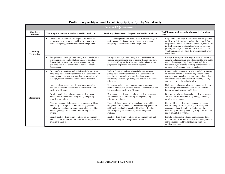| <b>Grade 12 (continued)</b>            |                                                                                                                                                                                                                                                                   |                                                                                                                                                                                                                                                         |                                                                                                                                                                                                                                                                                                                                                                          |  |  |
|----------------------------------------|-------------------------------------------------------------------------------------------------------------------------------------------------------------------------------------------------------------------------------------------------------------------|---------------------------------------------------------------------------------------------------------------------------------------------------------------------------------------------------------------------------------------------------------|--------------------------------------------------------------------------------------------------------------------------------------------------------------------------------------------------------------------------------------------------------------------------------------------------------------------------------------------------------------------------|--|--|
| <b>Visual Arts</b><br><b>Processes</b> | Twelfth-grade students at the basic level in visual arts:                                                                                                                                                                                                         | Twelfth-grade students at the proficient level in visual arts:                                                                                                                                                                                          | Twelfth-grade students at the advanced level in visual<br>arts:                                                                                                                                                                                                                                                                                                          |  |  |
| Creating/<br><b>Performing</b>         | Develop design solutions that respond to a partial list of<br>performance criteria but are unable to weigh criteria or<br>resolve competing demands within the same problem.                                                                                      | Develop design solutions that respond to a broad range of<br>performance criteria and can weigh criteria or resolve<br>competing demands within the same problem.                                                                                       | Respond to a full range of performance criteria; define<br>problems in differing ways and are likely to redefine<br>the problem in terms of specific orientation, context, or<br>in-depth focus that meets students' need for personal<br>growth; and weigh criteria and articulate reasons for<br>weighting certain aspects of the problem more heavily<br>than others. |  |  |
|                                        | Recognize one or two personal strengths and weak-nesses<br>$\bullet$<br>in creating and responding but are unable to select and<br>discuss their own work or identify works of varying<br>quality related to the progression of personal creative<br>development. | Recognize some personal strengths and weaknesses in<br>creating and responding; and select and discuss their own<br>work, identifying works of varying quality related to the<br>progression of personal creative development.                          | Recognize most personal strengths and weaknesses in<br>creating and responding; and select, identify, and justify<br>works of varying quality through the insightful and<br>focused analysis of the relationship of these works to<br>progression of personal creative development.                                                                                      |  |  |
| <b>Responding</b>                      | Do not refer to the visual and verbal vocabulary of form<br>and principles of visual organization in the construction of<br>meaning; and recognize obvious, literal relationships of<br>ideology, theory, and context to the formal principles.                   | Refer to the visual and verbal vocabulary of form and<br>principles of visual organization in the construction of<br>meaning; and recognize obvious literal and abstract<br>relationships of ideology, theory, and context to the formal<br>principles. | Refer to and integrate the visual and verbal vocabulary<br>of form and principles of visual organization in the<br>construction of meaning; and recognize and articulate<br>abstract and subtle relationships of ideology, theory,<br>and context to the formal principles.                                                                                              |  |  |
|                                        | Understand and manage simple, obvious relationships<br>between context and the creation and interpretation of<br>works of art/design.                                                                                                                             | Understand and manage simple, not-so-obvious, and<br>abstract relationships between context and the creation and<br>interpretation of works of art/design.                                                                                              | Understand and manage abstract, complex, and subtle<br>relationships between context and the creation and<br>interpretation of works of art/design.                                                                                                                                                                                                                      |  |  |
|                                        | Develop predictable and common theoretical constructs<br>and methods for decisionmaking among competing<br>priorities or opinions.                                                                                                                                | Develop predictable and inventive theoretical constructs<br>and methods for decisionmaking among competing<br>priorities or opinions.                                                                                                                   | Develop inventive and unusual theoretical constructs<br>and methods for decisionmaking among competing<br>priorities or opinions.                                                                                                                                                                                                                                        |  |  |
|                                        | Place singular and obvious personal comments within an<br>$\bullet$<br>elementary critical process, with little engagement in<br>criticism by explaining meaning; identifying, describing,<br>and recognizing critical models; and forming belief<br>systems.     | Place varied and thoughtful personal comments within a<br>compound critical process, with conscious engagement in<br>criticism by explaining meaning; identifying, describing,<br>and recognizing critical models; and forming belief<br>systems.       | Place multiple and discerning personal comments<br>within a complex critical process, with perceptive<br>engagement in criticism by explaining meaning;<br>identifying, describing, and recognizing critical models;<br>and forming belief systems.                                                                                                                      |  |  |
|                                        | Cannot identify where design solutions do not function<br>well and show limited ability to transfer learning from one<br>problem to another.                                                                                                                      | Identify where design solutions do not function well and<br>transfer learning from one problem to another.                                                                                                                                              | Identify and articulate where design solutions do not<br>function well; make adjustments in their own problem-<br>solving process; and transfer learning from one<br>problem to another.                                                                                                                                                                                 |  |  |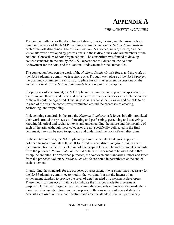# **APPENDIX A**

# *THE CONTENT OUTLINES*

The content outlines for the disciplines of dance, music, theatre, and the visual arts are based on the work of the NAEP planning committee and on the *National Standards* in each of the arts disciplines. The *National Standards* in dance, music, theatre, and the visual arts were developed by professionals in those disciplines who are members of the National Consortium of Arts Organizations. The consortium was funded to develop content standards in the arts by the U.S. Department of Education, the National Endowment for the Arts, and the National Endowment for the Humanities.

The connection between the work of the *National Standards* task forces and the work of the NAEP planning committee is a strong one. Through each phase of the NAEP project, the planning committee in each arts discipline based its assessment discussions on the concurrent work of the *National Standards* task force in that discipline.

For purposes of assessment, the NAEP planning committee (composed of specialists in dance, music, theatre, and the visual arts) identified major categories in which the content of the arts could be organized. Thus, in assessing what students know and are able to do in each of the arts, the content was formulated around the processes of creating, performing, and responding.

In developing standards in the arts, the *National Standards* task forces initially organized their work around the processes of creating and performing, perceiving and analyzing, knowing historical and social contexts, and understanding the nature and the meaning of each of the arts. Although these categories are not specifically delineated in the final document, they can be used to approach and understand the work of each discipline.

In the content outlines, the NAEP planning committee content categories appear in boldface Roman numerals I, II, or III followed by each discipline group's assessment recommendation, which is labeled in boldface capital letters. The Achievement Standards from the proposed *National Standards* that delineate the content to be assessed in that discipline are cited. For reference purposes, the Achievement Standards number and letter from the proposed voluntary *National Standards* are noted in parentheses at the end of each statement.

In unfolding the standards for the purposes of assessment, it was sometimes necessary for the NAEP planning committee to modify the wording (but not the intent) of an achievement standard to provide the level of detail needed by assessment developers. These modifications occur in italics to indicate the changes made for assessment purposes. At the twelfth-grade level, reframing the standards in this way also made them more inclusive and therefore more appropriate in the assessment of general students. Asterisks are used in music and theatre to indicate the standards that are particularly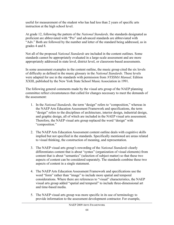useful for measurement of the student who has had less than 2 years of specific arts instruction at the high school level.

At grade 12, following the pattern of the *National Standards,* the standards designated as proficient are abbreviated with "Pro" and advanced standards are abbreviated with "Adv." Both are followed by the number and letter of the standard being addressed, as in grades 4 and 8.

Not all of the proposed *National Standards* are included in the content outlines. Some standards cannot be appropriately evaluated in a large-scale assessment and are more appropriately addressed in state level, district level, or classroom-based assessments.

In some assessment examples in the content outline, the music group cited the six levels of difficulty as defined in the music glossary in the *National Standards.* These levels were adapted for use in the standards with permission from *NYSSMA Manual,* Edition XXIII, published by the New York State School Music Association in 1991.

The following general comments made by the visual arts group of the NAEP planning committee reflect circumstances that called for changes necessary to meet the demands of the assessment:

- 1. In the *National Standards,* the term "design" refers to "composition," whereas in the NAEP Arts Education Assessment Framework and specifications, the term "design" refers to the disciplines of architecture, interior design, industrial design, and graphic design, all of which are included in the NAEP visual arts assessment. Therefore, the NAEP visual arts group replaced the word "design" with "composition."
- 2. The NAEP Arts Education Assessment content outline deals with cognitive skills implied but not specified in the standards. Specifically mentioned are areas related to visual thinking, the construction of meaning, and representation.
- 3. The NAEP visual arts group's rewording of the *National Standards* clearly differentiates content that is about "syntax" (organization of visual elements) from content that is about "semantics" (selection of subject matter) so that these two aspects of content can be considered separately. The standards combine these two aspects of content in a single statement.
- 4. The NAEP Arts Education Assessment Framework and specifications use the word "form" rather than "image" to include more spatial and temporal considerations. Where there are references to "visual" characteristics, the NAEP visual arts group added "spatial and temporal" to include three-dimensional art and time-based media.
- 5. The NAEP visual arts group was more specific in its use of terminology to provide information to the assessment development contractor. For example,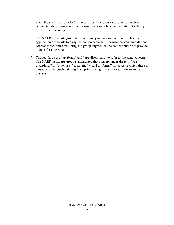when the standards refer to "characteristics," the group added words such as "characteristics of materials" or "formal and symbolic characteristics" to clarify the intended meaning.

- 6. The NAEP visual arts group felt it necessary to elaborate on issues related to application of the arts to daily life and on criticism. Because the standards did not address these issues explicitly, the group augmented the content outline to provide a focus for assessment.
- 7. The standards use "art forms" and "arts disciplines" to refer to the same concept. The NAEP visual arts group standardized that concept under the term "arts disciplines" or "other arts," reserving "visual art forms" for cases in which there is a need to distinguish painting from printmaking (for example, in the exercise design).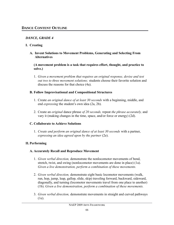## *DANCE, GRADE 4*

#### **I. Creating**

#### **A. Invent Solutions to Movement Problems, Generating and Selecting From Alternatives**

**(A movement problem is a task that requires effort, thought, and practice to solve.)**

1. *Given a movement problem that requires an original response, devise and test out two to three movement solutions;* students choose their favorite solution and discuss the reasons for that choice (4a).

#### **B. Follow Improvisational and Compositional Structures**

- 1. Create *an original dance of at least 30 seconds* with a beginning, middle, and end *expressing* the student's own idea (2a, 2b).
- 2. Create an *original* dance phrase *of 20 seconds,* repeat *the phrase accurately,* and vary it (making changes in the time, space, and/or force or energy) (2d).

## **C. Collaborate to Achieve Solutions**

1. *Create and perform an original dance of at least 30 seconds* with a partner, *expressing an idea agreed upon by the partner* (2e).

## **II. Performing**

## **A. Accurately Recall and Reproduce Movement**

- 1. *Given verbal direction,* demonstrate the nonlocomotor movements of bend, stretch, twist, and swing (nonlocomotor movements are done in place) (1a). *Given a live demonstration, perform a combination of these movements.*
- 2. *Given verbal direction,* demonstrate eight basic locomotor movements (walk, run, hop, jump, leap, gallop, slide, skip) traveling forward, backward, sideward, diagonally, and turning (locomotor movements travel from one place to another) (1b). *Given a live demonstration, perform a combination of these movements.*
- 3. *Given verbal direction,* demonstrate movements in straight and curved pathways (1e).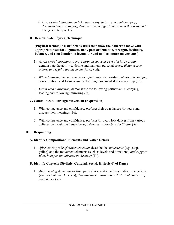4. *Given verbal direction and changes in rhythmic accompaniment (e.g., drumbeat tempo changes), demonstrate changes in movement that respond to* changes in tempo (1f).

#### **B. Demonstrate Physical Technique**

#### **(Physical technique is defined as skills that allow the dancer to move with appropriate skeletal alignment, body part articulation, strength, flexibility, balance, and coordination in locomotor and nonlocomotor movements.)**

- 1. *Given verbal directions to move through space as part of a large group,* demonstrate the ability to define and maintain personal space, *distance from others, and spatial arrangement (form)* (1d).
- 2. *While following the movements of a facilitator,* demonstrate *physical technique,* concentration, and focus *while* performing movement skills *in a group* (1g).
- 3. *Given verbal direction,* demonstrate the following partner skills: copying, leading and following, mirroring (2f).

## **C. Communicate Through Movement (Expression)**

- 1. With competence and confidence, *perform* their own dances *for* peers and discuss their meanings (3c).
- 2. With competence and confidence, *perform for peers* folk dances from various cultures, *learned previously through demonstrations by a facilitator* (5a).

## **III. Responding**

## **A. Identify Compositional Elements and Notice Details**

1. *After viewing a brief movement study,* describe the *movements* (e.g., skip, gallop) and the movement elements (such as levels and directions) *and suggest ideas being communicated in the study* (1h).

## **B. Identify Contexts (Stylistic, Cultural, Social, Historical) of Dance**

1. *After viewing three dances from* particular specific cultures and/or time periods (such as Colonial America), *describe the cultural and/or historical contexts of each dance* (5c).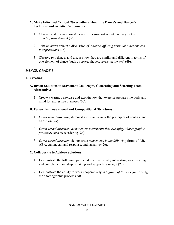#### **C. Make Informed Critical Observations About the Dance's and Dancer's Technical and Artistic Components**

- 1. Observe and discuss *how dancers* differ *from others who move (such as athletes, pedestrians)* (3a).
- 2. Take an active role in a discussion *of a dance, offering personal reactions and interpretations* (3b).
- 3. Observe two dances and discuss how they are similar and different in terms of one element of dance (such as space, shapes, levels, pathways) (4b).

#### *DANCE, GRADE 8*

#### **I. Creating**

#### **A. Invent Solutions to Movement Challenges, Generating and Selecting From Alternatives**

1. Create a warmup exercise and explain how that exercise prepares the body and mind for expressive purposes (6c).

#### **B. Follow Improvisational and Compositional Structures**

- 1. *Given verbal direction,* demonstrate *in movement* the principles of contrast and transition (2a).
- 2. *Given verbal direction, demonstrate movements that exemplify choreographic processes such as* reordering (2b).
- 3. *Given verbal direction,* demonstrate *movements in the following* forms of AB, ABA, canon, call and response, and narrative (2c).

#### **C. Collaborate to Achieve Solutions**

- 1. Demonstrate the following partner skills in a visually interesting way: creating and complementary shapes, taking and supporting weight (2e).
- 2. Demonstrate the ability to work cooperatively in a *group of three or four* during the choreographic process (2d).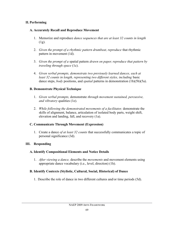#### **II. Performing**

#### **A. Accurately Recall and Reproduce Movement**

- 1. Memorize and reproduce *dance sequences that are at least 32 counts in length* (1g).
- 2. *Given the prompt of a rhythmic pattern drumbeat, reproduce* that rhythmic pattern in movement (1d).
- 3. *Given the prompt of a* spatial pattern *drawn on paper, reproduce that pattern by traveling through space* (1c).
- 4. *Given verbal prompts, demonstrate two previously learned dances, each at least 32 counts in length, representing two different styles, including* basic dance steps, *body* positions, and *spatial* patterns in demonstration (1b)(5b)(5a).

## **B. Demonstrate Physical Technique**

- 1. *Given verbal prompts,* demonstrate *through movement sustained, percussive, and vibratory* qualities (1e).
- 2. *While following the demonstrated movements of a facilitator,* demonstrate the skills of alignment, balance, articulation of isolated body parts, weight shift, elevation and landing, fall, and recovery (1a).

## **C. Communicate Through Movement (Expression)**

1. Create a dance *of at least 32 counts* that successfully communicates a topic of personal significance (3d).

## **III. Responding**

## **A. Identify Compositional Elements and Notice Details**

1. *After viewing a dance,* describe the *movements* and movement elements using appropriate dance vocabulary (i.e., level, direction) (1h).

## **B. Identify Contexts (Stylistic, Cultural, Social, Historical) of Dance**

1. Describe the role of dance in two different cultures and/or time periods (5d).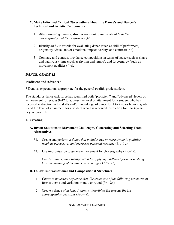#### **C. Make Informed Critical Observations About the Dance's and Dancer's Technical and Artistic Components**

- 1. *After observing a dance,* discuss *personal* opinions about *both the choreography and the performers* (4b).
- 2. Identify *and use* criteria for evaluating dance (such as skill of performers, originality, visual and/or emotional impact, variety, and contrast) (4d).
- 3. Compare and contrast two dance compositions in terms of space (such as shape and pathways), time (such as rhythm and tempo), and forceenergy (such as movement qualities) (4c).

## *DANCE, GRADE 12*

## **Proficient and Advanced**

\* Denotes expectations appropriate for the general twelfth-grade student.

The standards dance task force has identified both "proficient" and "advanced" levels of achievement for grades 9–12 to address the level of attainment for a student who has received instruction in the skills and/or knowledge of dance for 1 to 2 years beyond grade 8 and the level of attainment for a student who has received instruction for 3 to 4 years beyond grade 8.

## **I. Creating**

## **A. Invent Solutions to Movement Challenges, Generating and Selecting From Alternatives**

- \*1. Create and perform *a dance that includes two or more dynamic qualities (such as percussive) and expresses personal meaning* (Pro–1d).
- \*2. Use improvisation to generate movement for choreography (Pro–2a).
	- 3. *Create a dance, then* manipulate *it by applying a different form, describing how the meaning of the dance was changed* (Adv–2e).

## **B. Follow Improvisational and Compositional Structures**

- 1. *Create a movement sequence that illustrates one of the following* structures or forms: theme and variation, rondo, or round (Pro–2b).
- 2. Create a dance *of at least 1 minute, describing* the reasons for the *choreographic* decisions (Pro–4a).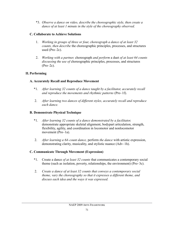\*3. *Observe a dance on video, describe the choreographic style, then create a dance of at least 1 minute in the style of the choreography observed.*

## **C. Collaborate to Achieve Solutions**

- 1. *Working in groups of three or four, choreograph a dance of at least 32 counts, then describe* the choreographic principles, processes, and structures used (Pro–2c).
- 2. *Working with a partner,* choreograph *and perform* a duet *of at least 64 counts discussing the use of* choreographic principles, processes, and structures (Pro–2c).

## **II. Performing**

## **A. Accurately Recall and Reproduce Movement**

- \*1. *After learning 32 counts of a dance taught by a facilitator, accurately recall and reproduce the movements and rhythmic patterns* (Pro–1f).
- 2. *After learning two dances of different styles, accurately recall and reproduce each dance.*

## **B. Demonstrate Physical Technique**

- \*1. *After learning 32 counts of a dance demonstrated by a facilitator,*  demonstrate appropriate skeletal alignment, bodypart articulation, strength, flexibility, agility, and coordination in locomotor and nonlocomotor movement (Pro–1a).
- 2. *After learning a 64-count dance,* perform *the dance* with artistic expression, demonstrating clarity, musicality, and stylistic nuance (Adv–1h).

# **C. Communicate Through Movement (Expression)**

- \*1. Create a dance *of at least 32 counts* that communicates a contemporary social theme (such as isolation, poverty, relationships, the environment) (Pro–3c).
- 2. *Create a dance of at least 32 counts that conveys a contemporary social theme, vary the choreography so that it expresses a different theme, and discuss each idea and the ways it was expressed.*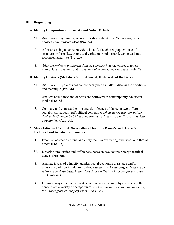#### **III. Responding**

#### **A. Identify Compositional Elements and Notice Details**

- \*1. *After observing a dance,* answer questions about how *the choreographer's* choices communicate ideas (Pro–3a).
- 2. After observing a dance on video, identify the choreographer's use of structure or form (i.e., theme and variation, rondo, round, canon call and response, narrative) (Pro–2b).
- 3. *After observing two different dances, compare how* the choreographers manipulate movement and movement *elements to express ideas* (Adv–2e).

## **B. Identify Contexts (Stylistic, Cultural, Social, Historical) of the Dance**

- \*1. *After observing* a classical dance form (such as ballet), discuss the traditions and technique (Pro–5b).
- 2. Analyze how dance and dancers are portrayed in contemporary American media (Pro–5d).
- 3. Compare and contrast the role and significance of dance in two different social/historical/cultural/political contexts *(such as dance used for political devices in Communist China compared with dance used in Native-American ceremonies)* (Adv–5f).

#### **C. Make Informed Critical Observations About the Dance's and Dancer's Technical and Artistic Components**

- 1. Establish aesthetic criteria and apply them in evaluating own work and that of others (Pro–4b).
- \*2. Describe similarities and differences between two contemporary theatrical dances (Pro–5a).
- 3. Analyze issues of ethnicity, gender, social/economic class, age and/or physical condition in relation to dance *(what are the stereotypes in dance in reference to these issues? how does dance reflect such contemporary issues? etc.)* (Adv-4f).
- 4. Examine ways that dance creates and conveys meaning by considering the dance from a variety of perspectives *(such as the dance critic, the audience, the choreographer, the performer)* (Adv–3d).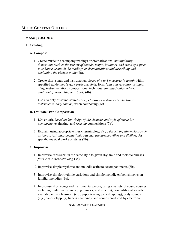## *MUSIC, GRADE 4*

## **I. Creating**

#### **A. Compose**

- 1. Create music to accompany readings or dramatizations, *manipulating dimensions such as the variety of sounds, tempo, loudness, and mood of a piece to enhance or match the readings or dramatizations and describing and explaining the choices made* (4a).
- 2. Create short songs and instrumental pieces *of 4 to 8 measures in length* within specified guidelines (e.g., a particular style, form *[call and response, ostinato, aba],* instrumentation, compositional technique, *tonality [major, minor, pentatonic], meter [duple, triple])* (4b).
- 3. Use a variety of sound sources *(e.g., classroom instruments, electronic instruments, body sounds)* when composing (4c).

## **B. Evaluate Own Composition**

- 1. *Use* criteria *based on knowledge of the elements and style of music* for *comparing,* evaluating, and *revising* compositions (7a).
- 2. Explain, using appropriate music terminology *(e.g., describing dimensions such as tempo, text, instrumentation),* personal preferences *(likes and dislikes)* for specific musical works or styles (7b).

## **C. Improvise**

- 1. Improvise "answers" in the same style to given rhythmic and melodic phrases *from 2 to 4 measures long* (3a).
- 2.Improvise simple rhythmic and melodic ostinato accompaniments (3b).
- 3. Improvise simple rhythmic variations and simple melodic embellishments on familiar melodies (3c).
- 4. Improvise short songs and instrumental pieces, using a variety of sound sources, including traditional sounds (e.g., voices, instruments); nontraditional sounds available in the classroom (e.g., paper tearing, pencil tapping); body sounds (e.g., hands clapping, fingers snapping); and sounds produced by electronic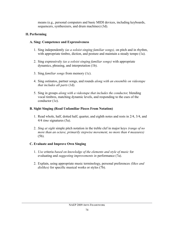means (e.g., personal computers and basic MIDI devices, including keyboards, sequencers, synthesizers, and drum machines) (3d).

## **II. Performing**

## **A. Sing: Competence and Expressiveness**

- 1. Sing independently *(as a soloist singing familiar songs),* on pitch and in rhythm, with appropriate timbre, diction, and posture and maintain a steady tempo (1a).
- 2. Sing expressively *(as a soloist singing familiar songs)* with appropriate dynamics, phrasing, and interpretation (1b).
- 3. Sing *familiar songs* from memory (1c).
- 4. Sing ostinatos, partner songs, and rounds *along with an ensemble on videotape that includes all parts* (1d).
- 5. Sing in groups *along with a videotape that includes the conductor,* blending vocal timbres, matching dynamic levels, and responding to the cues of the conductor (1e).

## **B. Sight Singing (Read Unfamiliar Pieces From Notation)**

- 1. Read whole, half, dotted half, quarter, and eighth notes and rests in 2/4, 3/4, and 4/4 *time* signatures (5a).
- 2. *Sing at sight* simple pitch notation in the treble clef in major keys *(range of no more than an octave, primarily stepwise movement, no more than 4 measures)* (5b).

## **C. Evaluate and Improve Own Singing**

- 1. *Use* criteria *based on knowledge of the elements and style of music* for evaluating and *suggesting improvements in* performance (7a).
- 2. Explain, using appropriate music terminology, personal preferences *(likes and dislikes)* for specific musical works or styles (7b).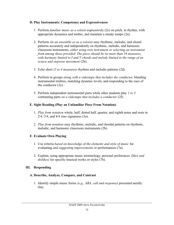#### **D. Play Instruments: Competence and Expressiveness**

- 1. Perform *familiar music as a soloist* expressively (2c) on pitch, in rhythm, with appropriate dynamics and timbre, and maintain a steady tempo (2a).
- 2. Perform *(in an ensemble or as a soloist)* easy rhythmic, melodic, and choral patterns accurately and independently on rhythmic, melodic, and harmonic classroom instruments, *either using own instrument or selecting an instrument from among those provided. The piece should be no more than 16 measures, with harmony limited to I and V chords and melody limited to the range of an octave and stepwise movement* (2b).
- 3. Echo short *(2 to 4 measures)* rhythms and melodic patterns (2d).
- 4. Perform in groups *along with a videotape that includes the conductor,* blending instrumental timbres, matching dynamic levels, and responding to the cues of the conductor (2e).
- 5. Perform independent instrumental parts while other students play *1 to 3* contrasting parts *on a videotape that includes a conductor* (2f).

#### **E. Sight Reading (Play an Unfamiliar Piece From Notation)**

- 1. *Play from notation* whole, half, dotted half, quarter, and eighth notes and rests in 2/4, 3/4, and 4/4 *time* signatures (5a).
- 2. *Play from notation* easy rhythmic, melodic, and chordal patterns on rhythmic, melodic, and harmonic classroom instruments (2b).

## **F. Evaluate Own Playing**

- 1. Use criteria *based on knowledge of the elements and style of music* for evaluating *and suggesting improvements in* performances (7a).
- 2. Explain, using appropriate music terminology, personal preferences *(likes and dislikes)* for specific musical works or styles (7b).

## **III. Responding**

#### **A. Describe, Analyze, Compare, and Contrast**

1. Identify simple music forms *(e.g., ABA, call and response)* presented aurally (6a).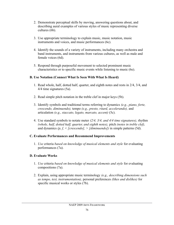- 2. Demonstrate perceptual skills by moving, answering questions about, and describing aural examples of various styles of music representing diverse cultures (6b).
- 3. Use appropriate terminology to explain music, music notation, music instruments and voices, and music performances (6c).
- 4. Identify the sounds of a variety of instruments, including many orchestra and band instruments, and instruments from various cultures, as well as male and female voices (6d).
- 5. Respond through purposeful movement to selected prominent music characteristics or to specific music events while listening to music (6e).

#### **B. Use Notation (Connect What Is Seen With What Is Heard)**

- 1. Read whole, half, dotted half, quarter, and eighth notes and rests in 2/4, 3/4, and 4/4 time signatures (5a).
- 2. Read simple pitch notation in the treble clef in major keys (5b).
- 3. Identify symbols and traditional terms referring to dynamics *(e.g., piano, forte, crescendo, diminuendo),* tempo *(e.g., presto, ritard, accelerando),* and articulation *(e.g., staccato, legato, marcato, accent)* (5c).
- 4. Use standard symbols to notate meter *(2/4, 3/4, and 4/4 time signatures),* rhythm *(whole, half, dotted half, quarter, and eighth notes),* pitch *(notes in treble clef),* and dynamics *(p, f, < [crescendo], > [diminuendo])* in simple patterns (5d).

## **C. Evaluate Performances and Recommend Improvements**

1. *Use* criteria *based on knowledge of musical elements and style* for evaluating performances (7a).

## **D. Evaluate Works**

- 1. *Use* criteria *based on knowledge of musical elements and style* for evaluating compositions (7a).
- 2. Explain, using appropriate music terminology *(e.g., describing dimensions such as tempo, text, instrumentation),* personal preferences *(likes and dislikes)* for specific musical works or styles (7b).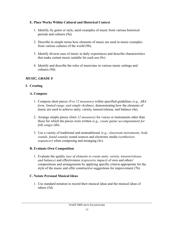#### **E. Place Works Within Cultural and Historical Context**

- 1. Identify, by genre or style, aural examples of music from various historical periods and cultures (9a).
- 2. Describe in simple terms how elements of music are used in music examples from various cultures of the world (9b).
- 3. Identify diverse uses of music in daily experiences and describe characteristics that make certain music suitable for each use (9c).
- 4. Identify and describe the roles of musicians in various music settings and cultures (9d).

## *MUSIC, GRADE 8*

## **I. Creating**

#### **A. Compose**

- 1. Compose short pieces *(8 to 12 measures)* within specified guidelines *(e.g., ABA form, limited range, and simple rhythms),* demonstrating how the elements of music are used to achieve unity, variety, tension/release, and balance (4a).
- 2. Arrange simple pieces *(limit 12 measures)* for voices or instruments other than those for which the pieces were written *(e.g., create guitar accompaniment for folk songs)* (4b).
- 3. Use a variety of traditional and nontraditional *(e.g., classroom instruments, body sounds, found sounds)* sound sources and electronic media *(synthesizer, sequencer)* when composing and arranging (4c).

#### **B. Evaluate Own Composition**

1. Evaluate the quality *(use of elements to create unity, variety, tension/release, and balance)* and effectiveness *(expressive impact)* of own and others' compositions and arrangements by applying specific criteria appropriate for the style of the music and offer constructive suggestions for improvement (7b).

#### **C. Notate Personal Musical Ideas**

1. Use standard notation to record their musical ideas and the musical ideas of others (5d).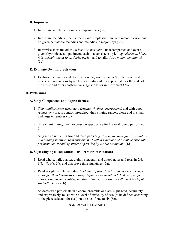#### **D. Improvise**

- 1. Improvise simple harmonic accompaniments (3a).
- 2. Improvise melodic embellishments and simple rhythmic and melodic variations on given pentatonic melodies and melodies in major keys (3b).
- 3. Improvise short melodies *(at least 12 measures),* unaccompanied and over a given rhythmic accompaniment, each in a consistent style *(e.g., classical, blues, folk, gospel),* meter *(e.g., duple, triple),* and tonality *(e.g., major, pentatonic)* (3c).

## **E. Evaluate Own Improvisation**

1. Evaluate the quality and effectiveness *(expressive impact)* of their own and others' improvisations by applying specific criteria appropriate for the style of the music and offer constructive suggestions for improvement (7b).

## **II. Performing**

## **A. Sing: Competence and Expressiveness**

- 1. *Sing familiar songs* accurately *(pitches, rhythms, expressions)* and with good *(consistent)* breath control throughout their singing ranges, alone and in small and large ensembles (1a).
- 2. Sing *familiar songs* with expression appropriate for the work being performed (1c).
- 3. Sing music written in two and three parts *(e.g., learn part through rote imitation and reading notation, then sing one part with a videotape of complete ensemble performance, including student's part, led by visible conductor)* (1d).

## **B. Sight Singing (Read Unfamiliar Pieces From Notation)**

- 1. Read whole, half, quarter, eighth, sixteenth, and dotted notes and rests in 2/4, 3/4, 4/4, 6/8, 3/8, and alla breve time signatures (5a).
- 2. Read at sight simple melodies *(melodies appropriate to student's vocal range, no longer than 8 measures, mostly stepwise movement and rhythms specified above; sung using syllables, numbers, letters, or nonsense syllables) in clef of student's choice* (5b).
- 3. Students who participate in a choral ensemble or class, sight-read, accurately and expressively, music with a level of difficulty of two (to be defined according to the piece selected for task) on a scale of one to six (5e).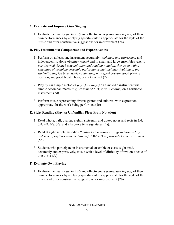#### **C. Evaluate and Improve Own Singing**

1. Evaluate the quality *(technical)* and effectiveness *(expressive impact)* of their own performances by applying specific criteria appropriate for the style of the music and offer constructive suggestions for improvement (7b).

#### **D. Play Instruments: Competence and Expressiveness**

- 1. Perform on at least one instrument accurately *(technical and expressive)* and independently, alone *(familiar music)* and in small and large ensembles *(e.g., a part learned through rote imitation and reading notation, then sung with a videotape of complete ensemble performance that includes doubling of the student's part, led by a visible conductor),* with good posture, good playing position, and good breath, bow, or stick control (2a).
- 2. Play by ear simple melodies *(e.g., folk songs)* on a melodic instrument with simple accompaniments *(e.g., strummed I, IV, V, vi, ii chords)* on a harmonic instrument (2d).
- 3. Perform music representing diverse genres and cultures, with expression appropriate for the work being performed (2c).

## **E. Sight Reading (Play an Unfamiliar Piece From Notation)**

- 1. Read whole, half, quarter, eighth, sixteenth, and dotted notes and rests in 2/4, 3/4, 4/4, 6/8, 3/8, and alla breve time signatures (5a).
- 2. Read at sight simple melodies *(limited to 8 measures, range determined by instrument, rhythms indicated above)* in the clef *appropriate to the instrument* (5b).
- 3. Students who participate in instrumental ensemble or class, sight-read, accurately and expressively, music with a level of difficulty of two on a scale of one to six (5e).

## **F. Evaluate Own Playing**

1. Evaluate the quality *(technical)* and effectiveness *(expressive impact)* of their own performances by applying specific criteria appropriate for the style of the music and offer constructive suggestions for improvement (7b).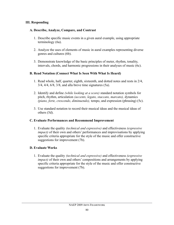#### **III. Responding**

#### **A. Describe, Analyze, Compare, and Contrast**

- 1. Describe specific music events in a given aural example, using appropriate terminology (6a).
- 2. Analyze the uses of elements of music in aural examples representing diverse genres and cultures (6b).
- 3. Demonstrate knowledge of the basic principles of meter, rhythm, tonality, intervals, chords, and harmonic progressions in their analyses of music (6c).

## **B. Read Notation (Connect What Is Seen With What Is Heard)**

- 1. Read whole, half, quarter, eighth, sixteenth, and dotted notes and rests in 2/4, 3/4, 4/4, 6/8, 3/8, and alla breve time signatures (5a).
- 2. Identify and define *(while looking at a score)* standard notation symbols for pitch, rhythm, articulation *(accents, legato, staccato, marcato),* dynamics *(piano, forte, crescendo, diminuendo),* tempo, and expression (phrasing) (5c).
- 3. Use standard notation to record their musical ideas and the musical ideas of others (5d).

## **C. Evaluate Performances and Recommend Improvement**

1. Evaluate the quality *(technical and expressive)* and effectiveness *(expressive impact)* of their own and others' performances and improvisations by applying specific criteria appropriate for the style of the music and offer constructive suggestions for improvement (7b).

## **D. Evaluate Works**

1. Evaluate the quality *(technical and expressive)* and effectiveness *(expressive impact*) of their own and others' compositions and arrangements by applying specific criteria appropriate for the style of the music and offer constructive suggestions for improvement (7b).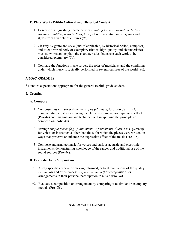#### **E. Place Works Within Cultural and Historical Context**

- 1. Describe distinguishing characteristics *(relating to instrumentation, texture, rhythmic qualities, melodic lines, form)* of representative music genres and styles from a variety of cultures (9a).
- 2. Classify by genre and style (and, if applicable, by historical period, composer, and title) a varied body of exemplary (that is, high-quality and characteristic) musical works and explain the characteristics that cause each work to be considered exemplary (9b).
- 3. Compare the functions music serves, the roles of musicians, and the conditions under which music is typically performed in several cultures of the world (9c).

#### *MUSIC, GRADE 12*

\* Denotes expectations appropriate for the general twelfth-grade student.

## **I. Creating**

#### **A. Compose**

- 1. Compose music in several distinct styles *(classical, folk, pop, jazz, rock),* demonstrating creativity in using the elements of music for expressive effect (Pro–4a) and imagination and technical skill in applying the principles of composition (Adv–4d).
- 2. Arrange *simple* pieces *(e.g., piano music, 4-part hymns, duets, trios, quartets)* for voices or instruments other than those for which the pieces were written, in ways that preserve or enhance the expressive effect of the music (Pro–4b).
- 3. Compose and arrange music for voices and various acoustic and electronic instruments, demonstrating knowledge of the ranges and traditional use of the sound sources (Pro–4c).

#### **B. Evaluate Own Composition**

- \*1. Apply specific criteria for making informed, critical evaluations of the quality *(technical)* and effectiveness *(expressive impact)* of compositions or arrangements in their personal participation in music (Pro–7a).
- \*2. Evaluate a composition or arrangement by comparing it to similar or exemplary models (Pro–7b).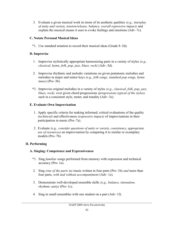3. Evaluate a given musical work in terms of its aesthetic qualities *(e.g., interplay of unity and variety, tension/release, balance, overall expressive impact)* and explain the musical means it uses to evoke feelings and emotions (Adv–7c).

## **C. Notate Personal Musical Ideas**

\*1. Use standard notation to record their musical ideas (Grade 8–5d).

## **D. Improvise**

- 1. Improvise stylistically appropriate harmonizing parts in a variety of styles *(e.g., classical, hymn, folk, pop, jazz, blues, rock)* (Adv–3d).
- 2. Improvise rhythmic and melodic variations on given pentatonic melodies and melodies in major and minor keys *(e.g., folk songs, standard pop songs, hymn tunes)* (Pro–3b).
- \*3. Improvise original melodies in a variety of styles *(e.g., classical, folk, pop, jazz, blues, rock),* over given chord progressions *(progressions typical of the styles),* each in a consistent style, meter, and tonality (Adv–3e).

## **E. Evaluate Own Improvisation**

- 1. Apply specific criteria for making informed, critical evaluations of the quality *(technical)* and effectiveness *(expressive impact)* of improvisations in their participation in music (Pro–7a).
- 2. Evaluate *(e.g., consider questions of unity or variety, consistency, appropriate use of resources)* an improvisation by comparing it to similar or exemplary models (Pro–7b).

# **II. Performing**

# **A. Singing: Competence and Expressiveness**

- \*1. Sing *familiar* songs performed from memory with expression and technical accuracy (Pro–1a).
- 2. Sing *(one of the parts in)* music written in four parts (Pro–1b) *and* more than four parts, *with and without accompaniment* (Adv–1e).
- 3. Demonstrate well-developed ensemble skills *(e.g., balance, intonation, rhythmic unity)* (Pro–1c).
- 4. Sing in small ensembles with one student on a part (Adv–1f).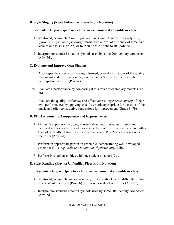#### **B. Sight Singing (Read Unfamiliar Pieces From Notation)**

#### **Students who participate in a choral or instrumental ensemble or class:**

- 1. Sight-read, accurately *(correct pitches and rhythms)* and expressively *(e.g., appropriate dynamics, phrasing),* music with a level of difficulty of three on a scale of one to six (Pro–5b) or four on a scale of one to six (Adv–5e).
- 2. Interpret nonstandard notation symbols used by some 20th-century composers (Adv–5d).

#### **C. Evaluate and Improve Own Singing**

- 1. Apply specific criteria for making informed, critical evaluations of the quality *(technical)* and effectiveness *(expressive impact)* of performances in their participation in music (Pro–7a).
- \*2. Evaluate a performance by comparing it to similar or exemplary models (Pro– 7b).
- 3. Evaluate the quality *(technical)* and effectiveness *(expressive impact)* of their own performances by applying specific criteria appropriate for the style of the music and offer constructive suggestions for improvement (Grade 8–7b).

#### **D. Play Instruments: Competence and Expressiveness**

- 1. *Play* with expression *(e.g., appropriate dynamics, phrasing, rubato)* and technical accuracy a large and varied repertoire of instrumental literature with a level of difficulty of four on a scale of one to six (Pro–2a) or five on a scale of one to six (Adv–2d).
- 2. Perform an appropriate part in an ensemble, demonstrating well-developed ensemble skills *(e.g., balance, intonation, rhythmic unity)* (2b).
- 3. Perform in small ensembles with one student on a part (2c).

## **E. Sight Reading (Play an Unfamiliar Piece From Notation)**

#### **Students who participate in a choral or instrumental ensemble or class:**

- 1. Sight-read, accurately and expressively, music with a level of difficulty of three on a scale of one to six (Pro–5b) or four on a scale of one to six (Adv–5e).
- 2. Interpret nonstandard notation symbols used by some 20th-century composers (Adv–5d).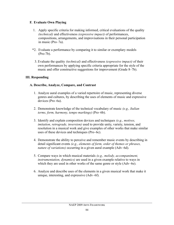#### **F. Evaluate Own Playing**

- 1. Apply specific criteria for making informed, critical evaluations of the quality *(technical)* and effectiveness *(expressive impact)* of performances, compositions, arrangements, and improvisations in their personal participation in music (Pro–7a).
- \*2. Evaluate a performance by comparing it to similar or exemplary models (Pro-7b).
	- 3. Evaluate the quality *(technical)* and effectiveness *(expressive impact)* of their own performances by applying specific criteria appropriate for the style of the music and offer constructive suggestions for improvement (Grade 8–7b).

#### **III. Responding**

#### **A. Describe, Analyze, Compare, and Contrast**

- 1. Analyze aural examples of a varied repertoire of music, representing diverse genres and cultures, by describing the uses of elements of music and expressive devices (Pro–6a).
- 2. Demonstrate knowledge of the technical vocabulary of music *(e.g., Italian terms, form, harmony, tempo markings)* (Pro–6b).
- 3. Identify and explain composition devices and techniques *(e.g., motives, imitation, retrograde, inversion)* used to provide unity, variety, tension, and resolution in a musical work and give examples of other works that make similar uses of these devices and techniques (Pro–6c).
- 4. Demonstrate the ability to perceive and remember music events by describing in detail significant events *(e.g., elements of form, order of themes or phrases, nature of variations)* occurring in a given aural example (Adv–6d).
- 5. Compare ways in which musical materials *(e.g., melody, accompaniment, instrumentation, dynamics)* are used in a given example relative to ways in which they are used in other works of the same genre or style (Adv–6e).
- 6. Analyze and describe uses of the elements in a given musical work that make it unique, interesting, and expressive (Adv–6f).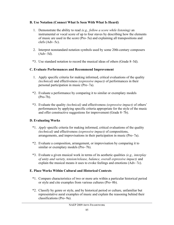#### **B. Use Notation (Connect What Is Seen With What Is Heard)**

- 1. Demonstrate the ability to read *(e.g., follow a score while listening)* an instrumental or vocal score of up to four staves by describing how the elements of music are used in the score (Pro–5a) and explaining all transpositions and clefs (Adv–5c).
- 2. Interpret nonstandard notation symbols used by some 20th-century composers (Adv–5d).
- \*3. Use standard notation to record the musical ideas of others (Grade 8–5d).

## **C. Evaluate Performances and Recommend Improvement**

- 1. Apply specific criteria for making informed, critical evaluations of the quality *(technical)* and effectiveness *(expressive impact)* of performances in their personal participation in music (Pro–7a).
- \*2. Evaluate a performance by comparing it to similar or exemplary models (Pro-7b).
- \*3. Evaluate the quality *(technical)* and effectiveness *(expressive impact)* of others' performances by applying specific criteria appropriate for the style of the music and offer constructive suggestions for improvement (Grade 8–7b).

## **D. Evaluating Works**

- \*1. *Apply* specific criteria for making informed, critical evaluations of the quality *(technical)* and effectiveness *(expressive impact)* of compositions, arrangements, and improvisations in their participation in music (Pro–7a).
- \*2. Evaluate a composition, arrangement, or improvisation by comparing it to similar or exemplary models (Pro–7b).
- \*3. Evaluate a given musical work in terms of its aesthetic qualities *(e.g., interplay of unity and variety, tension/release, balance, overall expressive impact)* and explain the musical means it uses to evoke feelings and emotions (Adv–7c).

## **E. Place Works Within Cultural and Historical Contexts**

- \*1. Compare characteristics of two or more arts within a particular historical period or style and cite examples from various cultures (Pro–8b).
- \*2. Classify by genre or style, and by historical period or culture, unfamiliar but representative aural examples of music and explain the reasoning behind their classifications (Pro–9a).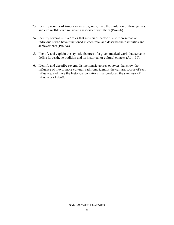- \*3. Identify sources of American music genres, trace the evolution of those genres, and cite well-known musicians associated with them (Pro–9b).
- \*4. Identify several *distinct* roles that musicians perform, cite representative individuals who have functioned in each role, and describe their activities and achievements (Pro–9c).
- 5. Identify and explain the stylistic features of a given musical work that serve to define its aesthetic tradition and its historical or cultural context (Adv–9d).
- 6. Identify and describe several distinct music genres or styles that show the influence of two or more cultural traditions, identify the cultural source of each influence, and trace the historical conditions that produced the synthesis of influences (Adv–9e).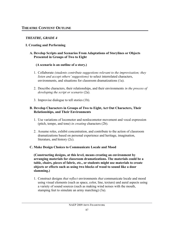## *THEATRE, GRADE 4*

## **I. Creating and Performing**

#### **A. Develop Scripts and Scenarios From Adaptations of Storylines or Objects Presented in Groups of Two to Eight**

## **(A scenario is an outline of a story.)**

- 1. Collaborate *(students contribute suggestions relevant to the improvisation; they listen and accept others' suggestions)* to select interrelated characters, environments, and situations for classroom dramatizations (1a).
- 2. Describe characters, their relationships, and their environments *in the process of developing the script or scenario* (2a).
- 3. Improvise dialogue to tell stories (1b).

#### **B. Develop Characters in Groups of Two to Eight, Act Out Characters, Their Relationships, and Their Environments**

- 1. Use variations of locomotor and nonlocomotor movement and vocal expression (pitch, tempo, and tone) *in creating* characters (2b).
- 2. Assume roles, exhibit concentration, and contribute to the action of classroom dramatizations based on personal experience and heritage, imagination, literature, and history (2c).

## **C. Make Design Choices to Communicate Locale and Mood**

**(Constructing designs, at this level, means creating an environment by arranging materials for classroom dramatizations. The materials could be a table, chairs, pieces of fabric, etc., or students might use materials to create objects or effects such as using two blocks of wood to sound like a door slamming.)**

1. Construct designs *that reflect* environments *that* communicate locale and mood using visual elements (such as space, color, line, texture) and aural aspects using a variety of sound sources (such as making wind noises with the mouth, stamping feet to simulate an army marching) (3a).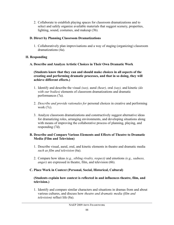2. Collaborate to establish playing spaces for classroom dramatizations and to select and safely organize available materials that suggest scenery, properties, lighting, sound, costumes, and makeup (3b).

## **D. Direct by Planning Classroom Dramatizations**

1. Collaboratively plan improvisations and a way of staging (organizing) classroom dramatizations (4a).

## **II. Responding**

#### **A. Describe and Analyze Artistic Choices in Their Own Dramatic Work**

#### **(Students know that they can and should make choices in all aspects of the creating and performing dramatic processes, and that in so doing, they will achieve different effects.)**

- 1. Identify and describe the visual *(see),* aural *(hear),* oral *(say),* and kinetic *(do with our bodies)* elements of classroom dramatizations and dramatic performances (7a).
- 2. *Describe and provide rationales for* personal choices in creative and performing work (7c).
- 3. Analyze classroom dramatizations and constructively suggest alternative ideas for dramatizing roles, arranging environments, and developing situations along with means of improving the collaborative process of planning, playing, and responding (7d).

#### **B. Describe and Compare Various Elements and Effects of Theatre to Dramatic Media (Film and Television)**

- 1. Describe visual, aural, oral, and kinetic elements in theatre and dramatic media *such as film and television* (6a).
- 2. Compare how ideas *(e.g., sibling rivalry, respect)* and emotions *(e.g., sadness, anger)* are expressed in theatre, film, and television (6b).

## **C. Place Work in Context (Personal, Social, Historical, Cultural)**

#### **(Students explain how context is reflected in and influences theatre, film, and television.)**

1. Identify and compare similar characters and situations in dramas from and about various cultures, and discuss how *theatre and dramatic media (film and television)* reflect life (8a).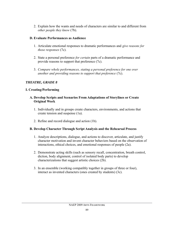2. Explain how the wants and needs of characters are similar to and different from *other people they know* (7b).

#### **D. Evaluate Performances as Audience**

- 1. Articulate emotional responses to dramatic performances and *give reasons for those responses* (7c).
- 2. State a personal preference *for certain* parts of a dramatic performance and provide reasons to support that preference (7c).
- 3. *Compare whole performances, stating a personal preference for one over another and providing reasons to support that preference* (7c).

#### *THEATRE, GRADE 8*

#### **I. Creating/Performing**

- **A. Develop Scripts and Scenarios From Adaptations of Storylines or Create Original Work**
	- 1. Individually and in groups create characters, environments, and actions that create tension and suspense (1a).
	- 2. Refine and record dialogue and action (1b).

#### **B. Develop Character Through Script Analysis and the Rehearsal Process**

- 1. Analyze descriptions, dialogue, and actions to discover, articulate, and justify character motivation and invent character behaviors based on the observation of interactions, ethical choices, and emotional responses of people (2a).
- 2. Demonstrate acting skills (such as sensory recall, concentration, breath control, diction, body alignment, control of isolated body parts) to develop characterizations that suggest artistic choices (2b).
- 3. In an ensemble (working compatibly together in groups of three or four), interact as invented characters (ones created by students) (3c).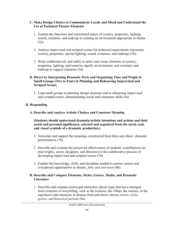#### **C. Make Design Choices to Communicate Locale and Mood and Understand the Use of Technical Theatre Elements**

- 1. Explain the functions and interrelated nature of scenery, properties, lighting, sound, costumes, and makeup in creating an environment appropriate to drama (3a).
- 2. Analyze improvised and scripted scenes for technical requirements (necessary scenery, properties, special lighting, sound, costumes, and makeup) (3b).
- 3. Work collaboratively and safely to select and create elements of scenery, properties, lighting, and sound to signify environments, and costumes and makeup to suggest character (3d).

#### **D. Direct by Interpreting Dramatic Texts and Organizing Time and People in Small Groups (Two to Four) in Planning and Rehearsing Improvised and Scripted Scenes**

1. Lead small groups in planning design elements and in rehearsing improvised and scripted scenes, demonstrating social and consensus skills (4a).

#### **II. Responding**

**A. Describe and Analyze Artistic Choices and Construct Meaning**

#### **(Students should understand dramatic/artistic intentions and actions and their social and personal significance, selected and organized from the aural, oral, and visual symbols of a dramatic production.)**

- 1. Articulate and support the meanings constructed from their and others' dramatic performances (7b).
- 2. Describe and evaluate the perceived effectiveness of students' contributions (as playwrights, actors, designers, and directors) to the collaborative process of developing improvised and scripted scenes (7d).
- 3. Explain the knowledge, skills, and discipline needed to pursue careers and avocational opportunities in theatre, *film, and television* (8b).

#### **B. Describe and Compare Elements, Styles, Genres, Media, and Dramatic Literature**

1. Describe and compare archetypal characters (those types that have emerged from centuries of storytelling, such as the trickster, the villain, the warrior, or the superhero) and situations in dramas from and about various *artistic styles, genres, and historical periods* (8a).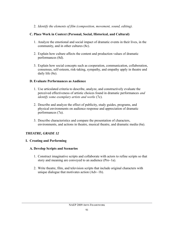2. *Identify the elements of film (composition, movement, sound, editing).*

## **C. Place Work in Context (Personal, Social, Historical, and Cultural)**

- 1. Analyze the emotional and social impact of dramatic events in their lives, in the community, and in other cultures (8c).
- 2. Explain how culture affects the content and production values of dramatic performances (8d).
- 3. Explain how social concepts such as cooperation, communication, collaboration, consensus, self-esteem, risk-taking, sympathy, and empathy apply in theatre and daily life (8e).

## **D. Evaluate Performances as Audience**

- 1. Use articulated criteria to describe, analyze, and constructively evaluate the perceived effectiveness of artistic choices found in dramatic performances *and identify some exemplary artists and works* (7c).
- 2. Describe and analyze the effect of publicity, study guides, programs, and physical environments on audience response and appreciation of dramatic performances (7a).
- 3. Describe characteristics and compare the presentation of characters, environments, and actions in theatre, musical theatre, and dramatic media (6a).

## *THEATRE, GRADE 12*

## **I. Creating and Performing**

## **A. Develop Scripts and Scenarios**

- 1. Construct imaginative scripts and collaborate with actors to refine scripts so that story and meaning are conveyed to an audience (Pro–1a).
- 2. Write theatre, film, and television scripts that include original characters with unique dialogue that motivates action (Adv–1b).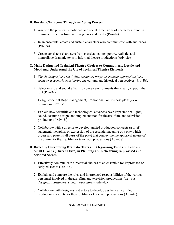#### **B. Develop Characters Through an Acting Process**

- 1. Analyze the physical, emotional, and social dimensions of characters found in dramatic texts *and* from various genres and media (Pro–2a).
- 2. In an ensemble, create and sustain characters who communicate with audiences (Pro–2c).
- 3. Create consistent characters from classical, contemporary, realistic, and nonrealistic dramatic texts in informal theatre productions (Adv–2e).

#### **C. Make Design and Technical Theatre Choices to Communicate Locale and Mood and Understand the Use of Technical Theatre Elements**

- 1. *Sketch designs for a set, lights, costumes, props, or makeup appropriate for a scene or a scenario considering the* cultural and historical perspectives (Pro-3b).
- 2. Select music and sound effects to convey environments that clearly support the text (Pro–3c).
- 3. Design coherent stage management, promotional, or business plans *for a production* (Pro–3e).
- 4. Explain how scientific and technological advances have impacted set, lights, sound, costume design, and implementation for theatre, film, and television productions (Adv–3f).
- 5. Collaborate with a director to develop unified production concepts (a brief statement, metaphor, or expression of the essential meaning of a play which orders and patterns all parts of the play) that convey the metaphorical nature of the drama for theatre, film, or television productions (Adv–3g).

#### **D. Direct by Interpreting Dramatic Texts and Organizing Time and People in Small Groups (Three to Five) in Planning and Rehearsing Improvised and Scripted Scenes**

- 1. Effectively communicate directorial choices to an ensemble for improvised or scripted scenes (Pro–4c).
- 2. Explain and compare the roles and interrelated responsibilities of the various personnel involved in theatre, film, and television productions *(e.g., set designers, costumers, camera operators)* (Adv–4d).
- 3. Collaborate with designers and actors to develop aesthetically unified production concepts for theatre, film, or television productions (Adv–4e).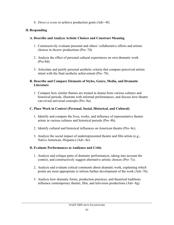4. *Direct a scene* to achieve production goals (Adv–4f).

#### **II. Responding**

#### **A. Describe and Analyze Artistic Choices and Construct Meaning**

- 1. Constructively evaluate personal and others' collaborative efforts and artistic choices in *theatre* productions (Pro–7d).
- 2. Analyze the effect of personal cultural experiences on own dramatic work (Pro-8d).
- 3. Articulate and justify personal aesthetic criteria that compare perceived artistic intent with the final aesthetic achievement (Pro–7b).

#### **B. Describe and Compare Elements of Styles, Genre, Media, and Dramatic Literature**

1. Compare how similar themes are treated in drama from various cultures and historical periods, illustrate with informal performances, and discuss how theatre can reveal universal concepts (Pro–8a).

## **C. Place Work in Context (Personal, Social, Historical, and Cultural)**

- 1. Identify and compare the lives, works, and influence of representative theatre artists in various cultures and historical periods (Pro–8b).
- 2. Identify cultural and historical influences on American theatre (Pro–8c).
- 3. Analyze the social impact of underrepresented theatre and film artists (e.g., Native American, Hispanic) (Adv–8e).

## **D. Evaluate Performances as Audience and Critic**

- 1. Analyze and critique parts of dramatic performances, taking into account the context, and constructively suggest alternative artistic choices (Pro–7c).
- 2. Analyze and evaluate critical comments about dramatic work, explaining which points are most appropriate to inform further development of the work (Adv-7h).
- 3. Analyze how dramatic forms, production practices, and theatrical traditions influence contemporary theatre, film, and television productions (Adv–8g).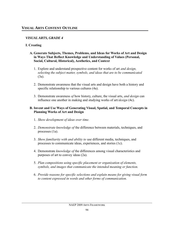## *VISUAL ARTS, GRADE 4*

#### **I. Creating**

#### **A. Generate Subjects, Themes, Problems, and Ideas for Works of Art and Design in Ways That Reflect Knowledge and Understanding of Values (Personal, Social, Cultural, Historical), Aesthetics, and Context**

- 1. Explore and understand prospective content for works of art *and design, selecting the subject matter, symbols, and ideas that are to be communicated* (3a).
- 2. Demonstrate awareness that the visual arts and design have both a history and specific relationship to various cultures (4a).
- 3. Demonstrate awareness *of* how history, culture, the visual arts, *and design* can influence one another in making and studying works of art/*design* (4c).

#### **B. Invent and Use Ways of Generating Visual, Spatial, and Temporal Concepts in Planning Works of Art and Design**

- 1. *Show development of ideas over time.*
- 2. *Demonstrate knowledge of* the difference between materials, techniques, and processes (1a).
- 3. *Show familiarity with and ability to* use different media, techniques, and processes to communicate ideas, experiences, and stories (1c).
- 4. Demonstrate *knowledge of* the differences among visual characteristics and purposes of art to convey ideas (2a).
- 5. *Plan compositions using specific placement or organization of elements, symbols, and images that communicate the intended meaning or function.*
- 6. *Provide reasons for specific selections and explain means for giving visual form to content expressed in words and other forms of communication.*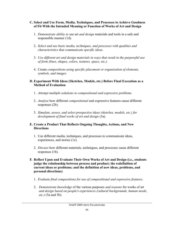#### **C. Select and Use Form, Media, Techniques, and Processes to Achieve Goodness of Fit With the Intended Meaning or Function of Works of Art and Design**

- 1. *Demonstrate ability to* use art *and design* materials and tools in a safe and responsible manner (1d).
- 2. *Select and use basic media, techniques, and processes with qualities and characteristics that communicate specific ideas.*
- 3. *Use different art and design materials in ways that result in the purposeful use of form (lines, shapes, colors, textures, space, etc.).*
- 4. Create *compositions using specific placement or organization of elements, symbols, and images.*

#### **D. Experiment With Ideas (Sketches, Models, etc.) Before Final Execution as a Method of Evaluation**

- 1. *Attempt multiple solutions to compositional and expressive problems.*
- 2. *Analyze* how different *compositional* and expressive features cause different responses (2b).
- 3. *Simulate, assess, and select prospective ideas (sketches, models, etc.) for development of final works of art and design* (3a).

#### **E. Create a Product That Reflects Ongoing Thoughts, Actions, and New Directions**

- 1. Use different media, techniques, and processes to communicate ideas, experiences, and stories (1c).
- 2. *Discuss* how different materials, techniques, and processes cause different responses (1b).
- **F. Reflect Upon and Evaluate Their Own Works of Art and Design (i.e., students judge the relationship between process and product; the redefinition of current ideas or problems; and the definition of new ideas, problems, and personal directions)**
	- 1. *Evaluate final compositions for use of compositional and expressive features*.
	- 2. *Demonstrate knowledge* of the various purposes *and reasons* for works of art *and design based on people's experiences (cultural backgrounds, human needs, etc.)* (5a and 5b).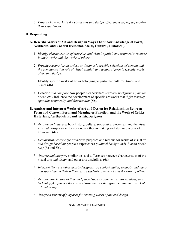3. *Propose how works in the visual arts and design affect the way people perceive their experiences.*

## **II. Responding**

- **A. Describe Works of Art and Design in Ways That Show Knowledge of Form, Aesthetics, and Context (Personal, Social, Cultural, Historical)**
	- 1. *Identify characteristics of materials and visual, spatial, and temporal structures in their works and the works of others.*
	- 2. *Provide reasons for an artist's or designer's specific selections of content and the communication role of visual, spatial, and temporal form in specific works of art and design.*
	- 3. Identify specific works of art as belonging to particular cultures, times, and places (4b).
	- 4. Describe *and compare* how people's experiences *(cultural backgrounds, human needs, etc.)* influence the development of specific art works that *differ visually, spatially, temporally, and functionally* (5b).

#### **B. Analyze and Interpret Works of Art and Design for Relationships Between Form and Context, Form and Meaning or Function, and the Work of Critics, Historians, Aestheticians, and Artists/Designers**

- 1. *Analyze and interpret* how history, culture, *personal experiences,* and the visual arts *and design* can influence one another in making and studying works of art/*design* (4c).
- 2. *Demonstrate knowledge* of various purposes and reasons for works of visual art *and design based on* people's experiences *(cultural backgrounds, human needs, etc.)* (5a and 5b).
- 3. *Analyze and interpret* similarities and differences between characteristics of the visual arts *and design* and other arts disciplines (6a).
- 4. *Interpret the ways other artists/designers use subject matter, symbols, and ideas and speculate on their influences on students' own work and the work of others.*
- 5. *Analyze how factors of time and place (such as climate, resources, ideas, and technology) influence the visual characteristics that give meaning to a work of art and design.*
- 6. *Analyze a variety of purposes for creating works of art and design.*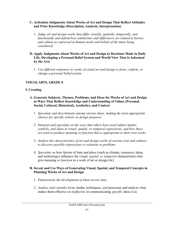#### **C. Articulate Judgments About Works of Art and Design That Reflect Attitudes and Prior Knowledge (Description, Analysis, Interpretation)**

1. *Judge art and design works that differ visually, spatially, temporally, and functionally and defend how similarities and differences are related to history and culture as expressed in human needs and beliefs of the times being considered.*

#### **D. Apply Judgments About Works of Art and Design to Decisions Made in Daily Life, Developing a Personal Belief System and World View That Is Informed by the Arts**

1. *Use different responses to works of visual art and design to form, confirm, or change a personal belief system.*

## *VISUAL ARTS, GRADE 8*

#### **I. Creating**

- **A. Generate Subjects, Themes, Problems, and Ideas for Works of Art and Design in Ways That Reflect Knowledge and Understanding of Values (Personal, Social, Cultural, Historical), Aesthetics, and Context**
	- 1. *Speculate and discriminate among various ideas, making the most appropriate choices for specific artistic or design purposes.*
	- 2. *Interpret and speculate on the ways that others have used subject matter, symbols, and ideas in visual, spatial, or temporal expressions, and how these are used to produce meaning or function that is appropriate to their own works.*
	- 3. *Analyze the characteristics of art and design works of various eras and cultures to discover possible expressions or solutions to problems.*
	- 4. *Speculate on* how factors of time and place (such as climate, resources, ideas, and technology) influence the visual, *spatial, or temporal* characteristics that give meaning *or function* to a work of art or design (4c).

#### **B. Invent and Use Ways of Generating Visual, Spatial, and Temporal Concepts in Planning Works of Art and Design**

- 1. *Demonstrate the development of ideas across time.*
- 2. *Analyze and consider form,* media, techniques, *and* processes and analyze what makes them effective or *ineffective* in communicating *specific* ideas (1a).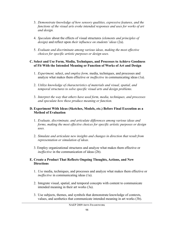- 3. *Demonstrate knowledge of how sensory qualities, expressive features, and the functions of the visual arts evoke intended responses and uses for works of art and design.*
- 4. *Speculate* about the effects of visual structures *(elements and principles of design)* and reflect upon *their influence on students' ideas* (2a).
- 5. *Evaluate and discriminate among various ideas, making the most effective choices for specific artistic purposes or design uses.*

#### **C. Select and Use Form, Media, Techniques, and Processes to Achieve Goodness of Fit With the Intended Meaning or Function of Works of Art and Design**

- 1. *Experiment,* select, *and employ form,* media, techniques, and processes and analyze what makes them effective or *ineffective* in communicating ideas (1a).
- 2. *Utilize knowledge of characteristics of materials and visual, spatial, and temporal structures to solve specific visual arts and design problems.*
- 3. *Interpret the way that others have used form, media, techniques, and processes and speculate how these produce meaning or function.*

#### **D. Experiment With Ideas (Sketches, Models, etc.) Before Final Execution as a Method of Evaluation**

- 1. *Evaluate, discriminate, and articulate differences among various ideas and forms, making the most effective choices for specific artistic purposes or design uses.*
- 2. *Simulate and articulate new insights and changes in direction that result from representation or simulation of ideas.*
- 3. Employ organizational structures and analyze what makes them effective or *ineffective* in the communication of ideas (2b).

#### **E. Create a Product That Reflects Ongoing Thoughts, Actions, and New Directions**

- 1. *Use* media, techniques, and processes and analyze what makes them effective or *ineffective* in communicating ideas (1a).
- 2. Integrate visual, spatial, and temporal concepts with content to communicate intended meaning in their art works (3a).
- 3. Use subjects, themes, and symbols that demonstrate knowledge of contexts, values, and aesthetics that communicate intended meaning in art works (3b).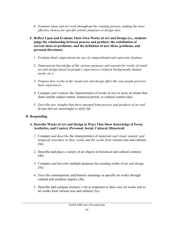- 4. *Evaluate ideas and art work throughout the creating process, making the most effective choices for specific artistic purposes or design uses.*
- **F. Reflect Upon and Evaluate Their Own Works of Art and Design (i.e., students judge the relationship between process and product; the redefinition of current ideas or problems; and the definition of new ideas, problems, and personal directions)**
	- 1. *Evaluate final compositions for use of compositional and expressive features.*
	- 2. *Demonstrate knowledge of the various purposes and reasons for works of visual art and design based on people's experiences (cultural backgrounds, human needs, etc.).*
	- 3. *Propose how works in the visual arts and design affect the way people perceive their experiences.*
	- 4. Compare *and evaluate* the characteristics of works in two or more art forms that share similar subject matter, historical period, or cultural context (6a).
	- 5. *Describe new insights that have emerged from process and products of art and design that are meaningful to daily life.*

## **II. Responding**

#### **A. Describe Works of Art and Design in Ways That Show Knowledge of Form, Aesthetics, and Context (Personal, Social, Cultural, Historical)**

- 1. Compare *and describe* the characteristics of *materials and visual, spatial, and temporal structures in their works and the works from* various eras and cultures (4a).
- 2. Describe and place a variety of art objects in historical and cultural contexts (4b).
- 3. Compare *and describe* multiple purposes for creating works of art *and design* (5a).
- 4. *Describe* contemporary and historic meanings in specific art works through cultural and aesthetic inquiry (5b).
- 5. Describe and compare *multiple critical* responses to their own art works and to art works from various eras and cultures (5c).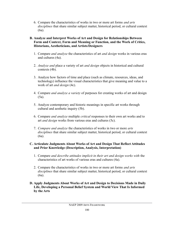6. Compare the characteristics of works in two or more art forms *and arts disciplines* that share similar subject matter, historical period, or cultural context (6a).

#### **B. Analyze and Interpret Works of Art and Design for Relationships Between Form and Context, Form and Meaning or Function, and the Work of Critics, Historians, Aestheticians, and Artists/Designers**

- 1. Compare *and analyze* the characteristics of art *and design* works in various eras and cultures (4a).
- 2. *Analyze and* place a variety of art *and design* objects in historical and cultural contexts (4b).
- 3. Analyze how factors of time and place (such as climate, resources, ideas, and technology) influence the visual characteristics that give meaning and value to a work of art *and design* (4c).
- 4. Compare *and analyze a variety* of purposes for creating works of art and design (5a).
- 5. Analyze contemporary and historic meanings in specific art works through cultural and aesthetic inquiry (5b).
- 6. Compare *and analyze* multiple *critical* responses to their own art works and to art *and design* works from various eras and cultures (5c).
- 7. *Compare and analyze* the characteristics of works in two or more *arts disciplines* that share similar subject matter, historical period, or cultural context (6a).

#### **C. Articulate Judgments About Works of Art and Design That Reflect Attitudes and Prior Knowledge (Description, Analysis, Interpretation)**

- 1. Compare *and describe attitudes implicit in their art and design works with* the characteristics of art works of various eras and cultures (4a).
- 2. Compare the characteristics of works in two or more art forms *and arts disciplines* that share similar subject matter, historical period, or cultural context (6a).
- **D. Apply Judgments About Works of Art and Design to Decisions Made in Daily Life, Developing a Personal Belief System and World View That Is Informed by the Arts**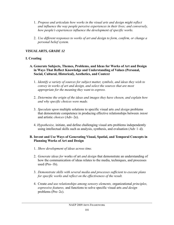- 1. *Propose and articulate how works in the visual arts and design might reflect and influence the way people perceive experiences in their lives; and conversely, how people's experiences influence the development of specific works.*
- 2. *Use different responses to works of art and design to form, confirm, or change a personal belief system.*

## *VISUAL ARTS, GRADE 12*

## **I. Creating**

- **A. Generate Subjects, Themes, Problems, and Ideas for Works of Art and Design in Ways That Reflect Knowledge and Understanding of Values (Personal, Social, Cultural, Historical), Aesthetics, and Context**
	- 1. *Identify a variety of sources for subject matter, symbols, and ideas they wish to convey in works of art and design, and select the sources that are most appropriate for the meaning they want to express.*
	- 2. *Determine the origin of the ideas and images they have chosen, and explain how and why specific choices were made.*
	- 3. *Speculate upon* multiple solutions to specific visual arts *and design* problems that demonstrate competence in producing effective relationships between *intent* and artistic *choices* (Adv–2e).
	- 4. *Hypothesize,* initiate, and define challenging visual arts problems independently using intellectual skills such as analysis, synthesis, and evaluation (Adv 1–d).

#### **B. Invent and Use Ways of Generating Visual, Spatial, and Temporal Concepts in Planning Works of Art and Design**

- 1. *Show development of ideas across time.*
- 2. *Generate ideas for* works of art *and design* that demonstrate an understanding of how the communication of ideas relates to the media, techniques, and processes used (Pro–1b).
- 3. *Demonstrate skills with several media and processes sufficient to execute plans for specific works and reflect on the effectiveness of the result.*
- 4. Create *and use relationships among sensory elements,* organizational *principles, expressive features,* and functions to solve specific visual arts *and design* problems (Pro–2c).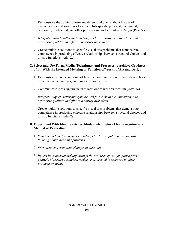- 5. Demonstrate the ability to form and defend judgments about the use of characteristics and structures to accomplish specific personal, communal, economic, intellectual, and other purposes in works of art *and design* (Pro–2a).
- 6. *Integrate subject matter and symbols, art forms, media, composition, and expressive qualities to define and convey their ideas.*
- 7. Create multiple solutions to specific visual arts problems that demonstrate competence in producing effective relationships between structural choices and artistic functions (Adv–2e).

#### **C. Select and Use Form, Media, Techniques, and Processes to Achieve Goodness of Fit With the Intended Meaning or Function of Works of Art and Design**

- 1. Demonstrate an understanding of how the communication of their ideas relates to the media, techniques, and processes used (Pro–1b).
- 2. Communicate ideas *effectively* in at least one visual arts medium (Adv–1c).
- 3. *Integrate subject matter and symbols, art forms, media, composition, and expressive qualities to define and convey own ideas.*
- 4. Create multiple solutions to specific visual arts problems that demonstrate competence in producing effective relationships between structural choices and artistic functions (Adv–2e).

#### **D. Experiment With Ideas (Sketches, Models, etc.) Before Final Execution as a Method of Evaluation**

- 1. *Simulate and analyze sketches, models, etc., for insight into own overall thinking about ideas and problems.*
- 2. *Formulate and articulate changes in direction.*
- 3. *Inform later decisionmaking through the synthesis of insight gained from analysis of previous sketches, models, etc., created in response to other problems or ideas.*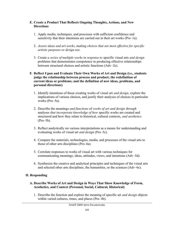#### **E. Create a Product That Reflects Ongoing Thoughts, Actions, and New Directions**

- 1. Apply media, techniques, and processes with sufficient confidence and sensitivity that their intentions are carried out in their art works (Pro–1a).
- 2. *Assess ideas and art works, making choices that are most effective for specific artistic purposes or design use.*
- 3. Create *a series of multiple works in response to* specific visual arts *and design* problems that demonstrates competence in producing effective relationships between structural choices and artistic functions (Adv–2e).

#### **F. Reflect Upon and Evaluate Their Own Works of Art and Design (i.e., students judge the relationship between process and product; the redefinition of current ideas or problems; and the definition of new ideas, problems, and personal directions)**

- 1. Identify intentions of those creating works of visual art *and design,* explore the implications of various choices, and justify their analyses of choices in particular works (Pro–5a).
- 2. Describe the meanings *and functions* of *works of art and design through* analyses *that incorporate knowledge of how* specific works are created and structured and how they relate to historical, cultural contexts, *and aesthetics* (Pro–5b).
- 3. Reflect analytically on various interpretations as a means for understanding and evaluating works of visual art *and design* (Pro–5c).
- 4. Compare the materials, technologies, media, and processes of the visual arts to those of other arts disciplines (Pro–6a).
- 5. Correlate responses to works of visual art with various techniques for communicating meanings, ideas, attitudes, views, and intentions (Adv–5d).
- 6. Synthesize the creative and analytical principles and techniques of the visual arts and selected other arts disciplines, the humanities, or the sciences (Adv–6c).

## **II. Responding**

#### **A. Describe Works of Art and Design in Ways That Show Knowledge of Form, Aesthetics, and Context (Personal, Social, Cultural, Historical)**

1. Describe the function and explore the meaning of specific art *and design* objects within varied cultures, times, and places (Pro–4b).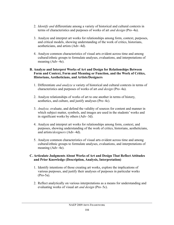- 2. *Identify and* differentiate among a variety of historical and cultural contexts in terms of characteristics and purposes of works of art *and design* (Pro–4a).
- 3. Analyze and interpret art works for relationships among form, context, purposes, and critical models, showing understanding of the work of critics, historians, aestheticians, and artists (Adv–4d).
- 4. Analyze common characteristics of visual arts evident across time and among cultural/ethnic groups to formulate analyses, evaluations, and interpretations of meaning (Adv–4e).

#### **B. Analyze and Interpret Works of Art and Design for Relationships Between Form and Context, Form and Meaning or Function, and the Work of Critics, Historians, Aestheticians, and Artists/Designers**

- 1. Differentiate *and analyze* a variety of historical and cultural contexts in terms of characteristics and purposes of works of art *and design* (Pro–4a).
- 2. Analyze relationships of works of art to one another in terms of history, aesthetics, and culture, and justify analyses (Pro–4c).
- 3. *Analyze,* evaluate, and defend the validity of sources for content and manner in which subject matter, symbols, and images are used in the students' works and in significant works by others (Adv–3d).
- 4. Analyze and interpret art works for relationships among form, context, and purposes, showing understanding of the work of critics, historians, aestheticians, and artists/*designers* (Adv–4d).
- 5. Analyze common characteristics of visual arts evident across time and among cultural/ethnic groups to formulate analyses, evaluations, and interpretations of meaning (Adv–4e).

#### **C. Articulate Judgments About Works of Art and Design That Reflect Attitudes and Prior Knowledge (Description, Analysis, Interpretation)**

- 1. Identify intentions of those creating art works, explore the implications of various purposes, and justify their analyses of purposes in particular works (Pro-5a).
- 2. Reflect analytically on various interpretations as a means for understanding and evaluating works of visual art *and design* (Pro–5c).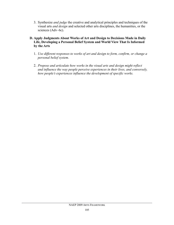3. Synthesize *and judge* the creative and analytical principles and techniques of the visual arts *and design* and selected other arts disciplines, the humanities, or the sciences (Adv–6c).

#### **D. Apply Judgments About Works of Art and Design to Decisions Made in Daily Life, Developing a Personal Belief System and World View That Is Informed by the Arts**

- 1. *Use different responses to works of art and design to form, confirm, or change a personal belief system.*
- 2. *Propose and articulate how works in the visual arts and design might reflect and influence the way people perceive experiences in their lives, and conversely, how people's experiences influence the development of specific works.*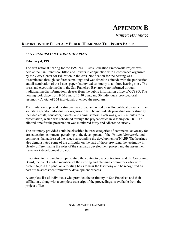# **APPENDIX B**

*PUBLIC HEARINGS*

## **REPORT ON THE FEBRUARY PUBLIC HEARINGS: THE ISSUES PAPER**

#### *SAN FRANCISCO NATIONAL HEARING*

#### **February 4, 1993**

The first national hearing for the 1997 NAEP Arts Education Framework Project was held at the San Francisco Hilton and Towers in conjunction with a conference organized by the Getty Center for Education in the Arts. Notification for the hearing was disseminated through conference mailings and was timed to coincide with the publication and dissemination of the Issues paper that invited testimony at all three hearing sites. The press and electronic media in the San Francisco Bay area were informed through traditional media information releases from the public information office of CCSSO. The hearing took place from 9:30 a.m. to 12:30 p.m., and 36 individuals provided oral testimony. A total of 354 individuals attended the program.

The invitation to provide testimony was broad and relied on self-identification rather than soliciting specific individuals or organizations. The individuals providing oral testimony included artists, educators, parents, and administrators. Each was given 5 minutes for a presentation, which was scheduled through the project office in Washington, DC. The allotted time for the presentation was monitored fairly and adhered to strictly.

The testimony provided could be classified in three categories of comments: advocacy for arts education, comments pertaining to the development of the *National Standards,* and comments that addressed the issues surrounding the development of NAEP. The hearings also demonstrated some of the difficulty on the part of those providing the testimony in clearly differentiating the roles of the standards development project and the assessment framework development project.

In addition to the panelists representing the contractor, subcontractors, and the Governing Board, the panel invited members of the steering and planning committees who were present to join the panel on a rotating basis to hear the testimony and be recognized as part of the assessment framework development process.

A complete list of individuals who provided the testimony in San Francisco and their affiliations, along with a complete transcript of the proceedings, is available from the project office.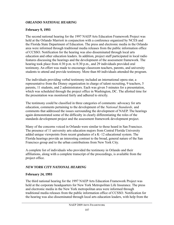#### *ORLANDO NATIONAL HEARING*

#### **February 9, 1993**

The second national hearing for the 1997 NAEP Arts Education Framework Project was held at the Orlando Marriott in conjunction with a conference organized by NCES and the Florida State Department of Education. The press and electronic media in the Orlando area were informed through traditional media releases from the public information office of CCSSO. Notification for the hearing was also disseminated through local arts education and other education leaders. In addition, project staff participated in local radio features discussing the hearings and the development of the assessment framework. The hearing took place from 4:30 p.m. to 8:30 p.m., and 29 individuals provided oral testimony. An effort was made to encourage classroom teachers, parents, and university students to attend and provide testimony. More than 60 individuals attended the program.

The individuals providing verbal testimony included an international opera star, a representative from the Disney organization in charge of talent recruiting, 9 teachers, 5 parents, 11 students, and 2 administrators. Each was given 5 minutes for a presentation, which was scheduled through the project office in Washington, DC. The allotted time for the presentation was monitored fairly and adhered to strictly.

The testimony could be classified in three categories of comments: advocacy for arts education, comments pertaining to the development of the *National Standards,* and comments that addressed the issues surrounding the development of NAEP. The hearings again demonstrated some of the difficulty in clearly differentiating the roles of the standards development project and the assessment framework development project.

Many of the concerns voiced in Orlando were similar to those heard in San Francisco. The presence of 11 university arts education majors from Central Florida University added unique viewpoints from recent graduates of a K–12 educational system. The Florida hearings provide an interesting contrast to the broad, general nature of the San Francisco group and to the urban contributions from New York City.

A complete list of individuals who provided the testimony in Orlando and their affiliations, along with a complete transcript of the proceedings, is available from the project office.

## *NEW YORK CITY NATIONAL HEARING*

#### **February 24, 1993**

The third national hearing for the 1997 NAEP Arts Education Framework Project was held at the corporate headquarters for New York Metropolitan Life Insurance. The press and electronic media in the New York metropolitan area were informed through traditional media releases from the public information office of CCSSO. Notification for the hearing was also disseminated through local arts education leaders, with help from the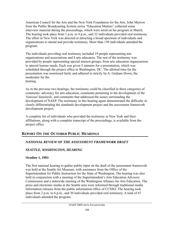American Council for the Arts and the New York Foundation for the Arts. John Merrow from the Public Broadcasting System series "Education Matters" collected some interview material during the proceedings, which were aired on his program in March. The hearing took place from 1 p.m. to 4 p.m., and 32 individuals provided oral testimony. The effort in New York was directed at attracting a broad spectrum of individuals and organizations to attend and provide testimony. More than 150 individuals attended the program.

The individuals providing oral testimony included 19 people representing arts organizations and associations and 8 arts educators. The rest of the testimony was provided by people representing special interest groups, from arts education organizations to special learner needs. Each was given 5 minutes for a presentation, which was scheduled through the project office in Washington, DC. The allotted time for the presentation was monitored fairly and adhered to strictly by A. Graham Down, the moderator for the hearing.

As in the previous two hearings, the testimony could be classified in three categories of comments: advocacy for arts education, comments pertaining to the development of the *National Standards,* and comments that addressed the issues surrounding the development of NAEP. The testimony in this hearing again demonstrated the difficulty in clearly differentiating the standards development project and the assessment framework development project.

A complete list of individuals who provided the testimony in New York and their affiliations, along with a complete transcript of the proceedings, is available from the project office.

## **REPORT ON THE OCTOBER PUBLIC HEARINGS**

## *NATIONAL REVIEW OF THE ASSESSMENT FRAMEWORK DRAFT*

## *SEATTLE, WASHINGTON, HEARING*

## **October 1, 1993**

The first national hearing to gather public input on the draft of the assessment framework was held at the Seattle Art Museum, with assistance from the Office of the Superintendent for Public Instruction for the State of Washington. The hearing was also held in conjunction with a meeting of the Superintendent's Arts Education Advisory Commission and a statewide meeting of the Washington Alliance for Arts Education. The press and electronic media in the Seattle area were informed through traditional media information releases from the public information office of CCSSO. The hearing took place from 2 p.m. to 6 p.m., and 30 individuals provided oral testimony. A total of 67 individuals attended the program.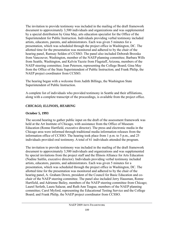The invitation to provide testimony was included in the mailing of the draft framework document to approximately 3,500 individuals and organizations and was supplemented by a special distribution by Gina May, arts education specialist for the Office of the Superintendent for Public Instruction. Individuals providing verbal testimony included artists, educators, parents, and administrators. Each was given 5 minutes for a presentation, which was scheduled through the project office in Washington, DC. The allotted time for the presentation was monitored and adhered to by the chair of the hearing panel, Ramsay Selden of CCSSO. The panel also included Deborah Brzoska from Vancouver, Washington, member of the NAEP planning committee; Barbara Wills from Seattle, Washington, and Kelvin Yazzie from Flagstaff, Arizona, members of the NAEP steering committee; Joan Peterson, representing the College Board; Gina May from the Office of the State Superintendent of Public Instruction; and Frank Philip, the NAEP project coordinator from CCSSO.

The hearing began with a welcome from Judith Billings, the Washington State Superintendent of Public Instruction.

A complete list of individuals who provided testimony in Seattle and their affiliations, along with a complete transcript of the proceedings, is available from the project office.

## *CHICAGO, ILLINOIS, HEARING*

### **October 5, 1993**

The second hearing to gather public input on the draft of the assessment framework was held at the Art Institute of Chicago, with assistance from the Office of Museum Education (Ronne Hartfield, executive director). The press and electronic media in the Chicago area were informed through traditional media information releases from the information office of CCSSO. The hearing took place from 1 p.m. to 5 p.m., and 25 individuals provided oral testimony. A total of 61 individuals attended the program.

The invitation to provide testimony was included in the mailing of the draft framework document to approximately 3,500 individuals and organizations and was supplemented by special invitations from the project staff and the Illinois Alliance for Arts Education (Nadine Saitlin, executive director). Individuals providing verbal testimony included artists, educators, parents, and administrators. Each was given 5 minutes for a presentation, which was scheduled through the project office in Washington, DC. The allotted time for the presentation was monitored and adhered to by the chair of the hearing panel, A. Graham Down, president of the Council for Basic Education and cochair of the NAEP steering committee. The panel also included Jerry Hausman, Ronne Hartfield, and Adrienne Bailey, members of the NAEP steering committee from Chicago; Laurel Serleth, Laura Salazar, and Ruth Ann Teague, members of the NAEP planning committee; Carol Myford, representing the Educational Testing Service and the College Board; and Frank Philip, the NAEP project coordinator from CCSSO.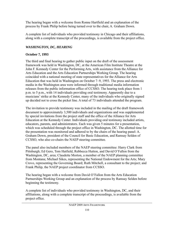The hearing began with a welcome from Ronne Hartfield and an explanation of the process by Frank Philip before being turned over to the chair, A. Graham Down.

A complete list of individuals who provided testimony in Chicago and their affiliations, along with a complete transcript of the proceedings, is available from the project office.

## *WASHINGTON, DC, HEARING*

## **October 7, 1993**

The third and final hearing to gather public input on the draft of the assessment framework was held in Washington, DC, at the American Film Institute Theatre at the John F. Kennedy Center for the Performing Arts, with assistance from the Alliance for Arts Education and the Arts Education Partnerships Working Group. The hearing coincided with a national meeting of state representatives for the Alliance for Arts Education that was held in Washington on October 7–9, 1993. The press and electronic media in the Washington area were informed through traditional media information releases from the public information office of CCSSO. The hearing took place from 1 p.m. to 5 p.m., with 14 individuals providing oral testimony. Apparently due to a musicians' strike at the Kennedy Center, many of the individuals who originally signed up decided not to cross the picket line. A total of 73 individuals attended the program.

The invitation to provide testimony was included in the mailing of the draft framework document to approximately 3,500 individuals and organizations and was supplemented by special invitations from the project staff and the office of the Alliance for Arts Education at the Kennedy Center. Individuals providing oral testimony included artists, educators, parents, and administrators. Each was given 5 minutes for a presentation, which was scheduled through the project office in Washington, DC. The allotted time for the presentation was monitored and adhered to by the chairs of the hearing panel: A. Graham Down, president of the Council for Basic Education, and Ramsay Selden of CCSSO, who also co-chairs the NAEP steering committee.

The panel also included members of the NAEP steering committee: Harry Clark from Pittsburgh; Ed Gero, Tom Hatfield, Rebbecca Hutton, and David O'Fallon from the Washington, DC, area; Claudette Morton, a member of the NAEP planning committee from Montana; Michael Sikes, representing the National Endowment for the Arts; Mary Crovo, representing the Governing Board; Ruth Mitchell, a consultant to the project; and Frank Philip, the NAEP project coordinator from CCSSO.

The hearing began with a welcome from David O'Fallon from the Arts Education Partnerships Working Group and an explanation of the process by Ramsay Selden before beginning the testimony.

A complete list of individuals who provided testimony in Washington, DC, and their affiliations, along with a complete transcript of the proceedings, is available from the project office.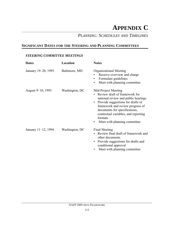# **APPENDIX C**

## *PLANNING: SCHEDULES AND TIMELINES*

## **SIGNIFICANT DATES FOR THE STEERING AND PLANNING COMMITTEES**

#### *STEERING COMMITTEE MEETINGS*

| <b>Dates</b>        | Location       | <b>Notes</b>                                                                                                                                                                                                                                                                                              |
|---------------------|----------------|-----------------------------------------------------------------------------------------------------------------------------------------------------------------------------------------------------------------------------------------------------------------------------------------------------------|
| January 19–20, 1993 | Baltimore, MD  | <b>Organizational Meeting</b><br>Receive overview and charge<br>Formulate guidelines<br>$\bullet$<br>Meet with planning committee<br>٠                                                                                                                                                                    |
| August 9–10, 1993   | Washington, DC | Mid-Project Meeting<br>Review draft of framework for<br>national review and public hearings<br>Provide suggestions for drafts of<br>$\bullet$<br>framework and review progress of<br>documents for specifications,<br>contextual variables, and reporting<br>formats<br>Meet with planning committee<br>٠ |
| January 11-12, 1994 | Washington, DC | Final Meeting<br>Review final draft of framework and<br>other documents<br>Provide suggestions for drafts and<br>conditional approval<br>Meet with planning committee                                                                                                                                     |